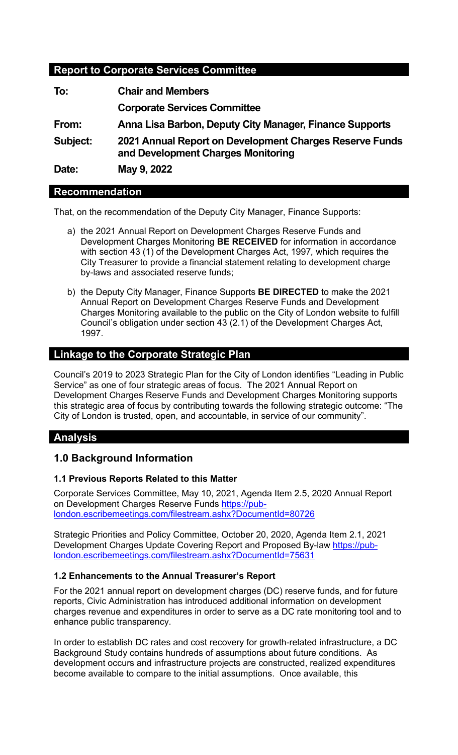# **Report to Corporate Services Committee**

| <b>Chair and Members</b>                                                                      |
|-----------------------------------------------------------------------------------------------|
| <b>Corporate Services Committee</b>                                                           |
| Anna Lisa Barbon, Deputy City Manager, Finance Supports                                       |
| 2021 Annual Report on Development Charges Reserve Funds<br>and Development Charges Monitoring |
| May 9, 2022                                                                                   |
|                                                                                               |

# **Recommendation**

That, on the recommendation of the Deputy City Manager, Finance Supports:

- a) the 2021 Annual Report on Development Charges Reserve Funds and Development Charges Monitoring **BE RECEIVED** for information in accordance with section 43 (1) of the Development Charges Act, 1997*,* which requires the City Treasurer to provide a financial statement relating to development charge by-laws and associated reserve funds;
- b) the Deputy City Manager, Finance Supports **BE DIRECTED** to make the 2021 Annual Report on Development Charges Reserve Funds and Development Charges Monitoring available to the public on the City of London website to fulfill Council's obligation under section 43 (2.1) of the Development Charges Act, 1997.

# **Linkage to the Corporate Strategic Plan**

Council's 2019 to 2023 Strategic Plan for the City of London identifies "Leading in Public Service" as one of four strategic areas of focus. The 2021 Annual Report on Development Charges Reserve Funds and Development Charges Monitoring supports this strategic area of focus by contributing towards the following strategic outcome: "The City of London is trusted, open, and accountable, in service of our community".

# **Analysis**

# **1.0 Background Information**

# **1.1 Previous Reports Related to this Matter**

Corporate Services Committee, May 10, 2021, Agenda Item 2.5, 2020 Annual Report on Development Charges Reserve Funds [https://pub](https://pub-london.escribemeetings.com/filestream.ashx?DocumentId=80726)[london.escribemeetings.com/filestream.ashx?DocumentId=80726](https://pub-london.escribemeetings.com/filestream.ashx?DocumentId=80726)

Strategic Priorities and Policy Committee, October 20, 2020, Agenda Item 2.1, 2021 Development Charges Update Covering Report and Proposed By-law [https://pub](https://pub-london.escribemeetings.com/filestream.ashx?DocumentId=75631)[london.escribemeetings.com/filestream.ashx?DocumentId=75631](https://pub-london.escribemeetings.com/filestream.ashx?DocumentId=75631)

### **1.2 Enhancements to the Annual Treasurer's Report**

For the 2021 annual report on development charges (DC) reserve funds, and for future reports, Civic Administration has introduced additional information on development charges revenue and expenditures in order to serve as a DC rate monitoring tool and to enhance public transparency.

In order to establish DC rates and cost recovery for growth-related infrastructure, a DC Background Study contains hundreds of assumptions about future conditions. As development occurs and infrastructure projects are constructed, realized expenditures become available to compare to the initial assumptions. Once available, this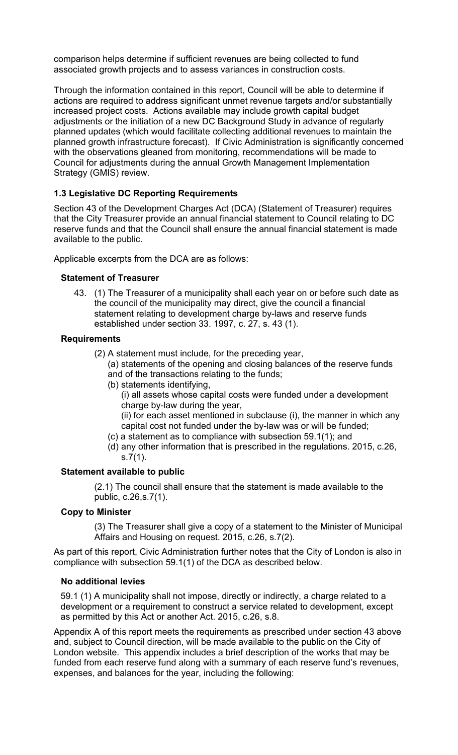comparison helps determine if sufficient revenues are being collected to fund associated growth projects and to assess variances in construction costs.

Through the information contained in this report, Council will be able to determine if actions are required to address significant unmet revenue targets and/or substantially increased project costs. Actions available may include growth capital budget adjustments or the initiation of a new DC Background Study in advance of regularly planned updates (which would facilitate collecting additional revenues to maintain the planned growth infrastructure forecast). If Civic Administration is significantly concerned with the observations gleaned from monitoring, recommendations will be made to Council for adjustments during the annual Growth Management Implementation Strategy (GMIS) review.

## **1.3 Legislative DC Reporting Requirements**

Section 43 of the Development Charges Act (DCA) (Statement of Treasurer) requires that the City Treasurer provide an annual financial statement to Council relating to DC reserve funds and that the Council shall ensure the annual financial statement is made available to the public.

Applicable excerpts from the DCA are as follows:

### **Statement of Treasurer**

43. (1) The Treasurer of a municipality shall each year on or before such date as the council of the municipality may direct, give the council a financial statement relating to development charge by-laws and reserve funds established under section 33. 1997, c. 27, s. 43 (1).

### **Requirements**

- (2) A statement must include, for the preceding year,
	- (a) statements of the opening and closing balances of the reserve funds and of the transactions relating to the funds;
	- (b) statements identifying,
		- (i) all assets whose capital costs were funded under a development charge by-law during the year,

(ii) for each asset mentioned in subclause (i), the manner in which any capital cost not funded under the by-law was or will be funded;

- (c) a statement as to compliance with subsection 59.1(1); and
- (d) any other information that is prescribed in the regulations. 2015, c.26, s.7(1).

### **Statement available to public**

(2.1) The council shall ensure that the statement is made available to the public, c.26,s.7(1).

### **Copy to Minister**

(3) The Treasurer shall give a copy of a statement to the Minister of Municipal Affairs and Housing on request. 2015, c.26, s.7(2).

As part of this report, Civic Administration further notes that the City of London is also in compliance with subsection 59.1(1) of the DCA as described below.

### **No additional levies**

59.1 (1) A municipality shall not impose, directly or indirectly, a charge related to a development or a requirement to construct a service related to development, except as permitted by this Act or another Act. 2015, c.26, s.8.

Appendix A of this report meets the requirements as prescribed under section 43 above and, subject to Council direction, will be made available to the public on the City of London website. This appendix includes a brief description of the works that may be funded from each reserve fund along with a summary of each reserve fund's revenues, expenses, and balances for the year, including the following: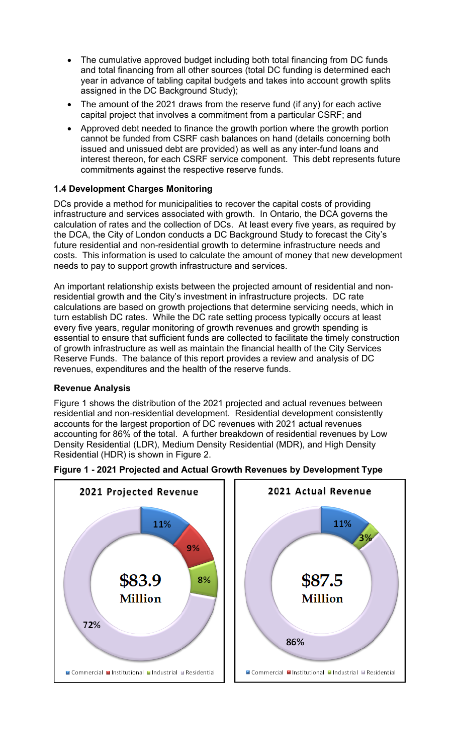- The cumulative approved budget including both total financing from DC funds and total financing from all other sources (total DC funding is determined each year in advance of tabling capital budgets and takes into account growth splits assigned in the DC Background Study);
- The amount of the 2021 draws from the reserve fund (if any) for each active capital project that involves a commitment from a particular CSRF; and
- Approved debt needed to finance the growth portion where the growth portion cannot be funded from CSRF cash balances on hand (details concerning both issued and unissued debt are provided) as well as any inter-fund loans and interest thereon, for each CSRF service component. This debt represents future commitments against the respective reserve funds.

## **1.4 Development Charges Monitoring**

DCs provide a method for municipalities to recover the capital costs of providing infrastructure and services associated with growth. In Ontario, the DCA governs the calculation of rates and the collection of DCs. At least every five years, as required by the DCA, the City of London conducts a DC Background Study to forecast the City's future residential and non-residential growth to determine infrastructure needs and costs. This information is used to calculate the amount of money that new development needs to pay to support growth infrastructure and services.

An important relationship exists between the projected amount of residential and nonresidential growth and the City's investment in infrastructure projects. DC rate calculations are based on growth projections that determine servicing needs, which in turn establish DC rates. While the DC rate setting process typically occurs at least every five years, regular monitoring of growth revenues and growth spending is essential to ensure that sufficient funds are collected to facilitate the timely construction of growth infrastructure as well as maintain the financial health of the City Services Reserve Funds. The balance of this report provides a review and analysis of DC revenues, expenditures and the health of the reserve funds.

### **Revenue Analysis**

Figure 1 shows the distribution of the 2021 projected and actual revenues between residential and non-residential development. Residential development consistently accounts for the largest proportion of DC revenues with 2021 actual revenues accounting for 86% of the total. A further breakdown of residential revenues by Low Density Residential (LDR), Medium Density Residential (MDR), and High Density Residential (HDR) is shown in Figure 2.



**Figure 1 - 2021 Projected and Actual Growth Revenues by Development Type**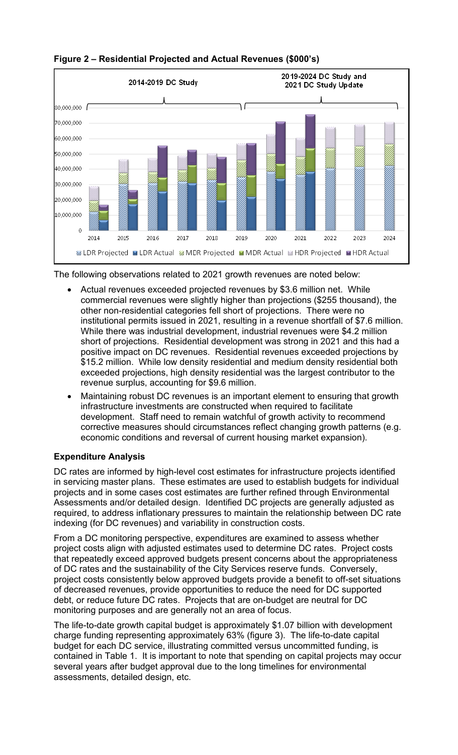

**Figure 2 – Residential Projected and Actual Revenues (\$000's)**

The following observations related to 2021 growth revenues are noted below:

- Actual revenues exceeded projected revenues by \$3.6 million net. While commercial revenues were slightly higher than projections (\$255 thousand), the other non-residential categories fell short of projections. There were no institutional permits issued in 2021, resulting in a revenue shortfall of \$7.6 million. While there was industrial development, industrial revenues were \$4.2 million short of projections. Residential development was strong in 2021 and this had a positive impact on DC revenues. Residential revenues exceeded projections by \$15.2 million. While low density residential and medium density residential both exceeded projections, high density residential was the largest contributor to the revenue surplus, accounting for \$9.6 million.
- Maintaining robust DC revenues is an important element to ensuring that growth infrastructure investments are constructed when required to facilitate development. Staff need to remain watchful of growth activity to recommend corrective measures should circumstances reflect changing growth patterns (e.g. economic conditions and reversal of current housing market expansion).

# **Expenditure Analysis**

DC rates are informed by high-level cost estimates for infrastructure projects identified in servicing master plans. These estimates are used to establish budgets for individual projects and in some cases cost estimates are further refined through Environmental Assessments and/or detailed design. Identified DC projects are generally adjusted as required, to address inflationary pressures to maintain the relationship between DC rate indexing (for DC revenues) and variability in construction costs.

From a DC monitoring perspective, expenditures are examined to assess whether project costs align with adjusted estimates used to determine DC rates. Project costs that repeatedly exceed approved budgets present concerns about the appropriateness of DC rates and the sustainability of the City Services reserve funds. Conversely, project costs consistently below approved budgets provide a benefit to off-set situations of decreased revenues, provide opportunities to reduce the need for DC supported debt, or reduce future DC rates. Projects that are on-budget are neutral for DC monitoring purposes and are generally not an area of focus.

The life-to-date growth capital budget is approximately \$1.07 billion with development charge funding representing approximately 63% (figure 3). The life-to-date capital budget for each DC service, illustrating committed versus uncommitted funding, is contained in Table 1. It is important to note that spending on capital projects may occur several years after budget approval due to the long timelines for environmental assessments, detailed design, etc.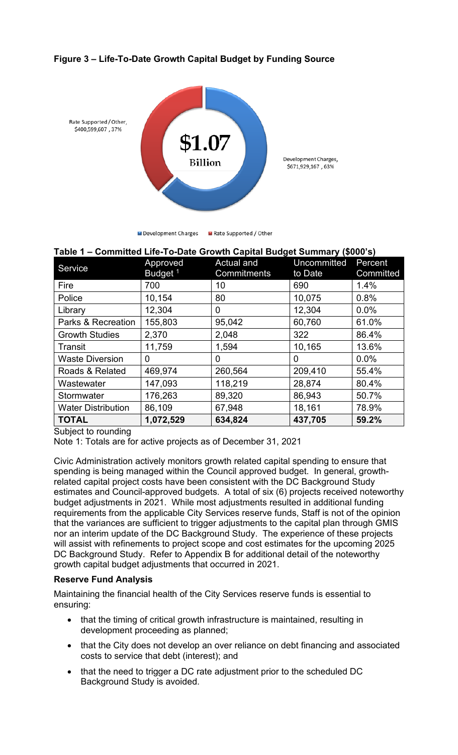# **Figure 3 – Life-To-Date Growth Capital Budget by Funding Source**



■ Development Charges ■ Rate Supported / Other

| Table 1 - Committed Life-To-Date Growth Capital Budget Summary (\$000's) |                     |             |             |           |  |  |  |  |  |  |  |  |
|--------------------------------------------------------------------------|---------------------|-------------|-------------|-----------|--|--|--|--|--|--|--|--|
| Service                                                                  | Approved            | Actual and  | Uncommitted | Percent   |  |  |  |  |  |  |  |  |
|                                                                          | Budget <sup>1</sup> | Commitments | to Date     | Committed |  |  |  |  |  |  |  |  |
| Fire                                                                     | 700                 | 10          | 690         | 1.4%      |  |  |  |  |  |  |  |  |
| Police                                                                   | 10,154              | 80          | 10,075      | 0.8%      |  |  |  |  |  |  |  |  |
| Library                                                                  | 12,304              | 0           | 12,304      | 0.0%      |  |  |  |  |  |  |  |  |
| Parks & Recreation                                                       | 155,803             | 95,042      | 60,760      | 61.0%     |  |  |  |  |  |  |  |  |
| <b>Growth Studies</b>                                                    | 2,370               | 2,048       | 322         | 86.4%     |  |  |  |  |  |  |  |  |
| Transit                                                                  | 11,759              | 1,594       | 10,165      | 13.6%     |  |  |  |  |  |  |  |  |
| <b>Waste Diversion</b>                                                   | 0                   | 0           | 0           | 0.0%      |  |  |  |  |  |  |  |  |
| Roads & Related                                                          | 469,974             | 260,564     | 209,410     | 55.4%     |  |  |  |  |  |  |  |  |
| Wastewater                                                               | 147,093             | 118,219     | 28,874      | 80.4%     |  |  |  |  |  |  |  |  |
| Stormwater                                                               | 176,263             | 89,320      | 86,943      | 50.7%     |  |  |  |  |  |  |  |  |
| <b>Water Distribution</b>                                                | 86,109              | 67,948      | 18,161      | 78.9%     |  |  |  |  |  |  |  |  |
| <b>TOTAL</b>                                                             | 1,072,529           | 634,824     | 437,705     | 59.2%     |  |  |  |  |  |  |  |  |

Subject to rounding

Note 1: Totals are for active projects as of December 31, 2021

Civic Administration actively monitors growth related capital spending to ensure that spending is being managed within the Council approved budget. In general, growthrelated capital project costs have been consistent with the DC Background Study estimates and Council-approved budgets. A total of six (6) projects received noteworthy budget adjustments in 2021. While most adjustments resulted in additional funding requirements from the applicable City Services reserve funds, Staff is not of the opinion that the variances are sufficient to trigger adjustments to the capital plan through GMIS nor an interim update of the DC Background Study. The experience of these projects will assist with refinements to project scope and cost estimates for the upcoming 2025 DC Background Study. Refer to Appendix B for additional detail of the noteworthy growth capital budget adjustments that occurred in 2021.

### **Reserve Fund Analysis**

Maintaining the financial health of the City Services reserve funds is essential to ensuring:

- that the timing of critical growth infrastructure is maintained, resulting in development proceeding as planned;
- that the City does not develop an over reliance on debt financing and associated costs to service that debt (interest); and
- that the need to trigger a DC rate adjustment prior to the scheduled DC Background Study is avoided.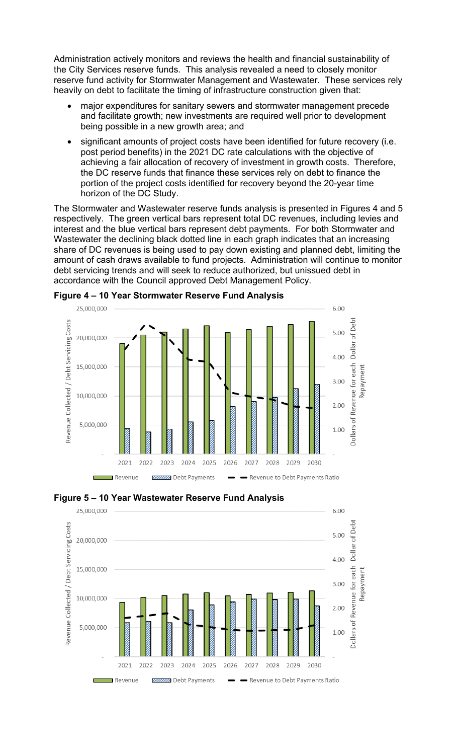Administration actively monitors and reviews the health and financial sustainability of the City Services reserve funds. This analysis revealed a need to closely monitor reserve fund activity for Stormwater Management and Wastewater. These services rely heavily on debt to facilitate the timing of infrastructure construction given that:

- major expenditures for sanitary sewers and stormwater management precede and facilitate growth; new investments are required well prior to development being possible in a new growth area; and
- significant amounts of project costs have been identified for future recovery (i.e. post period benefits) in the 2021 DC rate calculations with the objective of achieving a fair allocation of recovery of investment in growth costs. Therefore, the DC reserve funds that finance these services rely on debt to finance the portion of the project costs identified for recovery beyond the 20-year time horizon of the DC Study.

The Stormwater and Wastewater reserve funds analysis is presented in Figures 4 and 5 respectively. The green vertical bars represent total DC revenues, including levies and interest and the blue vertical bars represent debt payments. For both Stormwater and Wastewater the declining black dotted line in each graph indicates that an increasing share of DC revenues is being used to pay down existing and planned debt, limiting the amount of cash draws available to fund projects. Administration will continue to monitor debt servicing trends and will seek to reduce authorized, but unissued debt in accordance with the Council approved Debt Management Policy.



**Figure 4 – 10 Year Stormwater Reserve Fund Analysis**



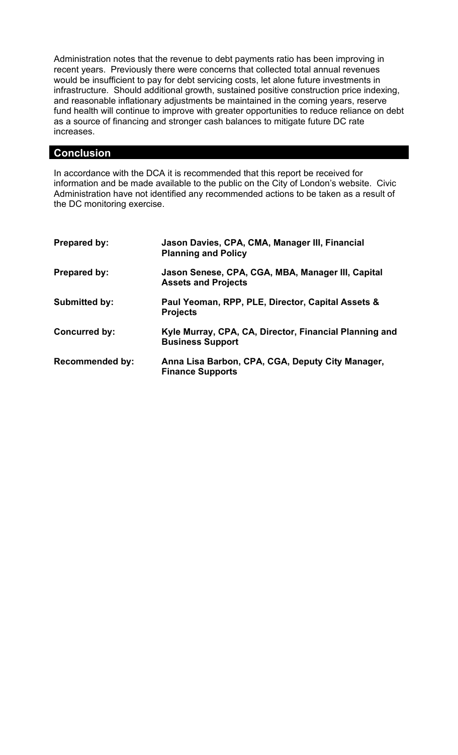Administration notes that the revenue to debt payments ratio has been improving in recent years. Previously there were concerns that collected total annual revenues would be insufficient to pay for debt servicing costs, let alone future investments in infrastructure. Should additional growth, sustained positive construction price indexing, and reasonable inflationary adjustments be maintained in the coming years, reserve fund health will continue to improve with greater opportunities to reduce reliance on debt as a source of financing and stronger cash balances to mitigate future DC rate increases.

# **Conclusion**

In accordance with the DCA it is recommended that this report be received for information and be made available to the public on the City of London's website. Civic Administration have not identified any recommended actions to be taken as a result of the DC monitoring exercise.

| <b>Prepared by:</b>    | Jason Davies, CPA, CMA, Manager III, Financial<br><b>Planning and Policy</b>      |
|------------------------|-----------------------------------------------------------------------------------|
| <b>Prepared by:</b>    | Jason Senese, CPA, CGA, MBA, Manager III, Capital<br><b>Assets and Projects</b>   |
| <b>Submitted by:</b>   | Paul Yeoman, RPP, PLE, Director, Capital Assets &<br><b>Projects</b>              |
| <b>Concurred by:</b>   | Kyle Murray, CPA, CA, Director, Financial Planning and<br><b>Business Support</b> |
| <b>Recommended by:</b> | Anna Lisa Barbon, CPA, CGA, Deputy City Manager,<br><b>Finance Supports</b>       |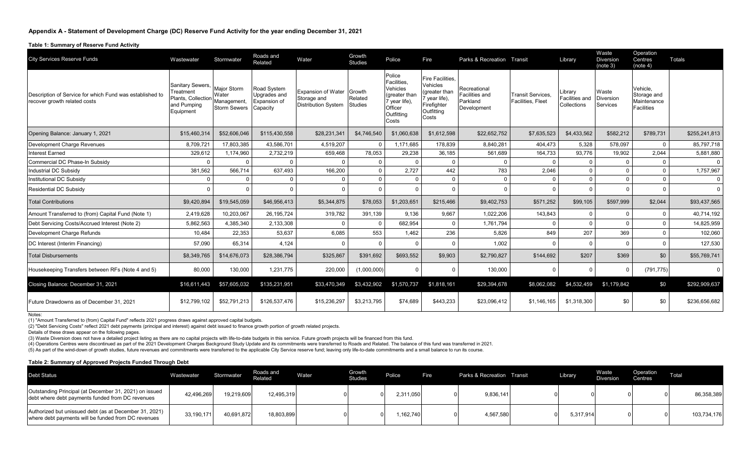#### **Table 1: Summary of Reserve Fund Activity**

| <b>City Services Reserve Funds</b>                                                       | Wastewater                                                                      | Stormwater                                                        | Roads and<br>Related                                    | Water                                                                  | Growth<br><b>Studies</b>            | Police                                                                                                      | Fire                                                                                                    | Parks & Recreation Transit                                |                                               | Library                                  | Waste<br><b>Diversion</b><br>(note 3) | Operation<br>Centres<br>(note 4)                            | <b>Totals</b> |
|------------------------------------------------------------------------------------------|---------------------------------------------------------------------------------|-------------------------------------------------------------------|---------------------------------------------------------|------------------------------------------------------------------------|-------------------------------------|-------------------------------------------------------------------------------------------------------------|---------------------------------------------------------------------------------------------------------|-----------------------------------------------------------|-----------------------------------------------|------------------------------------------|---------------------------------------|-------------------------------------------------------------|---------------|
| Description of Service for which Fund was established to<br>recover growth related costs | Sanitary Sewers,<br>Treatment<br>Plants, Collection<br>and Pumping<br>Equipment | <b>Major Storm</b><br>Water<br>Management,<br><b>Storm Sewers</b> | Road System<br>Upgrades and<br>Expansion of<br>Capacity | <b>Expansion of Water</b><br>Storage and<br><b>Distribution System</b> | Growth<br>Related<br><b>Studies</b> | Police<br><b>Facilities</b><br>Vehicles<br>(greater than<br>7 year life).<br>Officer<br>Outfitting<br>Costs | <b>Fire Facilities</b><br>Vehicles<br>greater than<br>year life),<br>Firefighter<br>Outfitting<br>Costs | Recreational<br>Facilities and<br>Parkland<br>Development | <b>Transit Services.</b><br>Facilities, Fleet | .ibrary<br>Facilities and<br>Collections | Waste<br><b>Diversion</b><br>Services | Vehicle,<br>Storage and<br>Maintenance<br><b>Facilities</b> |               |
| Opening Balance: January 1, 2021                                                         | \$15,460,314                                                                    | \$52,606,046                                                      | \$115,430,558                                           | \$28,231,341                                                           | \$4,746,540                         | \$1,060,638                                                                                                 | \$1,612,598                                                                                             | \$22,652,752                                              | \$7,635,523                                   | \$4,433,562                              | \$582,212                             | \$789,731                                                   | \$255,241,813 |
| Development Charge Revenues                                                              | 8,709,721                                                                       | 17,803,385                                                        | 43,586,701                                              | 4,519,207                                                              | <sup>0</sup>                        | 1,171,685                                                                                                   | 178,839                                                                                                 | 8,840,281                                                 | 404,473                                       | 5,328                                    | 578,097                               | $\mathbf 0$                                                 | 85,797,718    |
| <b>Interest Earned</b>                                                                   | 329,612                                                                         | 1,174,960                                                         | 2,732,219                                               | 659,468                                                                | 78,053                              | 29,238                                                                                                      | 36,185                                                                                                  | 561,689                                                   | 164,733                                       | 93,776                                   | 19,902                                | 2,044                                                       | 5,881,880     |
| Commercial DC Phase-In Subsidy                                                           | $\Omega$                                                                        | $\Omega$                                                          | $\Omega$                                                | $\Omega$                                                               | $\Omega$                            |                                                                                                             |                                                                                                         | $\Omega$                                                  |                                               | $\Omega$                                 | $\Omega$                              | $\Omega$                                                    | $\Omega$      |
| <b>Industrial DC Subsidv</b>                                                             | 381,562                                                                         | 566,714                                                           | 637,493                                                 | 166,200                                                                | $\Omega$                            | 2,727                                                                                                       | 442                                                                                                     | 783                                                       | 2,046                                         | $\Omega$                                 | $\Omega$                              | $\Omega$                                                    | 1,757,967     |
| Institutional DC Subsidy                                                                 | $\Omega$                                                                        |                                                                   | $\Omega$                                                | $\Omega$                                                               | $\Omega$                            |                                                                                                             |                                                                                                         | $\Omega$                                                  | $\Omega$                                      | $\Omega$                                 | $\Omega$                              | $\mathbf 0$                                                 | $\Omega$      |
| <b>Residential DC Subsidy</b>                                                            |                                                                                 |                                                                   | $\Omega$                                                |                                                                        | $\Omega$                            |                                                                                                             |                                                                                                         |                                                           |                                               | $\Omega$                                 | $\Omega$                              | $\Omega$                                                    | $\Omega$      |
| <b>Total Contributions</b>                                                               | \$9,420,894                                                                     | \$19,545,059                                                      | \$46,956,413                                            | \$5,344,875                                                            | \$78,053                            | \$1,203,651                                                                                                 | \$215,466                                                                                               | \$9,402,753                                               | \$571,252                                     | \$99,105                                 | \$597,999                             | \$2,044                                                     | \$93,437,565  |
| Amount Transferred to (from) Capital Fund (Note 1)                                       | 2,419,628                                                                       | 10,203,067                                                        | 26, 195, 724                                            | 319,782                                                                | 391,139                             | 9,136                                                                                                       | 9,667                                                                                                   | 1,022,206                                                 | 143,843                                       | $\Omega$                                 | $\Omega$                              | $\Omega$                                                    | 40,714,192    |
| Debt Servicing Costs/Accrued Interest (Note 2)                                           | 5,862,563                                                                       | 4,385,340                                                         | 2,133,308                                               | $\Omega$                                                               | O                                   | 682,954                                                                                                     |                                                                                                         | 1,761,794                                                 |                                               | $\Omega$                                 | $\Omega$                              | $\Omega$                                                    | 14,825,959    |
| Development Charge Refunds                                                               | 10,484                                                                          | 22,353                                                            | 53,637                                                  | 6,085                                                                  | 553                                 | 1.462                                                                                                       | 236                                                                                                     | 5,826                                                     | 849                                           | 207                                      | 369                                   | $\mathbf 0$                                                 | 102,060       |
| DC Interest (Interim Financing)                                                          | 57,090                                                                          | 65,314                                                            | 4,124                                                   | $\Omega$                                                               | $\Omega$                            |                                                                                                             |                                                                                                         | 1,002                                                     | $\Omega$                                      | $\Omega$                                 | $\Omega$                              | $\Omega$                                                    | 127,530       |
| <b>Total Disbursements</b>                                                               | \$8,349,765                                                                     | \$14,676,073                                                      | \$28,386,794                                            | \$325,867                                                              | \$391,692                           | \$693,552                                                                                                   | \$9,903                                                                                                 | \$2,790,827                                               | \$144,692                                     | \$207                                    | \$369                                 | \$0                                                         | \$55,769,741  |
| Housekeeping Transfers between RFs (Note 4 and 5)                                        | 80,000                                                                          | 130,000                                                           | 1,231,775                                               | 220,000                                                                | (1,000,000)                         |                                                                                                             |                                                                                                         | 130,000                                                   |                                               | 0                                        | O                                     | (791, 775)                                                  |               |
| Closing Balance: December 31, 2021                                                       | \$16,611,443                                                                    | \$57,605,032                                                      | \$135,231,951                                           | \$33,470,349                                                           | \$3,432,902                         | \$1,570,737                                                                                                 | \$1,818,161                                                                                             | \$29,394,678                                              | \$8,062,082                                   | \$4,532,459                              | \$1,179,842                           | \$0                                                         | \$292,909,637 |
| Future Drawdowns as of December 31, 2021                                                 | \$12,799,102                                                                    | \$52,791,213                                                      | \$126,537,476                                           | \$15,236,297                                                           | \$3,213,795                         | \$74,689                                                                                                    | \$443,233                                                                                               | \$23,096,412                                              | \$1,146,165                                   | \$1,318,300                              | \$0                                   | \$0                                                         | \$236,656,682 |
|                                                                                          |                                                                                 |                                                                   |                                                         |                                                                        |                                     |                                                                                                             |                                                                                                         |                                                           |                                               |                                          |                                       |                                                             |               |

Notes:

(1) "Amount Transferred to (from) Capital Fund" reflects 2021 progress draws against approved capital budgets.

(2) "Debt Servicing Costs" reflect 2021 debt payments (principal and interest) against debt issued to finance growth portion of growth related projects. Details of these draws appear on the following pages.

(3) Waste Diversion does not have a detailed project listing as there are no capital projects with life-to-date budgets in this service. Future growth projects will be financed from this fund.

(4) Operations Centres were discontinued as part of the 2021 Development Charges Background Study Update and its commitments were transferred to Roads and Related. The balance of this fund was transferred in 2021.

(5) As part of the wind-down of growth studies, future revenues and commitments were transferred to the applicable City Service reserve fund; leaving only life-to-date commitments and a small balance to run its course.

#### **Table 2: Summary of Approved Projects Funded Through Debt**

| <b>Debt Status</b>                                                                                            | Wastewater | Stormwater | Roads and<br>Related | Water | Growth<br><b>Studies</b> | Police    | Fire | Parks & Recreation Transit | Library   | Waste<br><b>Diversion</b> | Operation<br>Centres | Total       |
|---------------------------------------------------------------------------------------------------------------|------------|------------|----------------------|-------|--------------------------|-----------|------|----------------------------|-----------|---------------------------|----------------------|-------------|
| Outstanding Principal (at December 31, 2021) on issued<br>debt where debt payments funded from DC revenues    | 42,496,269 | 19,219,609 | 12.495.319           |       |                          | 2.311.050 |      | 9,836,141                  |           |                           |                      | 86,358,389  |
| Authorized but unissued debt (as at December 31, 2021)<br>where debt payments will be funded from DC revenues | 33,190,171 | 40,691,872 | 18,803,899           |       |                          | 162,740   |      | 4,567,580                  | 5,317,914 |                           |                      | 103,734,176 |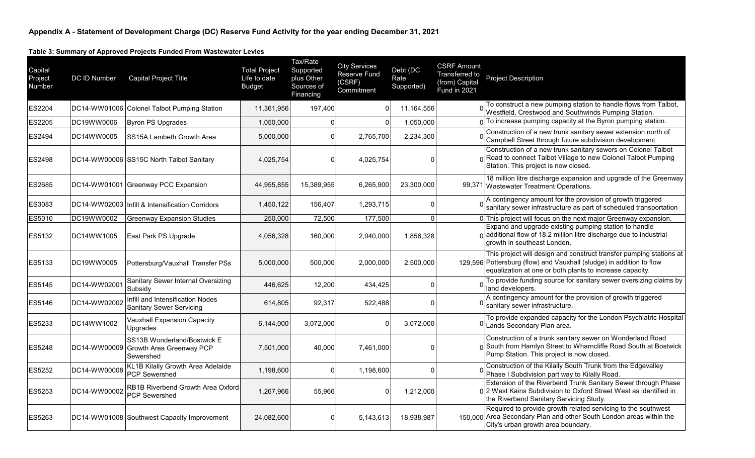**Table 3: Summary of Approved Projects Funded From Wastewater Levies**

| Capital<br>Project<br>Number | DC ID Number | <b>Capital Project Title</b>                                                | <b>Total Project</b><br>Life to date<br><b>Budget</b> | Tax/Rate<br>Supported<br>plus Other<br>Sources of<br>Financing | <b>City Services</b><br>Reserve Fund<br>(CSRF)<br>Commitment | Debt (DC<br>Rate<br>Supported) | <b>CSRF Amount</b><br>Transferred to<br>(from) Capital<br>Fund in 2021 | Project Description                                                                                                                                                                                     |
|------------------------------|--------------|-----------------------------------------------------------------------------|-------------------------------------------------------|----------------------------------------------------------------|--------------------------------------------------------------|--------------------------------|------------------------------------------------------------------------|---------------------------------------------------------------------------------------------------------------------------------------------------------------------------------------------------------|
| ES2204                       |              | DC14-WW01006 Colonel Talbot Pumping Station                                 | 11,361,956                                            | 197,400                                                        | U                                                            | 11,164,556                     |                                                                        | To construct a new pumping station to handle flows from Talbot,<br>Westfield, Crestwood and Southwinds Pumping Station.                                                                                 |
| ES2205                       | DC19WW0006   | Byron PS Upgrades                                                           | 1,050,000                                             |                                                                |                                                              | 1,050,000                      |                                                                        | To increase pumping capacity at the Byron pumping station.                                                                                                                                              |
| ES2494                       | DC14WW0005   | SS15A Lambeth Growth Area                                                   | 5,000,000                                             | $\Omega$                                                       | 2,765,700                                                    | 2,234,300                      |                                                                        | Construction of a new trunk sanitary sewer extension north of<br>Campbell Street through future subdivision development.                                                                                |
| <b>ES2498</b>                |              | DC14-WW00006 SS15C North Talbot Sanitary                                    | 4,025,754                                             | $\Omega$                                                       | 4,025,754                                                    | ŋ                              |                                                                        | Construction of a new trunk sanitary sewers on Colonel Talbot<br><sub>0</sub> Road to connect Talbot Village to new Colonel Talbot Pumping<br>Station. This project is now closed.                      |
| ES2685                       |              | DC14-WW01001 Greenway PCC Expansion                                         | 44,955,855                                            | 15,389,955                                                     | 6,265,900                                                    | 23,300,000                     |                                                                        | 18 million litre discharge expansion and upgrade of the Greenway<br>99,371 Wastewater Treatment Operations.                                                                                             |
| ES3083                       |              | DC14-WW02003   Infill & Intensification Corridors                           | 1,450,122                                             | 156,407                                                        | 1,293,715                                                    | $\mathbf 0$                    |                                                                        | A contingency amount for the provision of growth triggered<br>sanitary sewer infrastructure as part of scheduled transportation                                                                         |
| ES5010                       | DC19WW0002   | <b>Greenway Expansion Studies</b>                                           | 250,000                                               | 72,500                                                         | 177,500                                                      | $\overline{0}$                 |                                                                        | 0 This project will focus on the next major Greenway expansion.                                                                                                                                         |
| ES5132                       | DC14WW1005   | East Park PS Upgrade                                                        | 4,056,328                                             | 160,000                                                        | 2,040,000                                                    | 1,856,328                      |                                                                        | Expand and upgrade existing pumping station to handle<br>$0$ additional flow of 18.2 million litre discharge due to industrial<br>growth in southeast London.                                           |
| ES5133                       | DC19WW0005   | Pottersburg/Vauxhall Transfer PSs                                           | 5,000,000                                             | 500,000                                                        | 2,000,000                                                    | 2,500,000                      |                                                                        | This project will design and construct transfer pumping stations at<br>129,596 Pottersburg (flow) and Vauxhall (sludge) in addition to flow<br>equalization at one or both plants to increase capacity. |
| <b>ES5145</b>                | DC14-WW02001 | Sanitary Sewer Internal Oversizing<br>Subsidy                               | 446,625                                               | 12,200                                                         | 434,425                                                      | $\mathbf 0$                    |                                                                        | To provide funding source for sanitary sewer oversizing claims by<br>land developers.                                                                                                                   |
| <b>ES5146</b>                | DC14-WW02002 | Infill and Intensification Nodes<br><b>Sanitary Sewer Servicing</b>         | 614,805                                               | 92,317                                                         | 522,488                                                      | $\Omega$                       |                                                                        | A contingency amount for the provision of growth triggered<br>sanitary sewer infrastructure.                                                                                                            |
| ES5233                       | DC14WW1002   | Vauxhall Expansion Capacity<br>Upgrades                                     | 6,144,000                                             | 3,072,000                                                      |                                                              | 3,072,000                      |                                                                        | To provide expanded capacity for the London Psychiatric Hospital<br><sup>0</sup> Lands Secondary Plan area.                                                                                             |
| ES5248                       | DC14-WW00009 | SS13B Wonderland/Bostwick E<br><b>Growth Area Greenway PCP</b><br>Sewershed | 7,501,000                                             | 40,000                                                         | 7,461,000                                                    | $\Omega$                       |                                                                        | Construction of a trunk sanitary sewer on Wonderland Road<br>0 South from Hamlyn Street to Wharncliffe Road South at Bostwick<br>Pump Station. This project is now closed.                              |
| <b>ES5252</b>                | DC14-WW00008 | KL1B Kilally Growth Area Adelaide<br>PCP Sewershed                          | 1,198,600                                             | $\Omega$                                                       | 1,198,600                                                    | $\Omega$                       |                                                                        | Construction of the Kilally South Trunk from the Edgevalley<br>Phase I Subdivision part way to Kilally Road.                                                                                            |
| <b>ES5253</b>                | DC14-WW00002 | RB1B Riverbend Growth Area Oxford<br><b>PCP Sewershed</b>                   | 1,267,966                                             | 55,966                                                         |                                                              | 1,212,000                      |                                                                        | Extension of the Riverbend Trunk Sanitary Sewer through Phase<br>0 2 West Kains Subdivision to Oxford Street West as identified in<br>the Riverbend Sanitary Servicing Study.                           |
| ES5263                       |              | DC14-WW01008 Southwest Capacity Improvement                                 | 24,082,600                                            | $\Omega$                                                       | 5,143,613                                                    | 18,938,987                     |                                                                        | Required to provide growth related servicing to the southwest<br>150,000 Area Secondary Plan and other South London areas within the<br>City's urban growth area boundary.                              |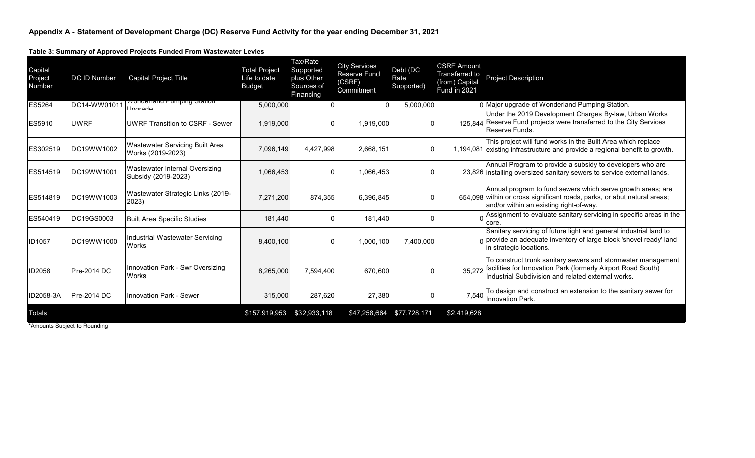**Table 3: Summary of Approved Projects Funded From Wastewater Levies**

| Capital<br>Project<br>Number | <b>DC ID Number</b> | Capital Project Title                                       | <b>Total Project</b><br>Life to date<br><b>Budget</b> | Tax/Rate<br>Supported<br>plus Other<br>Sources of<br>Financing | <b>City Services</b><br><b>Reserve Fund</b><br>(CSRF)<br>Commitment | Debt (DC<br>Rate<br>Supported) | <b>CSRF Amount</b><br>Transferred to<br>(from) Capital<br><b>Fund in 2021</b> | <b>Project Description</b>                                                                                                                                                         |
|------------------------------|---------------------|-------------------------------------------------------------|-------------------------------------------------------|----------------------------------------------------------------|---------------------------------------------------------------------|--------------------------------|-------------------------------------------------------------------------------|------------------------------------------------------------------------------------------------------------------------------------------------------------------------------------|
| <b>ES5264</b>                | DC14-WW01011        | <u>wonderland Pumping Station</u><br><u>Llnarode</u>        | 5,000,000                                             |                                                                |                                                                     | 5,000,000                      |                                                                               | 0 Major upgrade of Wonderland Pumping Station.                                                                                                                                     |
| ES5910                       | <b>UWRF</b>         | <b>UWRF Transition to CSRF - Sewer</b>                      | 1,919,000                                             |                                                                | 1,919,000                                                           | U                              |                                                                               | Under the 2019 Development Charges By-law, Urban Works<br>125.844 Reserve Fund projects were transferred to the City Services<br>Reserve Funds.                                    |
| ES302519                     | DC19WW1002          | <b>Wastewater Servicing Built Area</b><br>Works (2019-2023) | 7,096,149                                             | 4,427,998                                                      | 2,668,151                                                           | $\overline{0}$                 |                                                                               | This project will fund works in the Built Area which replace<br>1,194,081 existing infrastructure and provide a regional benefit to growth.                                        |
| ES514519                     | DC19WW1001          | Wastewater Internal Oversizing<br>Subsidy (2019-2023)       | 1,066,453                                             |                                                                | 1,066,453                                                           | 0                              |                                                                               | Annual Program to provide a subsidy to developers who are<br>23,826 installing oversized sanitary sewers to service external lands.                                                |
| ES514819                     | DC19WW1003          | Wastewater Strategic Links (2019-<br>2023)                  | 7,271,200                                             | 874,355                                                        | 6,396,845                                                           | 0                              |                                                                               | Annual program to fund sewers which serve growth areas; are<br>654.098 within or cross significant roads, parks, or abut natural areas;<br>and/or within an existing right-of-way. |
| ES540419                     | DC19GS0003          | <b>Built Area Specific Studies</b>                          | 181,440                                               |                                                                | 181,440                                                             | 0                              |                                                                               | Assignment to evaluate sanitary servicing in specific areas in the<br>core.                                                                                                        |
| <b>ID1057</b>                | DC19WW1000          | Industrial Wastewater Servicing<br>Works                    | 8,400,100                                             |                                                                | 1,000,100                                                           | 7,400,000                      |                                                                               | Sanitary servicing of future light and general industrial land to<br>$\Omega$ provide an adequate inventory of large block 'shovel ready' land<br>in strategic locations.          |
| ID2058                       | Pre-2014 DC         | Innovation Park - Swr Oversizing<br><b>Works</b>            | 8,265,000                                             | 7,594,400                                                      | 670.600                                                             | 0                              | 35,272                                                                        | To construct trunk sanitary sewers and stormwater management<br>facilities for Innovation Park (formerly Airport Road South)<br>Industrial Subdivision and related external works. |
| ID2058-3A                    | Pre-2014 DC         | <b>Innovation Park - Sewer</b>                              | 315,000                                               | 287,620                                                        | 27,380                                                              | 0                              | 7,540                                                                         | To design and construct an extension to the sanitary sewer for<br>Innovation Park.                                                                                                 |
| Totals                       |                     |                                                             | \$157,919,953                                         | \$32,933,118                                                   | \$47,258,664                                                        | \$77,728,171                   | \$2,419,628                                                                   |                                                                                                                                                                                    |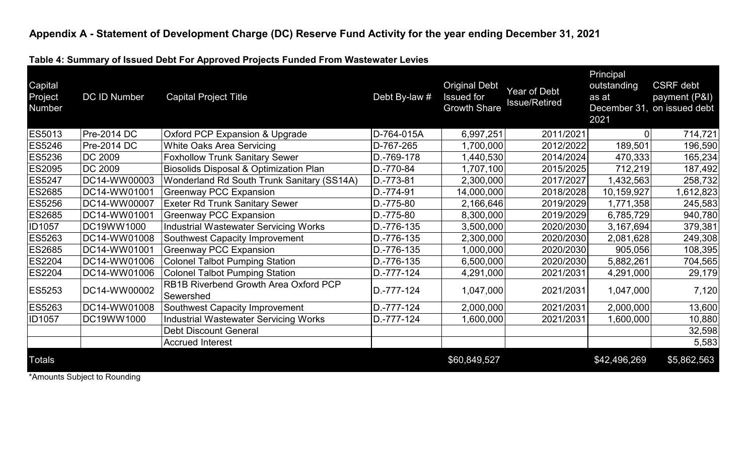**Table 4: Summary of Issued Debt For Approved Projects Funded From Wastewater Levies**

| Capital<br>Project<br>Number | DC ID Number       | <b>Capital Project Title</b>                       | Debt By-law # | <b>Original Debt</b><br><b>Issued for</b><br><b>Growth Share</b> | Year of Debt<br><b>Issue/Retired</b> | Principal<br>outstanding<br>as at<br>2021 | <b>CSRF</b> debt<br>payment (P&I)<br>December 31, on issued debt |
|------------------------------|--------------------|----------------------------------------------------|---------------|------------------------------------------------------------------|--------------------------------------|-------------------------------------------|------------------------------------------------------------------|
| ES5013                       | <b>Pre-2014 DC</b> | <b>Oxford PCP Expansion &amp; Upgrade</b>          | D-764-015A    | 6,997,251                                                        | 2011/2021                            |                                           | 714,721                                                          |
| <b>ES5246</b>                | Pre-2014 DC        | White Oaks Area Servicing                          | D-767-265     | 1,700,000                                                        | 2012/2022                            | 189,501                                   | 196,590                                                          |
| ES5236                       | <b>DC 2009</b>     | <b>Foxhollow Trunk Sanitary Sewer</b>              | D.-769-178    | 1,440,530                                                        | 2014/2024                            | 470,333                                   | 165,234                                                          |
| <b>ES2095</b>                | <b>DC 2009</b>     | <b>Biosolids Disposal &amp; Optimization Plan</b>  | D.-770-84     | 1,707,100                                                        | 2015/2025                            | 712,219                                   | 187,492                                                          |
| <b>ES5247</b>                | DC14-WW00003       | Wonderland Rd South Trunk Sanitary (SS14A)         | D.-773-81     | 2,300,000                                                        | 2017/2027                            | 1,432,563                                 | 258,732                                                          |
| <b>ES2685</b>                | DC14-WW01001       | <b>Greenway PCC Expansion</b>                      | D.-774-91     | 14,000,000                                                       | 2018/2028                            | 10,159,927                                | 612,823                                                          |
| <b>ES5256</b>                | DC14-WW00007       | <b>Exeter Rd Trunk Sanitary Sewer</b>              | D.-775-80     | 2,166,646                                                        | 2019/2029                            | 1,771,358                                 | 245,583                                                          |
| ES2685                       | DC14-WW01001       | <b>Greenway PCC Expansion</b>                      | D.-775-80     | 8,300,000                                                        | 2019/2029                            | 6,785,729                                 | 940,780                                                          |
| <b>ID1057</b>                | DC19WW1000         | <b>Industrial Wastewater Servicing Works</b>       | D.-776-135    | 3,500,000                                                        | 2020/2030                            | 3,167,694                                 | 379,381                                                          |
| <b>ES5263</b>                | DC14-WW01008       | Southwest Capacity Improvement                     | D.-776-135    | 2,300,000                                                        | 2020/2030                            | 2,081,628                                 | 249,308                                                          |
| <b>ES2685</b>                | DC14-WW01001       | <b>Greenway PCC Expansion</b>                      | D.-776-135    | 1,000,000                                                        | 2020/2030                            | 905,056                                   | 108,395                                                          |
| <b>ES2204</b>                | DC14-WW01006       | <b>Colonel Talbot Pumping Station</b>              | D.-776-135    | 6,500,000                                                        | 2020/2030                            | 5,882,261                                 | 704,565                                                          |
| <b>ES2204</b>                | DC14-WW01006       | <b>Colonel Talbot Pumping Station</b>              | D.-777-124    | 4,291,000                                                        | 2021/2031                            | 4,291,000                                 | 29,179                                                           |
| ES5253                       | DC14-WW00002       | RB1B Riverbend Growth Area Oxford PCP<br>Sewershed | D.-777-124    | 1,047,000                                                        | 2021/2031                            | 1,047,000                                 | 7,120                                                            |
| ES5263                       | DC14-WW01008       | Southwest Capacity Improvement                     | D.-777-124    | 2,000,000                                                        | 2021/2031                            | 2,000,000                                 | 13,600                                                           |
| <b>ID1057</b>                | DC19WW1000         | <b>Industrial Wastewater Servicing Works</b>       | D.-777-124    | 1,600,000                                                        | 2021/2031                            | 1,600,000                                 | 10,880                                                           |
|                              |                    | <b>Debt Discount General</b>                       |               |                                                                  |                                      |                                           | 32,598                                                           |
|                              |                    | <b>Accrued Interest</b>                            |               |                                                                  |                                      |                                           | 5,583                                                            |
| <b>Totals</b>                |                    |                                                    |               | \$60,849,527                                                     |                                      | \$42,496,269                              | \$5,862,563                                                      |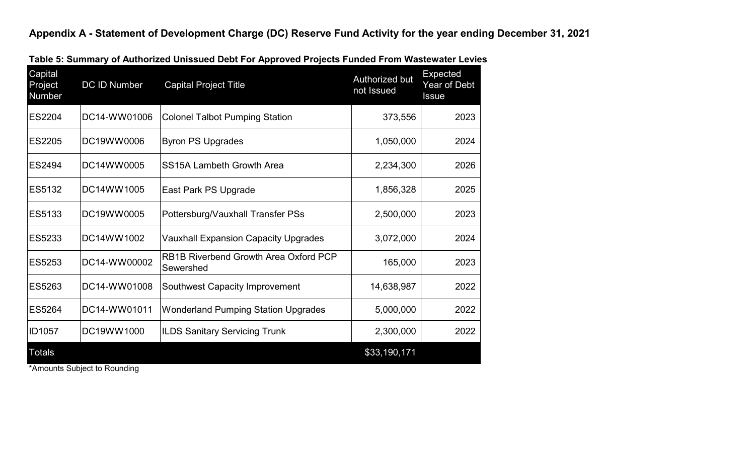| Capital<br>Project<br>Number | DC ID Number                                                                    | <b>Capital Project Title</b>                       | Authorized but<br>not Issued | Expected<br>Year of Debt<br><b>Issue</b> |
|------------------------------|---------------------------------------------------------------------------------|----------------------------------------------------|------------------------------|------------------------------------------|
| ES2204                       | DC14-WW01006                                                                    | <b>Colonel Talbot Pumping Station</b>              | 373,556                      | 2023                                     |
| ES2205                       | DC19WW0006                                                                      | <b>Byron PS Upgrades</b>                           | 1,050,000                    | 2024                                     |
| ES2494                       | DC14WW0005                                                                      | <b>SS15A Lambeth Growth Area</b>                   | 2,234,300                    | 2026                                     |
| ES5132                       | DC14WW1005                                                                      | East Park PS Upgrade                               | 1,856,328                    | 2025                                     |
| ES5133                       | DC19WW0005                                                                      | Pottersburg/Vauxhall Transfer PSs                  | 2,500,000                    | 2023                                     |
| ES5233                       | DC14WW1002                                                                      | <b>Vauxhall Expansion Capacity Upgrades</b>        | 3,072,000                    | 2024                                     |
| ES5253                       | DC14-WW00002                                                                    | RB1B Riverbend Growth Area Oxford PCP<br>Sewershed | 165,000                      | 2023                                     |
| ES5263                       | DC14-WW01008                                                                    | <b>Southwest Capacity Improvement</b>              | 14,638,987                   | 2022                                     |
| ES5264                       | DC14-WW01011                                                                    | <b>Wonderland Pumping Station Upgrades</b>         | 5,000,000                    | 2022                                     |
| ID1057                       | DC19WW1000                                                                      | <b>ILDS Sanitary Servicing Trunk</b>               | 2,300,000                    | 2022                                     |
| <b>Totals</b>                | $\bigcap_{i=1}^{n}$ and $i=1,2,\ldots,n$ . The set of the set of $\mathbb{R}^n$ |                                                    | \$33,190,171                 |                                          |

**Table 5: Summary of Authorized Unissued Debt For Approved Projects Funded From Wastewater Levies**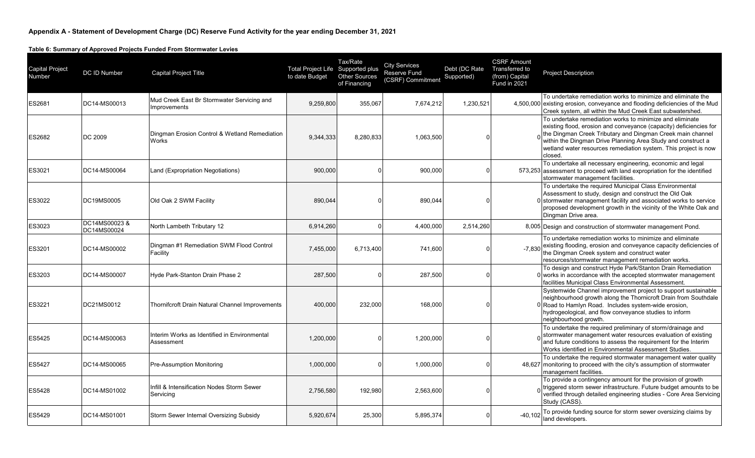**Table 6: Summary of Approved Projects Funded From Stormwater Levies**

| <b>Capital Project</b><br>Number | DC ID Number                | <b>Capital Project Title</b>                               | Total Project Life Supported plus<br>to date Budget | Tax/Rate<br><b>Other Sources</b><br>of Financing | <b>City Services</b><br><b>Reserve Fund</b><br>(CSRF) Commitment | Debt (DC Rate<br>Supported) | <b>CSRF Amount</b><br>Transferred to<br>(from) Capital<br>Fund in 2021 | <b>Project Description</b>                                                                                                                                                                                                                                                                                                                 |
|----------------------------------|-----------------------------|------------------------------------------------------------|-----------------------------------------------------|--------------------------------------------------|------------------------------------------------------------------|-----------------------------|------------------------------------------------------------------------|--------------------------------------------------------------------------------------------------------------------------------------------------------------------------------------------------------------------------------------------------------------------------------------------------------------------------------------------|
| ES2681                           | DC14-MS00013                | Mud Creek East Br Stormwater Servicing and<br>Improvements | 9,259,800                                           | 355,067                                          | 7,674,212                                                        | 1,230,521                   |                                                                        | To undertake remediation works to minimize and eliminate the<br>4,500,000 existing erosion, conveyance and flooding deficiencies of the Mud<br>Creek system, all within the Mud Creek East subwatershed.                                                                                                                                   |
| <b>ES2682</b>                    | DC 2009                     | Dingman Erosion Control & Wetland Remediation<br>Works     | 9,344,333                                           | 8,280,833                                        | 1,063,500                                                        | $\Omega$                    |                                                                        | To undertake remediation works to minimize and eliminate<br>existing flood, erosion and conveyance (capacity) deficiencies for<br>the Dingman Creek Tributary and Dingman Creek main channel<br>within the Dingman Drive Planning Area Study and construct a<br>wetland water resources remediation system. This project is now<br>closed. |
| ES3021                           | DC14-MS00064                | Land (Expropriation Negotiations)                          | 900,000                                             |                                                  | 900,000                                                          | <sup>0</sup>                |                                                                        | To undertake all necessary engineering, economic and legal<br>573,253 assessment to proceed with land expropriation for the identified<br>stormwater management facilities.                                                                                                                                                                |
| ES3022                           | DC19MS0005                  | Old Oak 2 SWM Facility                                     | 890,044                                             |                                                  | 890,044                                                          | <sup>n</sup>                |                                                                        | To undertake the required Municipal Class Environmental<br>Assessment to study, design and construct the Old Oak<br>0 stormwater management facility and associated works to service<br>proposed development growth in the vicinity of the White Oak and<br>Dingman Drive area.                                                            |
| ES3023                           | DC14MS00023&<br>DC14MS00024 | North Lambeth Tributary 12                                 | 6,914,260                                           | U                                                | 4,400,000                                                        | 2,514,260                   |                                                                        | 8,005 Design and construction of stormwater management Pond.                                                                                                                                                                                                                                                                               |
| ES3201                           | DC14-MS00002                | Dingman #1 Remediation SWM Flood Control<br>Facility       | 7,455,000                                           | 6,713,400                                        | 741,600                                                          |                             | $-7.830$                                                               | To undertake remediation works to minimize and eliminate<br>existing flooding, erosion and conveyance capacity deficiencies of<br>the Dingman Creek system and construct water<br>resources/stormwater management remediation works.                                                                                                       |
| ES3203                           | DC14-MS00007                | Hyde Park-Stanton Drain Phase 2                            | 287,500                                             |                                                  | 287,500                                                          | $\Omega$                    |                                                                        | To design and construct Hyde Park/Stanton Drain Remediation<br>$0$ works in accordance with the accepted stormwater management<br>facilities Municipal Class Environmental Assessment.                                                                                                                                                     |
| ES3221                           | DC21MS0012                  | <b>Thornifcroft Drain Natural Channel Improvements</b>     | 400,000                                             | 232,000                                          | 168,000                                                          | <sup>0</sup>                |                                                                        | Systemwide Channel improvement project to support sustainable<br>neighbourhood growth along the Thornicroft Drain from Southdale<br>0 Road to Hamlyn Road. Includes system-wide erosion,<br>hydrogeological, and flow conveyance studies to inform<br>neighbourhood growth.                                                                |
| <b>ES5425</b>                    | DC14-MS00063                | Interim Works as Identified in Environmental<br>Assessment | 1,200,000                                           |                                                  | 1,200,000                                                        |                             |                                                                        | To undertake the required preliminary of storm/drainage and<br>stormwater management water resources evaluation of existing<br>and future conditions to assess the requirement for the Interim<br>Works identified in Environmental Assessment Studies.                                                                                    |
| <b>ES5427</b>                    | DC14-MS00065                | Pre-Assumption Monitoring                                  | 1,000,000                                           | O                                                | 1,000,000                                                        | $\Omega$                    |                                                                        | To undertake the required stormwater management water quality<br>48,627 monitoring to proceed with the city's assumption of stormwater<br>management facilities.                                                                                                                                                                           |
| <b>ES5428</b>                    | DC14-MS01002                | Infill & Intensification Nodes Storm Sewer<br>Servicing    | 2,756,580                                           | 192,980                                          | 2,563,600                                                        |                             |                                                                        | To provide a contingency amount for the provision of growth<br>triggered storm sewer infrastructure. Future budget amounts to be<br>verified through detailed engineering studies - Core Area Servicing<br>Study (CASS).                                                                                                                   |
| <b>ES5429</b>                    | DC14-MS01001                | Storm Sewer Internal Oversizing Subsidy                    | 5,920,674                                           | 25,300                                           | 5,895,374                                                        | $\Omega$                    | $-40.102$                                                              | To provide funding source for storm sewer oversizing claims by<br>land developers.                                                                                                                                                                                                                                                         |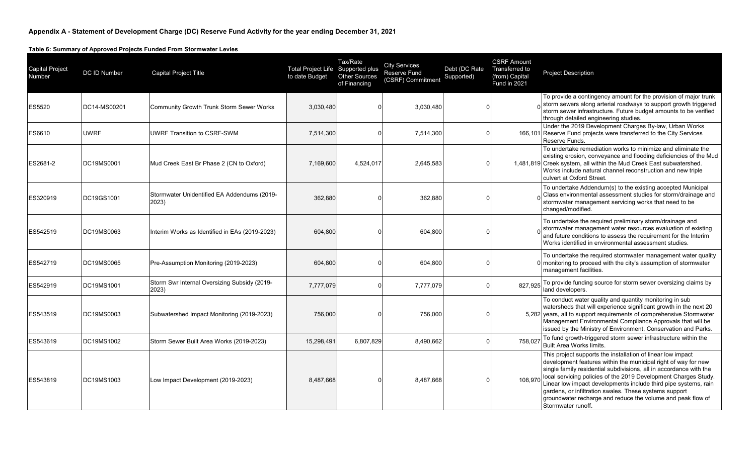**Table 6: Summary of Approved Projects Funded From Stormwater Levies**

| <b>Capital Project</b><br>Number | DC ID Number | Capital Project Title                                 | <b>Total Project Life Supported plus</b><br>to date Budget | Tax/Rate<br><b>Other Sources</b><br>of Financing | <b>City Services</b><br>Reserve Fund<br>(CSRF) Commitment | Debt (DC Rate<br>Supported) | <b>CSRF Amount</b><br>Transferred to<br>(from) Capital<br><b>Fund in 2021</b> | <b>Project Description</b>                                                                                                                                                                                                                                                                                                                                                                                                                                                               |
|----------------------------------|--------------|-------------------------------------------------------|------------------------------------------------------------|--------------------------------------------------|-----------------------------------------------------------|-----------------------------|-------------------------------------------------------------------------------|------------------------------------------------------------------------------------------------------------------------------------------------------------------------------------------------------------------------------------------------------------------------------------------------------------------------------------------------------------------------------------------------------------------------------------------------------------------------------------------|
| ES5520                           | DC14-MS00201 | <b>Community Growth Trunk Storm Sewer Works</b>       | 3,030,480                                                  | $\Omega$                                         | 3,030,480                                                 |                             |                                                                               | To provide a contingency amount for the provision of major trunk<br>storm sewers along arterial roadways to support growth triggered<br>storm sewer infrastructure. Future budget amounts to be verified<br>through detailed engineering studies.                                                                                                                                                                                                                                        |
| ES6610                           | <b>UWRF</b>  | UWRF Transition to CSRF-SWM                           | 7,514,300                                                  | $\Omega$                                         | 7,514,300                                                 |                             |                                                                               | Under the 2019 Development Charges By-law, Urban Works<br>166,101 Reserve Fund projects were transferred to the City Services<br>Reserve Funds.                                                                                                                                                                                                                                                                                                                                          |
| ES2681-2                         | DC19MS0001   | Mud Creek East Br Phase 2 (CN to Oxford)              | 7,169,600                                                  | 4,524,017                                        | 2,645,583                                                 |                             |                                                                               | To undertake remediation works to minimize and eliminate the<br>existing erosion, conveyance and flooding deficiencies of the Mud<br>1,481,819 Creek system, all within the Mud Creek East subwatershed.<br>Works include natural channel reconstruction and new triple<br>culvert at Oxford Street.                                                                                                                                                                                     |
| ES320919                         | DC19GS1001   | Stormwater Unidentified EA Addendums (2019-<br>2023)  | 362,880                                                    | $\Omega$                                         | 362,880                                                   |                             |                                                                               | To undertake Addendum(s) to the existing accepted Municipal<br>Class environmental assessment studies for storm/drainage and<br>stormwater management servicing works that need to be<br>changed/modified.                                                                                                                                                                                                                                                                               |
| ES542519                         | DC19MS0063   | Interim Works as Identified in EAs (2019-2023)        | 604,800                                                    | $\Omega$                                         | 604,800                                                   |                             |                                                                               | To undertake the required preliminary storm/drainage and<br>stormwater management water resources evaluation of existing<br>and future conditions to assess the requirement for the Interim<br>Works identified in environmental assessment studies.                                                                                                                                                                                                                                     |
| ES542719                         | DC19MS0065   | Pre-Assumption Monitoring (2019-2023)                 | 604,800                                                    | $\Omega$                                         | 604,800                                                   |                             |                                                                               | To undertake the required stormwater management water quality<br>0 monitoring to proceed with the city's assumption of stormwater<br>management facilities.                                                                                                                                                                                                                                                                                                                              |
| ES542919                         | DC19MS1001   | Storm Swr Internal Oversizing Subsidy (2019-<br>2023) | 7.777.079                                                  | $\mathbf{0}$                                     | 7,777,079                                                 |                             | 827.925                                                                       | To provide funding source for storm sewer oversizing claims by<br>land developers.                                                                                                                                                                                                                                                                                                                                                                                                       |
| ES543519                         | DC19MS0003   | Subwatershed Impact Monitoring (2019-2023)            | 756,000                                                    | $\Omega$                                         | 756,000                                                   |                             |                                                                               | To conduct water quality and quantity monitoring in sub<br>watersheds that will experience significant growth in the next 20<br>5,282 years, all to support requirements of comprehensive Stormwater<br>Management Environmental Compliance Approvals that will be<br>issued by the Ministry of Environment, Conservation and Parks.                                                                                                                                                     |
| ES543619                         | DC19MS1002   | Storm Sewer Built Area Works (2019-2023)              | 15,298,491                                                 | 6,807,829                                        | 8,490,662                                                 |                             | 758.027                                                                       | To fund growth-triggered storm sewer infrastructure within the<br>Built Area Works limits.                                                                                                                                                                                                                                                                                                                                                                                               |
| ES543819                         | DC19MS1003   | Low Impact Development (2019-2023)                    | 8,487,668                                                  | $\Omega$                                         | 8,487,668                                                 |                             | 108,970                                                                       | This project supports the installation of linear low impact<br>development features within the municipal right of way for new<br>single family residential subdivisions, all in accordance with the<br>local servicing policies of the 2019 Development Charges Study.<br>Linear low impact developments include third pipe systems, rain<br>gardens, or infiltration swales. These systems support<br>groundwater recharge and reduce the volume and peak flow of<br>Stormwater runoff. |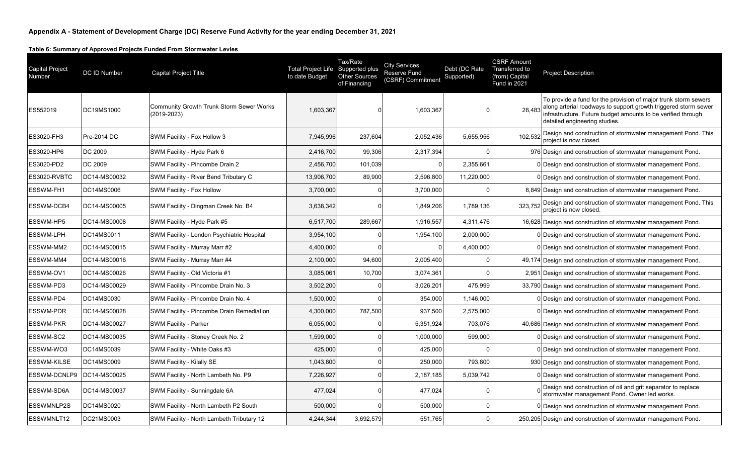**Table 6: Summary of Approved Projects Funded From Stormwater Levies**

| <b>Capital Project</b><br>Number | DC ID Number | Capital Project Title                                          | Total Project Life Supported plus<br>to date Budget | Tax/Rate<br><b>Other Sources</b><br>of Financing | <b>City Services</b><br><b>Reserve Fund</b><br>(CSRF) Commitment | Debt (DC Rate<br>Supported) | <b>CSRF Amount</b><br>Transferred to<br>(from) Capital<br><b>Fund in 2021</b> | <b>Project Description</b>                                                                                                                                                                                                                 |
|----------------------------------|--------------|----------------------------------------------------------------|-----------------------------------------------------|--------------------------------------------------|------------------------------------------------------------------|-----------------------------|-------------------------------------------------------------------------------|--------------------------------------------------------------------------------------------------------------------------------------------------------------------------------------------------------------------------------------------|
| ES552019                         | DC19MS1000   | <b>Community Growth Trunk Storm Sewer Works</b><br>(2019-2023) | 1,603,367                                           | <sup>0</sup>                                     | 1,603,367                                                        |                             |                                                                               | To provide a fund for the provision of major trunk storm sewers<br>28,483 along arterial roadways to support growth triggered storm sewer<br>infrastructure. Future budget amounts to be verified through<br>detailed engineering studies. |
| ES3020-FH3                       | Pre-2014 DC  | SWM Facility - Fox Hollow 3                                    | 7,945,996                                           | 237,604                                          | 2,052,436                                                        | 5,655,956                   | 102,532                                                                       | Design and construction of stormwater management Pond. This<br>project is now closed.                                                                                                                                                      |
| ES3020-HP6                       | DC 2009      | SWM Facility - Hyde Park 6                                     | 2,416,700                                           | 99,306                                           | 2,317,394                                                        |                             |                                                                               | 976 Design and construction of stormwater management Pond.                                                                                                                                                                                 |
| ES3020-PD2                       | DC 2009      | SWM Facility - Pincombe Drain 2                                | 2.456.700                                           | 101,039                                          | $\Omega$                                                         | 2.355.661                   |                                                                               | 0 Design and construction of stormwater management Pond.                                                                                                                                                                                   |
| ES3020-RVBTC                     | DC14-MS00032 | SWM Facility - River Bend Tributary C                          | 13,906,700                                          | 89,900                                           | 2,596,800                                                        | 11,220,000                  |                                                                               | 0 Design and construction of stormwater management Pond.                                                                                                                                                                                   |
| ESSWM-FH1                        | DC14MS0006   | SWM Facility - Fox Hollow                                      | 3,700,000                                           | $\Omega$                                         | 3,700,000                                                        |                             |                                                                               | 8,849 Design and construction of stormwater management Pond.                                                                                                                                                                               |
| ESSWM-DCB4                       | DC14-MS00005 | SWM Facility - Dingman Creek No. B4                            | 3,638,342                                           | $\Omega$                                         | 1,849,206                                                        | 1,789,136                   | 323.752                                                                       | Design and construction of stormwater management Pond. This<br>project is now closed.                                                                                                                                                      |
| ESSWM-HP5                        | DC14-MS00008 | SWM Facility - Hyde Park #5                                    | 6,517,700                                           | 289,667                                          | 1,916,557                                                        | 4,311,476                   |                                                                               | 16,628 Design and construction of stormwater management Pond.                                                                                                                                                                              |
| ESSWM-LPH                        | DC14MS0011   | <b>SWM Facility - London Psychiatric Hospital</b>              | 3,954,100                                           | 0                                                | 1,954,100                                                        | 2,000,000                   |                                                                               | 0 Design and construction of stormwater management Pond.                                                                                                                                                                                   |
| ESSWM-MM2                        | DC14-MS00015 | SWM Facility - Murray Marr #2                                  | 4,400,000                                           | $\Omega$                                         | $\Omega$                                                         | 4,400,000                   |                                                                               | 0 Design and construction of stormwater management Pond.                                                                                                                                                                                   |
| <b>ESSWM-MM4</b>                 | DC14-MS00016 | SWM Facility - Murray Marr #4                                  | 2,100,000                                           | 94,600                                           | 2,005,400                                                        |                             |                                                                               | 49,174 Design and construction of stormwater management Pond.                                                                                                                                                                              |
| ESSWM-OV1                        | DC14-MS00026 | SWM Facility - Old Victoria #1                                 | 3,085,061                                           | 10,700                                           | 3,074,361                                                        |                             |                                                                               | 2,951 Design and construction of stormwater management Pond.                                                                                                                                                                               |
| ESSWM-PD3                        | DC14-MS00029 | SWM Facility - Pincombe Drain No. 3                            | 3,502,200                                           | $\Omega$                                         | 3,026,201                                                        | 475,999                     |                                                                               | 33,790 Design and construction of stormwater management Pond.                                                                                                                                                                              |
| ESSWM-PD4                        | DC14MS0030   | SWM Facility - Pincombe Drain No. 4                            | 1,500,000                                           | $\Omega$                                         | 354,000                                                          | 1,146,000                   |                                                                               | 0 Design and construction of stormwater management Pond.                                                                                                                                                                                   |
| <b>IESSWM-PDR</b>                | DC14-MS00028 | SWM Facility - Pincombe Drain Remediation                      | 4,300,000                                           | 787,500                                          | 937,500                                                          | 2,575,000                   |                                                                               | 0 Design and construction of stormwater management Pond.                                                                                                                                                                                   |
| <b>ESSWM-PKR</b>                 | DC14-MS00027 | <b>SWM Facility - Parker</b>                                   | 6,055,000                                           | 0                                                | 5,351,924                                                        | 703,076                     |                                                                               | 40,686 Design and construction of stormwater management Pond.                                                                                                                                                                              |
| ESSWM-SC2                        | DC14-MS00035 | SWM Facility - Stoney Creek No. 2                              | 1,599,000                                           | 0                                                | 1,000,000                                                        | 599,000                     |                                                                               | 0 Design and construction of stormwater management Pond.                                                                                                                                                                                   |
| <b>IESSWM-WO3</b>                | DC14MS0039   | SWM Facility - White Oaks #3                                   | 425,000                                             | $\Omega$                                         | 425,000                                                          |                             |                                                                               | 0 Design and construction of stormwater management Pond.                                                                                                                                                                                   |
| <b>ESSWM-KILSE</b>               | DC14MS0009   | SWM Facility - Kilally SE                                      | 1,043,800                                           | 0                                                | 250,000                                                          | 793,800                     |                                                                               | 930 Design and construction of stormwater management Pond.                                                                                                                                                                                 |
| ESSWM-DCNLP9                     | DC14-MS00025 | SWM Facility - North Lambeth No. P9                            | 7,226,927                                           | $\Omega$                                         | 2,187,185                                                        | 5,039,742                   |                                                                               | 0 Design and construction of stormwater management Pond.                                                                                                                                                                                   |
| <b>ESSWM-SD6A</b>                | DC14-MS00037 | SWM Facility - Sunningdale 6A                                  | 477,024                                             | 0                                                | 477,024                                                          |                             |                                                                               | Design and construction of oil and grit separator to replace<br>stormwater management Pond. Owner led works.                                                                                                                               |
| <b>ESSWMNLP2S</b>                | DC14MS0020   | SWM Facility - North Lambeth P2 South                          | 500,000                                             | $\Omega$                                         | 500,000                                                          |                             |                                                                               | 0 Design and construction of stormwater management Pond.                                                                                                                                                                                   |
| <b>ESSWMNLT12</b>                | DC21MS0003   | SWM Facility - North Lambeth Tributary 12                      | 4,244,344                                           | 3,692,579                                        | 551,765                                                          |                             |                                                                               | 250,205 Design and construction of stormwater management Pond.                                                                                                                                                                             |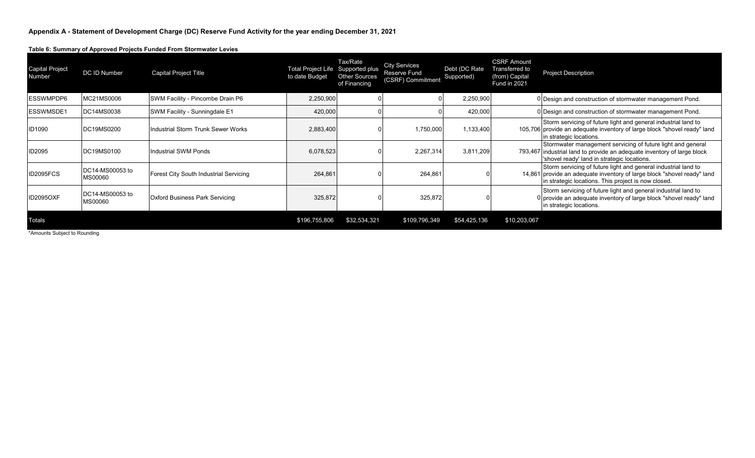**Table 6: Summary of Approved Projects Funded From Stormwater Levies**

| <b>Capital Project</b><br>Number | <b>DC ID Number</b>               | <b>Capital Project Title</b>                  | Total Project Life Supported plus<br>to date Budget | Tax/Rate<br><b>Other Sources</b><br>of Financing | <b>City Services</b><br><b>Reserve Fund</b><br>(CSRF) Commitment | Debt (DC Rate<br>Supported) | <b>CSRF Amount</b><br>Transferred to<br>(from) Capital<br>Fund in 2021 | <b>Project Description</b>                                                                                                                                                                       |
|----------------------------------|-----------------------------------|-----------------------------------------------|-----------------------------------------------------|--------------------------------------------------|------------------------------------------------------------------|-----------------------------|------------------------------------------------------------------------|--------------------------------------------------------------------------------------------------------------------------------------------------------------------------------------------------|
| ESSWMPDP6                        | MC21MS0006                        | SWM Facility - Pincombe Drain P6              | 2,250,900                                           |                                                  |                                                                  | 2,250,900                   |                                                                        | 0 Design and construction of stormwater management Pond.                                                                                                                                         |
| ESSWMSDE1                        | <b>DC14MS0038</b>                 | SWM Facility - Sunningdale E1                 | 420,000                                             |                                                  |                                                                  | 420,000                     |                                                                        | 0 Design and construction of stormwater management Pond.                                                                                                                                         |
| <b>ID1090</b>                    | DC19MS0200                        | Industrial Storm Trunk Sewer Works            | 2,883,400                                           |                                                  | 1,750,000                                                        | 1,133,400                   |                                                                        | Storm servicing of future light and general industrial land to<br>105,706 provide an adequate inventory of large block "shovel ready" land<br>in strategic locations.                            |
| ID2095                           | DC19MS0100                        | <b>Industrial SWM Ponds</b>                   | 6,078,523                                           |                                                  | 2,267,314                                                        | 3,811,209                   |                                                                        | Stormwater management servicing of future light and general<br>793,467 industrial land to provide an adequate inventory of large block<br>'shovel ready' land in strategic locations.            |
| ID2095FCS                        | DC14-MS00053 to<br><b>MS00060</b> | <b>Forest City South Industrial Servicing</b> | 264,861                                             |                                                  | 264,861                                                          |                             |                                                                        | Storm servicing of future light and general industrial land to<br>14,861 provide an adequate inventory of large block "shovel ready" land<br>in strategic locations. This project is now closed. |
| <b>ID2095OXF</b>                 | DC14-MS00053 to<br><b>MS00060</b> | <b>Oxford Business Park Servicing</b>         | 325,872                                             |                                                  | 325,872                                                          |                             |                                                                        | Storm servicing of future light and general industrial land to<br>0 provide an adequate inventory of large block "shovel ready" land<br>in strategic locations.                                  |
| <b>Totals</b>                    |                                   |                                               | \$196,755,806                                       | \$32,534,321                                     | \$109,796,349                                                    | \$54,425,136                | \$10,203,067                                                           |                                                                                                                                                                                                  |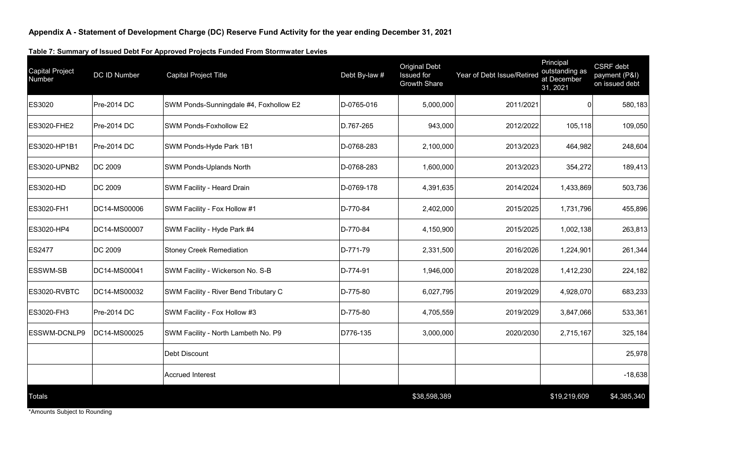#### **Table 7: Summary of Issued Debt For Approved Projects Funded From Stormwater Levies**

| <b>Capital Project</b><br>Number | DC ID Number   | <b>Capital Project Title</b>           | Debt By-law # | <b>Original Debt</b><br><b>Issued</b> for<br><b>Growth Share</b> | Year of Debt Issue/Retired | Principal<br>outstanding as<br>at December<br>31, 2021 | CSRF debt<br>payment (P&I)<br>on issued debt |
|----------------------------------|----------------|----------------------------------------|---------------|------------------------------------------------------------------|----------------------------|--------------------------------------------------------|----------------------------------------------|
| ES3020                           | Pre-2014 DC    | SWM Ponds-Sunningdale #4, Foxhollow E2 | D-0765-016    | 5,000,000                                                        | 2011/2021                  | 0                                                      | 580,183                                      |
| <b>ES3020-FHE2</b>               | Pre-2014 DC    | SWM Ponds-Foxhollow E2                 | D.767-265     | 943,000                                                          | 2012/2022                  | 105,118                                                | 109,050                                      |
| ES3020-HP1B1                     | Pre-2014 DC    | SWM Ponds-Hyde Park 1B1                | D-0768-283    | 2,100,000                                                        | 2013/2023                  | 464,982                                                | 248,604                                      |
| ES3020-UPNB2                     | <b>DC 2009</b> | <b>SWM Ponds-Uplands North</b>         | D-0768-283    | 1,600,000                                                        | 2013/2023                  | 354,272                                                | 189,413                                      |
| <b>ES3020-HD</b>                 | DC 2009        | SWM Facility - Heard Drain             | D-0769-178    | 4,391,635                                                        | 2014/2024                  | 1,433,869                                              | 503,736                                      |
| ES3020-FH1                       | DC14-MS00006   | SWM Facility - Fox Hollow #1           | D-770-84      | 2,402,000                                                        | 2015/2025                  | 1,731,796                                              | 455,896                                      |
| ES3020-HP4                       | DC14-MS00007   | SWM Facility - Hyde Park #4            | D-770-84      | 4,150,900                                                        | 2015/2025                  | 1,002,138                                              | 263,813                                      |
| <b>ES2477</b>                    | <b>DC 2009</b> | Stoney Creek Remediation               | D-771-79      | 2,331,500                                                        | 2016/2026                  | 1,224,901                                              | 261,344                                      |
| <b>ESSWM-SB</b>                  | DC14-MS00041   | SWM Facility - Wickerson No. S-B       | D-774-91      | 1,946,000                                                        | 2018/2028                  | 1,412,230                                              | 224,182                                      |
| ES3020-RVBTC                     | DC14-MS00032   | SWM Facility - River Bend Tributary C  | D-775-80      | 6,027,795                                                        | 2019/2029                  | 4,928,070                                              | 683,233                                      |
| ES3020-FH3                       | Pre-2014 DC    | SWM Facility - Fox Hollow #3           | D-775-80      | 4,705,559                                                        | 2019/2029                  | 3,847,066                                              | 533,361                                      |
| <b>ESSWM-DCNLP9</b>              | DC14-MS00025   | SWM Facility - North Lambeth No. P9    | D776-135      | 3,000,000                                                        | 2020/2030                  | 2,715,167                                              | 325,184                                      |
|                                  |                | Debt Discount                          |               |                                                                  |                            |                                                        | 25,978                                       |
|                                  |                | <b>Accrued Interest</b>                |               |                                                                  |                            |                                                        | $-18,638$                                    |
| <b>Totals</b>                    |                |                                        |               | \$38,598,389                                                     |                            | \$19,219,609                                           | \$4,385,340                                  |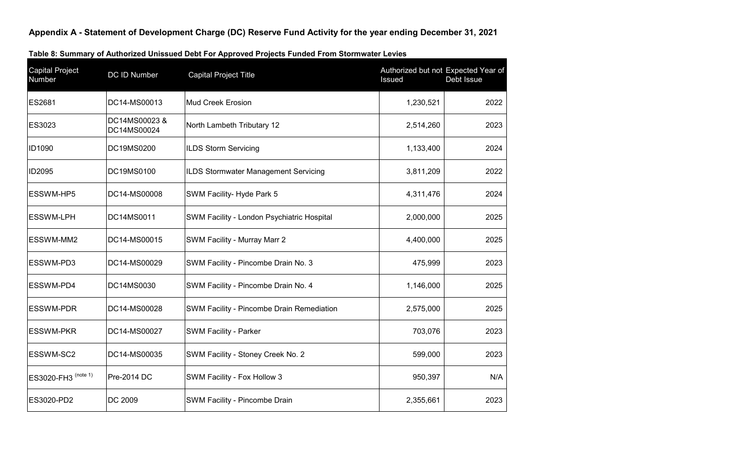| <b>Capital Project</b><br>Number | DC ID Number                | <b>Capital Project Title</b>               | Authorized but not Expected Year of<br>Issued | Debt Issue |
|----------------------------------|-----------------------------|--------------------------------------------|-----------------------------------------------|------------|
| ES2681                           | DC14-MS00013                | <b>Mud Creek Erosion</b>                   | 1,230,521                                     | 2022       |
| ES3023                           | DC14MS00023&<br>DC14MS00024 | North Lambeth Tributary 12                 | 2,514,260                                     | 2023       |
| ID1090                           | DC19MS0200                  | <b>ILDS Storm Servicing</b>                | 1,133,400                                     | 2024       |
| ID2095                           | DC19MS0100                  | ILDS Stormwater Management Servicing       | 3,811,209                                     | 2022       |
| ESSWM-HP5                        | DC14-MS00008                | SWM Facility- Hyde Park 5                  | 4,311,476                                     | 2024       |
| <b>ESSWM-LPH</b>                 | DC14MS0011                  | SWM Facility - London Psychiatric Hospital | 2,000,000                                     | 2025       |
| ESSWM-MM2                        | DC14-MS00015                | SWM Facility - Murray Marr 2               | 4,400,000                                     | 2025       |
| ESSWM-PD3                        | DC14-MS00029                | SWM Facility - Pincombe Drain No. 3        | 475,999                                       | 2023       |
| ESSWM-PD4                        | DC14MS0030                  | SWM Facility - Pincombe Drain No. 4        | 1,146,000                                     | 2025       |
| <b>ESSWM-PDR</b>                 | DC14-MS00028                | SWM Facility - Pincombe Drain Remediation  | 2,575,000                                     | 2025       |
| <b>ESSWM-PKR</b>                 | DC14-MS00027                | <b>SWM Facility - Parker</b>               | 703,076                                       | 2023       |
| ESSWM-SC2                        | DC14-MS00035                | SWM Facility - Stoney Creek No. 2          | 599,000                                       | 2023       |
| ES3020-FH3 (note 1)              | Pre-2014 DC                 | SWM Facility - Fox Hollow 3                | 950,397                                       | N/A        |
| ES3020-PD2                       | DC 2009                     | SWM Facility - Pincombe Drain              | 2,355,661                                     | 2023       |

### **Table 8: Summary of Authorized Unissued Debt For Approved Projects Funded From Stormwater Levies**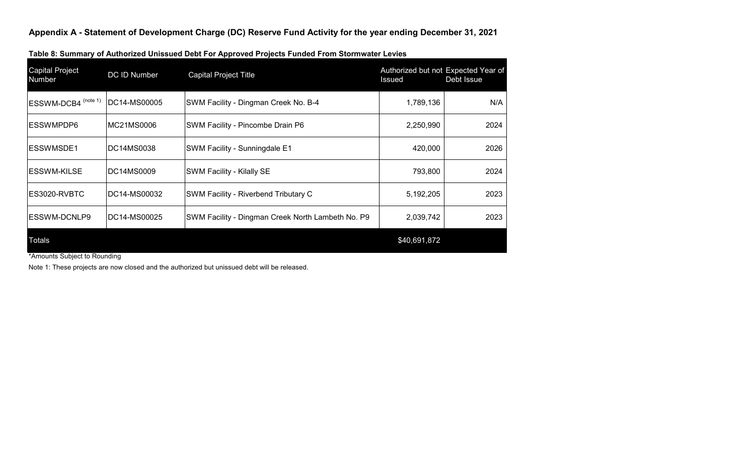| <b>Capital Project</b><br>Number | DC ID Number | <b>Capital Project Title</b>                      | Authorized but not Expected Year of<br>Issued | Debt Issue |
|----------------------------------|--------------|---------------------------------------------------|-----------------------------------------------|------------|
| ESSWM-DCB4 (note 1)              | DC14-MS00005 | SWM Facility - Dingman Creek No. B-4              | 1,789,136                                     | N/A        |
| <b>ESSWMPDP6</b>                 | MC21MS0006   | SWM Facility - Pincombe Drain P6                  | 2,250,990                                     | 2024       |
| <b>ESSWMSDE1</b>                 | DC14MS0038   | SWM Facility - Sunningdale E1                     | 420,000                                       | 2026       |
| ESSWM-KILSE                      | DC14MS0009   | SWM Facility - Kilally SE                         | 793,800                                       | 2024       |
| ES3020-RVBTC                     | DC14-MS00032 | SWM Facility - Riverbend Tributary C              | 5,192,205                                     | 2023       |
| <b>ESSWM-DCNLP9</b>              | DC14-MS00025 | SWM Facility - Dingman Creek North Lambeth No. P9 | 2,039,742                                     | 2023       |
| Totals                           |              |                                                   | \$40,691,872                                  |            |

\*Amounts Subject to Rounding

Note 1: These projects are now closed and the authorized but unissued debt will be released.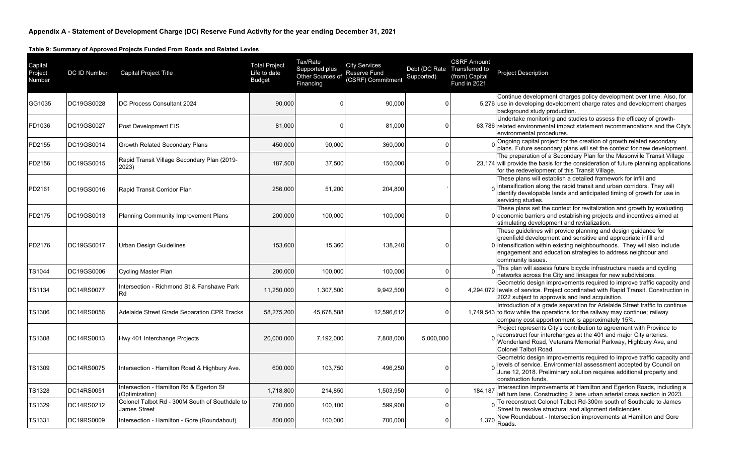| Capital<br>Project<br>Number | DC ID Number | <b>Capital Project Title</b>                                          | <b>Total Project</b><br>Life to date<br><b>Budget</b> | Tax/Rate<br>Supported plus<br>Other Sources of<br>Financing | <b>City Services</b><br>Reserve Fund<br>(CSRF) Commitment | Debt (DC Rate Transferred to<br>Supported) | <b>CSRF Amount</b><br>(from) Capital<br><b>Fund in 2021</b> | <b>Project Description</b>                                                                                                                                                                                                                                                                         |
|------------------------------|--------------|-----------------------------------------------------------------------|-------------------------------------------------------|-------------------------------------------------------------|-----------------------------------------------------------|--------------------------------------------|-------------------------------------------------------------|----------------------------------------------------------------------------------------------------------------------------------------------------------------------------------------------------------------------------------------------------------------------------------------------------|
| GG1035                       | DC19GS0028   | DC Process Consultant 2024                                            | 90,000                                                |                                                             | 90,000                                                    |                                            |                                                             | Continue development charges policy development over time. Also, for<br>5,276 use in developing development charge rates and development charges<br>background study production.                                                                                                                   |
| PD1036                       | DC19GS0027   | Post Development EIS                                                  | 81,000                                                |                                                             | 81,000                                                    |                                            |                                                             | Undertake monitoring and studies to assess the efficacy of growth-<br>63,786 related environmental impact statement recommendations and the City's<br>environmental procedures.                                                                                                                    |
| PD2155                       | DC19GS0014   | Growth Related Secondary Plans                                        | 450,000                                               | 90,000                                                      | 360,000                                                   |                                            |                                                             | Ongoing capital project for the creation of growth related secondary<br>plans. Future secondary plans will set the context for new development.                                                                                                                                                    |
| PD2156                       | DC19GS0015   | Rapid Transit Village Secondary Plan (2019-<br>2023)                  | 187,500                                               | 37,500                                                      | 150,000                                                   |                                            |                                                             | The preparation of a Secondary Plan for the Masonville Transit Village<br>23,174 will provide the basis for the consideration of future planning applications<br>for the redevelopment of this Transit Village.                                                                                    |
| PD2161                       | DC19GS0016   | Rapid Transit Corridor Plan                                           | 256,000                                               | 51,200                                                      | 204,800                                                   |                                            |                                                             | These plans will establish a detailed framework for infill and<br>intensification along the rapid transit and urban corridors. They will<br>identify developable lands and anticipated timing of growth for use in<br>servicing studies.                                                           |
| PD2175                       | DC19GS0013   | <b>Planning Community Improvement Plans</b>                           | 200,000                                               | 100,000                                                     | 100,000                                                   |                                            |                                                             | These plans set the context for revitalization and growth by evaluating<br>0 economic barriers and establishing projects and incentives aimed at<br>stimulating development and revitalization.                                                                                                    |
| PD2176                       | DC19GS0017   | Urban Design Guidelines                                               | 153,600                                               | 15,360                                                      | 138,240                                                   |                                            |                                                             | These guidelines will provide planning and design guidance for<br>greenfield development and sensitive and appropriate infill and<br>0 intensification within existing neighbourhoods. They will also include<br>engagement and education strategies to address neighbour and<br>community issues. |
| <b>TS1044</b>                | DC19GS0006   | <b>Cycling Master Plan</b>                                            | 200,000                                               | 100,000                                                     | 100,000                                                   |                                            |                                                             | This plan will assess future bicycle infrastructure needs and cycling<br>networks across the City and linkages for new subdivisions.                                                                                                                                                               |
| <b>TS1134</b>                | DC14RS0077   | Intersection - Richmond St & Fanshawe Park<br>Rd                      | 11,250,000                                            | 1,307,500                                                   | 9,942,500                                                 |                                            |                                                             | Geometric design improvements required to improve traffic capacity and<br>4,294,072 levels of service. Project coordinated with Rapid Transit. Construction in<br>2022 subject to approvals and land acquisition.                                                                                  |
| <b>TS1306</b>                | DC14RS0056   | Adelaide Street Grade Separation CPR Tracks                           | 58,275,200                                            | 45,678,588                                                  | 12,596,612                                                | $\Omega$                                   |                                                             | Introduction of a grade separation for Adelaide Street traffic to continue<br>1,749,543 to flow while the operations for the railway may continue; railway<br>company cost apportionment is approximately 15%.                                                                                     |
| <b>TS1308</b>                | DC14RS0013   | Hwy 401 Interchange Projects                                          | 20,000,000                                            | 7,192,000                                                   | 7,808,000                                                 | 5,000,000                                  |                                                             | Project represents City's contribution to agreement with Province to<br>reconstruct four interchanges at the 401 and major City arteries:<br>Wonderland Road, Veterans Memorial Parkway, Highbury Ave, and<br>Colonel Talbot Road.                                                                 |
| <b>TS1309</b>                | DC14RS0075   | Intersection - Hamilton Road & Highbury Ave.                          | 600,000                                               | 103,750                                                     | 496,250                                                   |                                            |                                                             | Geometric design improvements required to improve traffic capacity and<br>levels of service. Environmental assessment accepted by Council on<br>June 12, 2018. Preliminary solution requires additional property and<br>construction funds.                                                        |
| <b>TS1328</b>                | DC14RS0051   | Intersection - Hamilton Rd & Egerton St<br>Optimization)              | 1,718,800                                             | 214,850                                                     | 1,503,950                                                 |                                            | 184,187                                                     | Intersection improvements at Hamilton and Egerton Roads, including a<br>left turn lane. Constructing 2 lane urban arterial cross section in 2023.                                                                                                                                                  |
| <b>TS1329</b>                | DC14RS0212   | Colonel Talbot Rd - 300M South of Southdale to<br><b>James Street</b> | 700,000                                               | 100,100                                                     | 599,900                                                   |                                            |                                                             | To reconstruct Colonel Talbot Rd-300m south of Southdale to James<br>Street to resolve structural and alignment deficiencies.                                                                                                                                                                      |
| <b>TS1331</b>                | DC19RS0009   | Intersection - Hamilton - Gore (Roundabout)                           | 800,000                                               | 100,000                                                     | 700,000                                                   |                                            | 1,370                                                       | New Roundabout - Intersection improvements at Hamilton and Gore<br>Roads.                                                                                                                                                                                                                          |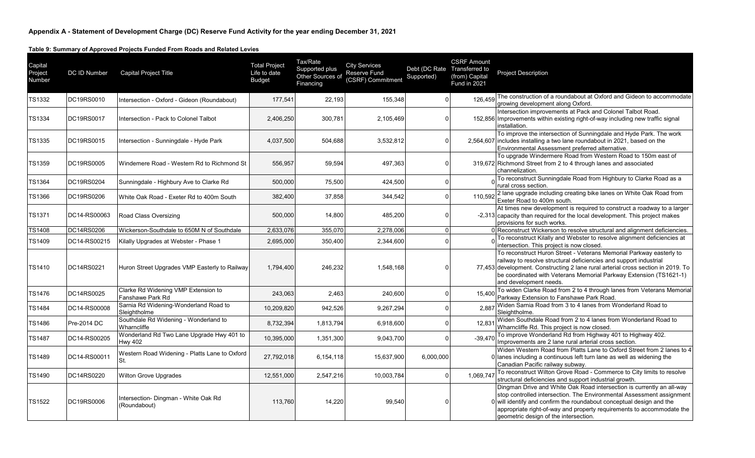| Capital<br>Project<br>Number | DC ID Number | <b>Capital Project Title</b>                                | <b>Total Project</b><br>Life to date<br><b>Budget</b> | Tax/Rate<br>Supported plus<br>Other Sources of<br>Financing | <b>City Services</b><br>Reserve Fund<br>(CSRF) Commitment | Debt (DC Rate Transferred to<br>Supported) | <b>CSRF Amount</b><br>(from) Capital<br><b>Fund in 2021</b> | <b>Project Description</b>                                                                                                                                                                                                                                                                                                               |
|------------------------------|--------------|-------------------------------------------------------------|-------------------------------------------------------|-------------------------------------------------------------|-----------------------------------------------------------|--------------------------------------------|-------------------------------------------------------------|------------------------------------------------------------------------------------------------------------------------------------------------------------------------------------------------------------------------------------------------------------------------------------------------------------------------------------------|
| TS1332                       | DC19RS0010   | Intersection - Oxford - Gideon (Roundabout)                 | 177,541                                               | 22,193                                                      | 155,348                                                   |                                            | 126,459                                                     | The construction of a roundabout at Oxford and Gideon to accommodate<br>growing development along Oxford.                                                                                                                                                                                                                                |
| TS1334                       | DC19RS0017   | Intersection - Pack to Colonel Talbot                       | 2,406,250                                             | 300,781                                                     | 2,105,469                                                 |                                            |                                                             | Intersection improvements at Pack and Colonel Talbot Road.<br>152,856 Improvements within existing right-of-way including new traffic signal<br>installation.                                                                                                                                                                            |
| <b>TS1335</b>                | DC19RS0015   | Intersection - Sunningdale - Hyde Park                      | 4,037,500                                             | 504,688                                                     | 3,532,812                                                 | O                                          |                                                             | To improve the intersection of Sunningdale and Hyde Park. The work<br>2,564,607 includes installing a two lane roundabout in 2021, based on the<br>Environmental Assessment preferred alternative.                                                                                                                                       |
| TS1359                       | DC19RS0005   | Windemere Road - Western Rd to Richmond St                  | 556,957                                               | 59,594                                                      | 497,363                                                   |                                            |                                                             | To upgrade Windermere Road from Western Road to 150m east of<br>319,672 Richmond Street from 2 to 4 through lanes and associated<br>channelization.                                                                                                                                                                                      |
| <b>TS1364</b>                | DC19RS0204   | Sunningdale - Highbury Ave to Clarke Rd                     | 500,000                                               | 75,500                                                      | 424,500                                                   |                                            |                                                             | To reconstruct Sunningdale Road from Highbury to Clarke Road as a<br>rural cross section.                                                                                                                                                                                                                                                |
| TS1366                       | DC19RS0206   | White Oak Road - Exeter Rd to 400m South                    | 382,400                                               | 37,858                                                      | 344,542                                                   | O                                          |                                                             | 110,592 2 lane upgrade including creating bike lanes on White Oak Road from<br>Exeter Road to 400m south.                                                                                                                                                                                                                                |
| TS1371                       | DC14-RS00063 | Road Class Oversizing                                       | 500,000                                               | 14,800                                                      | 485,200                                                   |                                            |                                                             | At times new development is required to construct a roadway to a larger<br>-2,313 capacity than required for the local development. This project makes<br>provisions for such works.                                                                                                                                                     |
| <b>TS1408</b>                | DC14RS0206   | Wickerson-Southdale to 650M N of Southdale                  | 2,633,076                                             | 355,070                                                     | 2,278,006                                                 | ∩                                          |                                                             | 0 Reconstruct Wickerson to resolve structural and alignment deficiencies.                                                                                                                                                                                                                                                                |
| TS1409                       | DC14-RS00215 | Kilally Upgrades at Webster - Phase 1                       | 2,695,000                                             | 350,400                                                     | 2,344,600                                                 |                                            |                                                             | To reconstruct Kilally and Webster to resolve alignment deficiencies at<br>intersection. This project is now closed.                                                                                                                                                                                                                     |
| TS1410                       | DC14RS0221   | Huron Street Upgrades VMP Easterly to Railway               | 1,794,400                                             | 246,232                                                     | 1,548,168                                                 |                                            |                                                             | To reconstruct Huron Street - Veterans Memorial Parkway easterly to<br>railway to resolve structural deficiencies and support industrial<br>77,453 development. Constructing 2 lane rural arterial cross section in 2019. To<br>be coordinated with Veterans Memorial Parkway Extension (TS1621-1)<br>and development needs.             |
| <b>TS1476</b>                | DC14RS0025   | Clarke Rd Widening VMP Extension to<br>Fanshawe Park Rd     | 243,063                                               | 2,463                                                       | 240,600                                                   |                                            | 15.400                                                      | To widen Clarke Road from 2 to 4 through lanes from Veterans Memorial<br>Parkway Extension to Fanshawe Park Road.                                                                                                                                                                                                                        |
| TS1484                       | DC14-RS00008 | Sarnia Rd Widening-Wonderland Road to<br>Sleightholme       | 10,209,820                                            | 942,526                                                     | 9,267,294                                                 |                                            | 2,88                                                        | Widen Sarnia Road from 3 to 4 lanes from Wonderland Road to<br>Sleightholme.                                                                                                                                                                                                                                                             |
| TS1486                       | Pre-2014 DC  | Southdale Rd Widening - Wonderland to<br>Wharncliffe        | 8,732,394                                             | 1,813,794                                                   | 6,918,600                                                 |                                            | 12,831                                                      | Widen Southdale Road from 2 to 4 lanes from Wonderland Road to<br>Wharncliffe Rd. This project is now closed.                                                                                                                                                                                                                            |
| <b>TS1487</b>                | DC14-RS00205 | Wonderland Rd Two Lane Upgrade Hwy 401 to<br><b>Hwy 402</b> | 10,395,000                                            | 1,351,300                                                   | 9,043,700                                                 |                                            | $-39,470$                                                   | To improve Wonderland Rd from Highway 401 to Highway 402.<br>Improvements are 2 lane rural arterial cross section.                                                                                                                                                                                                                       |
| TS1489                       | DC14-RS00011 | Western Road Widening - Platts Lane to Oxford<br>St.        | 27,792,018                                            | 6,154,118                                                   | 15,637,900                                                | 6,000,000                                  |                                                             | Widen Western Road from Platts Lane to Oxford Street from 2 lanes to 4<br>0 lanes including a continuous left turn lane as well as widening the<br>Canadian Pacific railway subway.                                                                                                                                                      |
| <b>TS1490</b>                | DC14RS0220   | <b>Wilton Grove Upgrades</b>                                | 12,551,000                                            | 2,547,216                                                   | 10,003,784                                                | $\Omega$                                   | 1,069,747                                                   | To reconstruct Wilton Grove Road - Commerce to City limits to resolve<br>structural deficiencies and support industrial growth.                                                                                                                                                                                                          |
| <b>TS1522</b>                | DC19RS0006   | Intersection- Dingman - White Oak Rd<br>(Roundabout)        | 113,760                                               | 14,220                                                      | 99,540                                                    |                                            |                                                             | Dingman Drive and White Oak Road intersection is currently an all-way<br>stop controlled intersection. The Environmental Assessment assignment<br>0 will identify and confirm the roundabout conceptual design and the<br>appropriate right-of-way and property requirements to accommodate the<br>geometric design of the intersection. |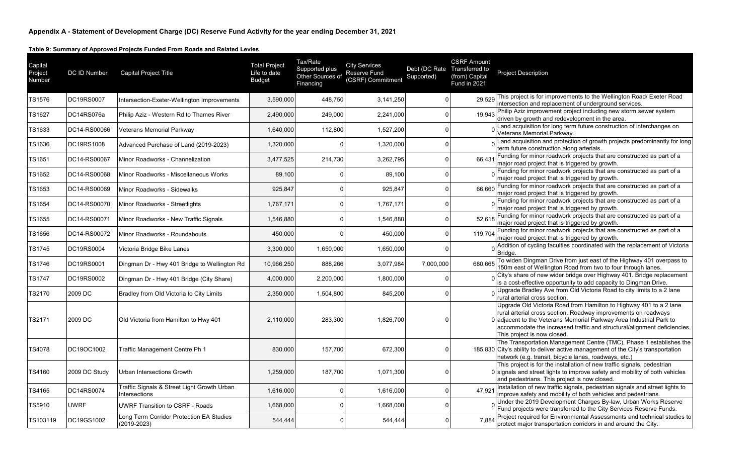| Capital<br>Project<br>Number | DC ID Number  | <b>Capital Project Title</b>                                 | <b>Total Project</b><br>Life to date<br><b>Budget</b> | Tax/Rate<br>Supported plus<br>Other Sources of<br>Financing | <b>City Services</b><br><b>Reserve Fund</b><br>(CSRF) Commitment | Debt (DC Rate Transferred to<br>Supported) | <b>CSRF Amount</b><br>(from) Capital<br>Fund in 2021 | <b>Project Description</b>                                                                                                                                                                                                                                                                                           |
|------------------------------|---------------|--------------------------------------------------------------|-------------------------------------------------------|-------------------------------------------------------------|------------------------------------------------------------------|--------------------------------------------|------------------------------------------------------|----------------------------------------------------------------------------------------------------------------------------------------------------------------------------------------------------------------------------------------------------------------------------------------------------------------------|
| TS1576                       | DC19RS0007    | Intersection-Exeter-Wellington Improvements                  | 3,590,000                                             | 448,750                                                     | 3,141,250                                                        |                                            | 29,529                                               | This project is for improvements to the Wellington Road/ Exeter Road<br>intersection and replacement of underground services.                                                                                                                                                                                        |
| <b>TS1627</b>                | DC14RS076a    | Philip Aziz - Western Rd to Thames River                     | 2,490,000                                             | 249,000                                                     | 2,241,000                                                        |                                            | 19.943                                               | Philip Aziz improvement project including new storm sewer system<br>driven by growth and redevelopment in the area.                                                                                                                                                                                                  |
| TS1633                       | DC14-RS00066  | Veterans Memorial Parkway                                    | 1,640,000                                             | 112,800                                                     | 1,527,200                                                        | $\Omega$                                   |                                                      | Land acquisition for long term future construction of interchanges on<br>Veterans Memorial Parkway.                                                                                                                                                                                                                  |
| TS1636                       | DC19RS1008    | Advanced Purchase of Land (2019-2023)                        | 1,320,000                                             |                                                             | 1,320,000                                                        | $\Omega$                                   |                                                      | Land acquisition and protection of growth projects predominantly for long<br>term future construction along arterials.                                                                                                                                                                                               |
| TS1651                       | DC14-RS00067  | Minor Roadworks - Channelization                             | 3,477,525                                             | 214,730                                                     | 3,262,795                                                        | $\Omega$                                   | 66.431                                               | Funding for minor roadwork projects that are constructed as part of a<br>major road project that is triggered by growth.                                                                                                                                                                                             |
| TS1652                       | DC14-RS00068  | Minor Roadworks - Miscellaneous Works                        | 89,100                                                |                                                             | 89,100                                                           | $\Omega$                                   |                                                      | Funding for minor roadwork projects that are constructed as part of a<br>major road project that is triggered by growth.                                                                                                                                                                                             |
| TS1653                       | DC14-RS00069  | Minor Roadworks - Sidewalks                                  | 925.847                                               |                                                             | 925,847                                                          | $\Omega$                                   | 66,660                                               | Funding for minor roadwork projects that are constructed as part of a<br>major road project that is triggered by growth.                                                                                                                                                                                             |
| <b>TS1654</b>                | DC14-RS00070  | Minor Roadworks - Streetlights                               | 1,767,171                                             |                                                             | 1,767,171                                                        | $\Omega$                                   |                                                      | Funding for minor roadwork projects that are constructed as part of a<br>major road project that is triggered by growth.                                                                                                                                                                                             |
| TS1655                       | DC14-RS00071  | Minor Roadworks - New Traffic Signals                        | 1.546.880                                             |                                                             | 1,546,880                                                        | $\Omega$                                   | 52.618                                               | Funding for minor roadwork projects that are constructed as part of a<br>major road project that is triggered by growth.                                                                                                                                                                                             |
| TS1656                       | DC14-RS00072  | Minor Roadworks - Roundabouts                                | 450,000                                               |                                                             | 450,000                                                          | $\mathbf 0$                                | 119,704                                              | Funding for minor roadwork projects that are constructed as part of a<br>major road project that is triggered by growth.                                                                                                                                                                                             |
| TS1745                       | DC19RS0004    | Victoria Bridge Bike Lanes                                   | 3,300,000                                             | 1,650,000                                                   | 1,650,000                                                        | $\Omega$                                   |                                                      | Addition of cycling faculties coordinated with the replacement of Victoria<br>Bridge.                                                                                                                                                                                                                                |
| TS1746                       | DC19RS0001    | Dingman Dr - Hwy 401 Bridge to Wellington Rd                 | 10,966,250                                            | 888,266                                                     | 3,077,984                                                        | 7,000,000                                  | 680,665                                              | To widen Dingman Drive from just east of the Highway 401 overpass to<br>150m east of Wellington Road from two to four through lanes.                                                                                                                                                                                 |
| <b>TS1747</b>                | DC19RS0002    | Dingman Dr - Hwy 401 Bridge (City Share)                     | 4,000,000                                             | 2,200,000                                                   | 1,800,000                                                        | $\Omega$                                   |                                                      | City's share of new wider bridge over Highway 401. Bridge replacement<br>is a cost-effective opportunity to add capacity to Dingman Drive.                                                                                                                                                                           |
| TS2170                       | 2009 DC       | Bradley from Old Victoria to City Limits                     | 2,350,000                                             | 1,504,800                                                   | 845,200                                                          | $\Omega$                                   |                                                      | Upgrade Bradley Ave from Old Victoria Road to city limits to a 2 lane<br>rural arterial cross section.                                                                                                                                                                                                               |
| TS2171                       | 2009 DC       | Old Victoria from Hamilton to Hwy 401                        | 2,110,000                                             | 283,300                                                     | 1,826,700                                                        |                                            |                                                      | Upgrade Old Victoria Road from Hamilton to Highway 401 to a 2 lane<br>rural arterial cross section. Roadway improvements on roadways<br>adjacent to the Veterans Memorial Parkway Area Industrial Park to<br>accommodate the increased traffic and structural/alignment deficiencies.<br>This project is now closed. |
| <b>TS4078</b>                | DC19OC1002    | Traffic Management Centre Ph 1                               | 830,000                                               | 157,700                                                     | 672,300                                                          |                                            |                                                      | The Transportation Management Centre (TMC), Phase 1 establishes the<br>185,830 City's ability to deliver active management of the City's transportation<br>network (e.g. transit, bicycle lanes, roadways, etc.)                                                                                                     |
| TS4160                       | 2009 DC Study | Urban Intersections Growth                                   | 1,259,000                                             | 187,700                                                     | 1,071,300                                                        | $\Omega$                                   |                                                      | This project is for the installation of new traffic signals, pedestrian<br>0 signals and street lights to improve safety and mobility of both vehicles<br>and pedestrians. This project is now closed.                                                                                                               |
| TS4165                       | DC14RS0074    | Traffic Signals & Street Light Growth Urban<br>Intersections | 1,616,000                                             |                                                             | 1,616,000                                                        |                                            | 47.921                                               | Installation of new traffic signals, pedestrian signals and street lights to<br>improve safety and mobility of both vehicles and pedestrians.                                                                                                                                                                        |
| TS5910                       | UWRF          | <b>UWRF Transition to CSRF - Roads</b>                       | 1,668,000                                             |                                                             | 1,668,000                                                        |                                            |                                                      | Under the 2019 Development Charges By-law, Urban Works Reserve<br>Fund projects were transferred to the City Services Reserve Funds.                                                                                                                                                                                 |
| TS103119                     | DC19GS1002    | Long Term Corridor Protection EA Studies<br>(2019-2023)      | 544,444                                               |                                                             | 544,444                                                          |                                            | 7.884                                                | Project required for Environmental Assessments and technical studies to<br>protect major transportation corridors in and around the City.                                                                                                                                                                            |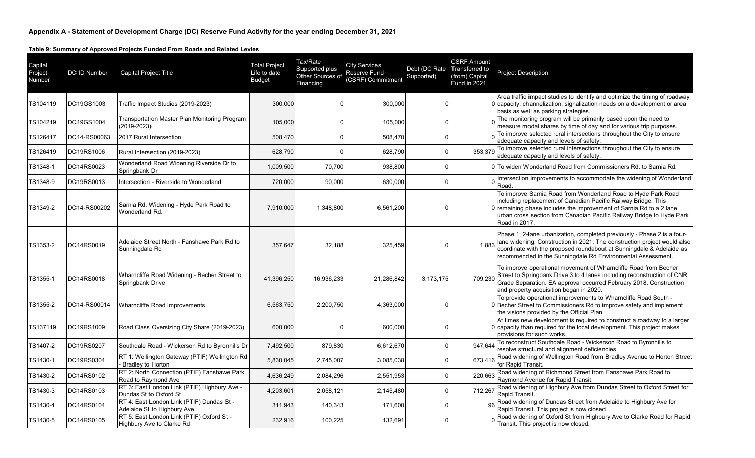| Capital<br>Project<br>Number | DC ID Number | Capital Project Title                                                     | <b>Total Project</b><br>Life to date<br><b>Budget</b> | Tax/Rate<br>Supported plus<br>Other Sources of<br>Financing | <b>City Services</b><br><b>Reserve Fund</b><br>(CSRF) Commitment | Debt (DC Rate Transferred to<br>Supported) | <b>CSRF Amount</b><br>(from) Capital<br>Fund in 2021 | <b>Project Description</b>                                                                                                                                                                                                                                                                       |
|------------------------------|--------------|---------------------------------------------------------------------------|-------------------------------------------------------|-------------------------------------------------------------|------------------------------------------------------------------|--------------------------------------------|------------------------------------------------------|--------------------------------------------------------------------------------------------------------------------------------------------------------------------------------------------------------------------------------------------------------------------------------------------------|
| TS104119                     | DC19GS1003   | Traffic Impact Studies (2019-2023)                                        | 300,000                                               |                                                             | 300,000                                                          |                                            |                                                      | Area traffic impact studies to identify and optimize the timing of roadway<br>0 capacity, channelization, signalization needs on a development or area<br>basis as well as parking strategies.                                                                                                   |
| TS104219                     | DC19GS1004   | Transportation Master Plan Monitoring Program<br>$(2019 - 2023)$          | 105,000                                               |                                                             | 105,000                                                          |                                            |                                                      | The monitoring program will be primarily based upon the need to<br>measure modal shares by time of day and for various trip purposes.                                                                                                                                                            |
| TS126417                     | DC14-RS00063 | 2017 Rural Intersection                                                   | 508,470                                               |                                                             | 508,470                                                          |                                            |                                                      | To improve selected rural intersections throughout the City to ensure<br>adequate capacity and levels of safety.                                                                                                                                                                                 |
| TS126419                     | DC19RS1006   | Rural Intersection (2019-2023)                                            | 628,790                                               |                                                             | 628,790                                                          |                                            | 353,379                                              | To improve selected rural intersections throughout the City to ensure<br>adequate capacity and levels of safety.                                                                                                                                                                                 |
| TS1348-1                     | DC14RS0023   | Wonderland Road Widening Riverside Dr to<br>Springbank Dr                 | 1,009,500                                             | 70.700                                                      | 938,800                                                          |                                            |                                                      | 0 To widen Wonderland Road from Commissioners Rd, to Sarnia Rd.                                                                                                                                                                                                                                  |
| TS1348-9                     | DC19RS0013   | Intersection - Riverside to Wonderland                                    | 720,000                                               | 90,000                                                      | 630,000                                                          |                                            |                                                      | Intersection improvements to accommodate the widening of Wonderland<br>Road                                                                                                                                                                                                                      |
| TS1349-2                     | DC14-RS00202 | Sarnia Rd. Widening - Hyde Park Road to<br>Wonderland Rd.                 | 7,910,000                                             | 1,348,800                                                   | 6,561,200                                                        |                                            |                                                      | To improve Sarnia Road from Wonderland Road to Hyde Park Road<br>including replacement of Canadian Pacific Railway Bridge. This<br>0 remaining phase includes the improvement of Sarnia Rd to a 2 lane<br>urban cross section from Canadian Pacific Railway Bridge to Hyde Park<br>Road in 2017. |
| TS1353-2                     | DC14RS0019   | Adelaide Street North - Fanshawe Park Rd to<br>Sunningdale Rd             | 357,647                                               | 32,188                                                      | 325,459                                                          |                                            | 1.883                                                | Phase 1, 2-lane urbanization, completed previously - Phase 2 is a four-<br>lane widening. Construction in 2021. The construction project would also<br>coordinate with the proposed roundabout at Sunningdale & Adelaide as<br>recommended in the Sunningdale Rd Environmental Assessment.       |
| TS1355-1                     | DC14RS0018   | Wharncliffe Road Widening - Becher Street to<br>Springbank Drive          | 41,396,250                                            | 16,936,233                                                  | 21,286,842                                                       | 3,173,175                                  | 709,230                                              | To improve operational movement of Wharncliffe Road from Becher<br>Street to Springbank Drive 3 to 4 lanes including reconstruction of CNR<br>Grade Separation. EA approval occurred February 2018. Construction<br>and property acquisition began in 2020.                                      |
| TS1355-2                     | DC14-RS00014 | Wharncliffe Road Improvements                                             | 6,563,750                                             | 2,200,750                                                   | 4,363,000                                                        |                                            |                                                      | To provide operational improvements to Wharncliffe Road South -<br>0 Becher Street to Commissioners Rd to improve safety and implement<br>the visions provided by the Official Plan.                                                                                                             |
| TS137119                     | DC19RS1009   | Road Class Oversizing City Share (2019-2023)                              | 600,000                                               |                                                             | 600,000                                                          |                                            |                                                      | At times new development is required to construct a roadway to a larger<br>0 capacity than required for the local development. This project makes<br>provisions for such works.                                                                                                                  |
| TS1407-2                     | DC19RS0207   | Southdale Road - Wickerson Rd to Byronhills Dr                            | 7,492,500                                             | 879,830                                                     | 6,612,670                                                        | $\Omega$                                   | 947,644                                              | To reconstruct Southdale Road - Wickerson Road to Byronhills to<br>resolve structural and alignment deficiencies.                                                                                                                                                                                |
| TS1430-1                     | DC19RS0304   | RT 1: Wellington Gateway (PTIF) Wellington Rd<br><b>Bradley to Horton</b> | 5,830,045                                             | 2,745,007                                                   | 3,085,038                                                        | $\Omega$                                   | 673,416                                              | Road widening of Wellington Road from Bradley Avenue to Horton Street<br>for Rapid Transit.                                                                                                                                                                                                      |
| TS1430-2                     | DC14RS0102   | RT 2: North Connection (PTIF) Fanshawe Park<br>Road to Raymond Ave        | 4,636,249                                             | 2,084,296                                                   | 2,551,953                                                        |                                            | 220,663                                              | Road widening of Richmond Street from Fanshawe Park Road to<br>Raymond Avenue for Rapid Transit.                                                                                                                                                                                                 |
| TS1430-3                     | DC14RS0103   | RT 3: East London Link (PTIF) Highbury Ave -<br>Dundas St to Oxford St    | 4,203,601                                             | 2,058,121                                                   | 2,145,480                                                        | $\Omega$                                   | 712,267                                              | Road widening of Highbury Ave from Dundas Street to Oxford Street for<br>Rapid Transit.                                                                                                                                                                                                          |
| TS1430-4                     | DC14RS0104   | RT 4: East London Link (PTIF) Dundas St -<br>Adelaide St to Highbury Ave  | 311,943                                               | 140,343                                                     | 171,600                                                          |                                            | 96                                                   | Road widening of Dundas Street from Adelaide to Highbury Ave for<br>Rapid Transit. This project is now closed.                                                                                                                                                                                   |
| TS1430-5                     | DC14RS0105   | RT 5: East London Link (PTIF) Oxford St -<br>Highbury Ave to Clarke Rd    | 232,916                                               | 100,225                                                     | 132,691                                                          |                                            |                                                      | Road widening of Oxford St from Highbury Ave to Clarke Road for Rapid<br>Transit. This project is now closed.                                                                                                                                                                                    |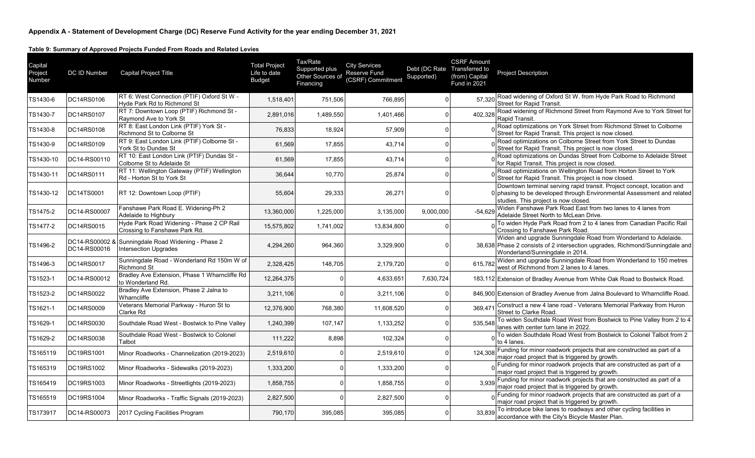| Capital<br>Project<br>Number | DC ID Number                   | <b>Capital Project Title</b>                                               | <b>Total Project</b><br>Life to date<br><b>Budget</b> | Tax/Rate<br>Supported plus<br>Other Sources of<br>Financing | <b>City Services</b><br>Reserve Fund<br>(CSRF) Commitment | Debt (DC Rate Transferred to<br>Supported) | <b>CSRF Amount</b><br>(from) Capital<br>Fund in 2021 | <b>Project Description</b>                                                                                                                                                               |
|------------------------------|--------------------------------|----------------------------------------------------------------------------|-------------------------------------------------------|-------------------------------------------------------------|-----------------------------------------------------------|--------------------------------------------|------------------------------------------------------|------------------------------------------------------------------------------------------------------------------------------------------------------------------------------------------|
| TS1430-6                     | DC14RS0106                     | RT 6: West Connection (PTIF) Oxford St W -<br>Hyde Park Rd to Richmond St  | 1,518,401                                             | 751,506                                                     | 766,895                                                   |                                            | 57,320                                               | Road widening of Oxford St W. from Hyde Park Road to Richmond<br><b>Street for Rapid Transit.</b>                                                                                        |
| TS1430-7                     | DC14RS0107                     | RT 7: Downtown Loop (PTIF) Richmond St -<br>Raymond Ave to York St         | 2,891,016                                             | 1,489,550                                                   | 1,401,466                                                 |                                            | 402,328                                              | Road widening of Richmond Street from Raymond Ave to York Street for<br>Rapid Transit.                                                                                                   |
| TS1430-8                     | DC14RS0108                     | RT 8: East London Link (PTIF) York St -<br>Richmond St to Colborne St      | 76,833                                                | 18,924                                                      | 57,909                                                    |                                            |                                                      | Road optimizations on York Street from Richmond Street to Colborne<br>Street for Rapid Transit. This project is now closed.                                                              |
| TS1430-9                     | DC14RS0109                     | RT 9: East London Link (PTIF) Colborne St -<br>York St to Dundas St        | 61,569                                                | 17,855                                                      | 43,714                                                    |                                            |                                                      | Road optimizations on Colborne Street from York Street to Dundas<br>Street for Rapid Transit. This project is now closed.                                                                |
| TS1430-10                    | DC14-RS00110                   | RT 10: East London Link (PTIF) Dundas St -<br>Colborne St to Adelaide St   | 61,569                                                | 17,855                                                      | 43,714                                                    |                                            |                                                      | Road optimizations on Dundas Street from Colborne to Adelaide Street<br>for Rapid Transit. This project is now closed.                                                                   |
| TS1430-11                    | DC14RS0111                     | RT 11: Wellington Gateway (PTIF) Wellington<br>Rd - Horton St to York St   | 36,644                                                | 10,770                                                      | 25,874                                                    |                                            |                                                      | Road optimizations on Wellington Road from Horton Street to York<br>Street for Rapid Transit. This project is now closed.                                                                |
| TS1430-12                    | DC14TS0001                     | RT 12: Downtown Loop (PTIF)                                                | 55,604                                                | 29,333                                                      | 26,271                                                    |                                            |                                                      | Downtown terminal serving rapid transit. Project concept, location and<br>0 phasing to be developed through Environmental Assessment and related<br>studies. This project is now closed. |
| TS1475-2                     | DC14-RS00007                   | Fanshawe Park Road E. Widening-Ph 2<br>Adelaide to Highbury                | 13,360,000                                            | 1,225,000                                                   | 3,135,000                                                 | 9.000.000                                  | $-54.629$                                            | Widen Fanshawe Park Road East from two lanes to 4 lanes from<br>Adelaide Street North to McLean Drive.                                                                                   |
| TS1477-2                     | DC14RS0015                     | Hyde Park Road Widening - Phase 2 CP Rail<br>Crossing to Fanshawe Park Rd. | 15,575,802                                            | 1,741,002                                                   | 13,834,800                                                |                                            |                                                      | To widen Hyde Park Road from 2 to 4 lanes from Canadian Pacific Rail<br>Crossing to Fanshawe Park Road                                                                                   |
| TS1496-2                     | DC14-RS00002 &<br>DC14-RS00016 | Sunningdale Road Widening - Phase 2<br><b>Intersection Upgrades</b>        | 4,294,260                                             | 964,360                                                     | 3,329,900                                                 |                                            |                                                      | Widen and upgrade Sunningdale Road from Wonderland to Adelaide.<br>38,638 Phase 2 consists of 2 intersection upgrades, Richmond/Sunningdale and<br>Wonderland/Sunningdale in 2014.       |
| TS1496-3                     | DC14RS0017                     | Sunningdale Road - Wonderland Rd 150m W of<br><b>Richmond St</b>           | 2,328,425                                             | 148,705                                                     | 2,179,720                                                 |                                            | 615.782                                              | Widen and upgrade Sunningdale Road from Wonderland to 150 metres<br>west of Richmond from 2 lanes to 4 lanes.                                                                            |
| TS1523-1                     | DC14-RS00012                   | Bradley Ave Extension, Phase 1 Wharncliffe Rd<br>to Wonderland Rd.         | 12,264,375                                            |                                                             | 4,633,651                                                 | 7,630,724                                  |                                                      | 183,112 Extension of Bradley Avenue from White Oak Road to Bostwick Road.                                                                                                                |
| TS1523-2                     | DC14RS0022                     | Bradley Ave Extension, Phase 2 Jalna to<br>Wharncliffe                     | 3,211,106                                             |                                                             | 3,211,106                                                 |                                            |                                                      | 846,900 Extension of Bradley Avenue from Jalna Boulevard to Wharncliffe Road.                                                                                                            |
| TS1621-1                     | DC14RS0009                     | Veterans Memorial Parkway - Huron St to<br>Clarke Rd                       | 12,376,900                                            | 768,380                                                     | 11,608,520                                                |                                            | 369,47                                               | Construct a new 4 lane road - Veterans Memorial Parkway from Huron<br>Street to Clarke Road.                                                                                             |
| TS1629-1                     | DC14RS0030                     | Southdale Road West - Bostwick to Pine Valley                              | 1,240,399                                             | 107,147                                                     | 1,133,252                                                 |                                            | 535.548                                              | To widen Southdale Road West from Bostwick to Pine Valley from 2 to 4<br>lanes with center turn lane in 2022.                                                                            |
| TS1629-2                     | DC14RS0038                     | Southdale Road West - Bostwick to Colonel<br>Talbot                        | 111,222                                               | 8,898                                                       | 102,324                                                   |                                            |                                                      | To widen Southdale Road West from Bostwick to Colonel Talbot from 2<br>to 4 lanes.                                                                                                       |
| TS165119                     | DC19RS1001                     | Minor Roadworks - Channelization (2019-2023)                               | 2,519,610                                             |                                                             | 2,519,610                                                 |                                            | 124.308                                              | Funding for minor roadwork projects that are constructed as part of a<br>major road project that is triggered by growth.                                                                 |
| TS165319                     | DC19RS1002                     | Minor Roadworks - Sidewalks (2019-2023)                                    | 1,333,200                                             |                                                             | 1,333,200                                                 |                                            |                                                      | Funding for minor roadwork projects that are constructed as part of a<br>major road project that is triggered by growth.                                                                 |
| TS165419                     | DC19RS1003                     | Minor Roadworks - Streetlights (2019-2023)                                 | 1,858,755                                             |                                                             | 1,858,755                                                 |                                            | 3.939                                                | Funding for minor roadwork projects that are constructed as part of a<br>major road project that is triggered by growth.                                                                 |
| TS165519                     | DC19RS1004                     | Minor Roadworks - Traffic Signals (2019-2023)                              | 2,827,500                                             |                                                             | 2,827,500                                                 |                                            |                                                      | Funding for minor roadwork projects that are constructed as part of a<br>major road project that is triggered by growth.                                                                 |
| TS173917                     | DC14-RS00073                   | 2017 Cycling Facilities Program                                            | 790,170                                               | 395,085                                                     | 395,085                                                   |                                            | 33,839                                               | To introduce bike lanes to roadways and other cycling facilities in<br>accordance with the City's Bicycle Master Plan.                                                                   |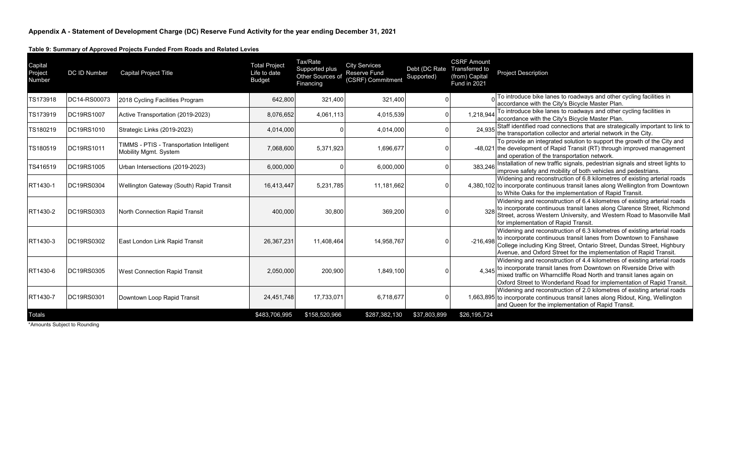| Capital<br>Project<br>Number | DC ID Number      | <b>Capital Project Title</b>                                       | <b>Total Project</b><br>Life to date<br><b>Budget</b> | Tax/Rate<br>Supported plus<br>Other Sources of<br>Financing | <b>City Services</b><br><b>Reserve Fund</b><br>(CSRF) Commitment | Debt (DC Rate<br>Supported) | <b>CSRF Amount</b><br>Transferred to<br>(from) Capital<br>Fund in 2021 | <b>Project Description</b>                                                                                                                                                                                                                                                                    |
|------------------------------|-------------------|--------------------------------------------------------------------|-------------------------------------------------------|-------------------------------------------------------------|------------------------------------------------------------------|-----------------------------|------------------------------------------------------------------------|-----------------------------------------------------------------------------------------------------------------------------------------------------------------------------------------------------------------------------------------------------------------------------------------------|
| TS173918                     | DC14-RS00073      | 2018 Cycling Facilities Program                                    | 642,800                                               | 321,400                                                     | 321,400                                                          |                             |                                                                        | To introduce bike lanes to roadways and other cycling facilities in<br>accordance with the City's Bicycle Master Plan.                                                                                                                                                                        |
| TS173919                     | DC19RS1007        | Active Transportation (2019-2023)                                  | 8,076,652                                             | 4,061,113                                                   | 4,015,539                                                        |                             | 1.218.944                                                              | To introduce bike lanes to roadways and other cycling facilities in<br>accordance with the City's Bicycle Master Plan.                                                                                                                                                                        |
| TS180219                     | DC19RS1010        | Strategic Links (2019-2023)                                        | 4,014,000                                             |                                                             | 4,014,000                                                        |                             | 24.935                                                                 | Staff identified road connections that are strategically important to link to<br>the transportation collector and arterial network in the City.                                                                                                                                               |
| TS180519                     | DC19RS1011        | TIMMS - PTIS - Transportation Intelligent<br>Mobility Mgmt. System | 7,068,600                                             | 5.371.923                                                   | 1,696,677                                                        |                             |                                                                        | To provide an integrated solution to support the growth of the City and<br>-48,021 the development of Rapid Transit (RT) through improved management<br>and operation of the transportation network.                                                                                          |
| TS416519                     | DC19RS1005        | Urban Intersections (2019-2023)                                    | 6,000,000                                             |                                                             | 6,000,000                                                        |                             | 383.246                                                                | Installation of new traffic signals, pedestrian signals and street lights to<br>improve safety and mobility of both vehicles and pedestrians.                                                                                                                                                 |
| RT1430-1                     | <b>DC19RS0304</b> | Wellington Gateway (South) Rapid Transit                           | 16,413,447                                            | 5,231,785                                                   | 11,181,662                                                       |                             |                                                                        | Widening and reconstruction of 6.8 kilometres of existing arterial roads<br>4,380,102 to incorporate continuous transit lanes along Wellington from Downtown<br>to White Oaks for the implementation of Rapid Transit.                                                                        |
| RT1430-2                     | DC19RS0303        | North Connection Rapid Transit                                     | 400,000                                               | 30,800                                                      | 369,200                                                          |                             |                                                                        | Widening and reconstruction of 6.4 kilometres of existing arterial roads<br>to incorporate continuous transit lanes along Clarence Street, Richmond<br>Street, across Western University, and Western Road to Masonville Mall<br>for implementation of Rapid Transit.                         |
| RT1430-3                     | DC19RS0302        | East London Link Rapid Transit                                     | 26,367,231                                            | 11,408,464                                                  | 14,958,767                                                       |                             | $-216.498$                                                             | Widening and reconstruction of 6.3 kilometres of existing arterial roads<br>to incorporate continuous transit lanes from Downtown to Fanshawe<br>College including King Street, Ontario Street, Dundas Street, Highbury<br>Avenue, and Oxford Street for the implementation of Rapid Transit. |
| RT1430-6                     | DC19RS0305        | <b>West Connection Rapid Transit</b>                               | 2,050,000                                             | 200,900                                                     | 1,849,100                                                        |                             | 4.345                                                                  | Widening and reconstruction of 4.4 kilometres of existing arterial roads<br>to incorporate transit lanes from Downtown on Riverside Drive with<br>mixed traffic on Wharncliffe Road North and transit lanes again on<br>Oxford Street to Wonderland Road for implementation of Rapid Transit. |
| RT1430-7                     | DC19RS0301        | Downtown Loop Rapid Transit                                        | 24,451,748                                            | 17,733,071                                                  | 6,718,677                                                        |                             |                                                                        | Widening and reconstruction of 2.0 kilometres of existing arterial roads<br>1,663,895 to incorporate continuous transit lanes along Ridout, King, Wellington<br>and Queen for the implementation of Rapid Transit.                                                                            |
| <b>Totals</b>                |                   |                                                                    | \$483,706,995                                         | \$158,520,966                                               | \$287,382,130                                                    | \$37,803,899                | \$26,195,724                                                           |                                                                                                                                                                                                                                                                                               |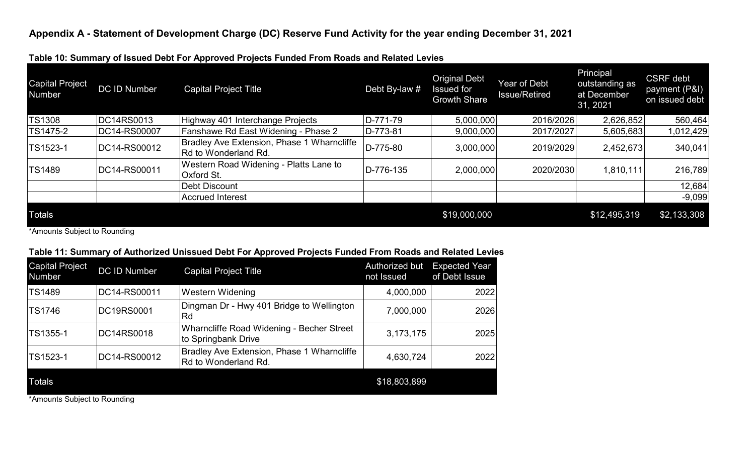**Table 10: Summary of Issued Debt For Approved Projects Funded From Roads and Related Levies**

| <b>Capital Project</b><br><b>Number</b> | DC ID Number | <b>Capital Project Title</b>                                       | Debt By-law # | <b>Original Debt</b><br><b>Issued for</b><br><b>Growth Share</b> | Year of Debt<br><b>Issue/Retired</b> | Principal<br>outstanding as<br>at December<br>31, 2021 | <b>CSRF</b> debt<br>payment (P&I)<br>on issued debt |
|-----------------------------------------|--------------|--------------------------------------------------------------------|---------------|------------------------------------------------------------------|--------------------------------------|--------------------------------------------------------|-----------------------------------------------------|
| <b>TS1308</b>                           | DC14RS0013   | Highway 401 Interchange Projects                                   | D-771-79      | 5,000,000                                                        | 2016/2026                            | 2,626,852                                              | 560,464                                             |
| TS1475-2                                | DC14-RS00007 | Fanshawe Rd East Widening - Phase 2                                | $ D-773-81 $  | 9,000,000                                                        | 2017/2027                            | 5,605,683                                              | 1,012,429                                           |
| TS1523-1                                | DC14-RS00012 | Bradley Ave Extension, Phase 1 Wharncliffe<br>Rd to Wonderland Rd. | D-775-80      | 3,000,000                                                        | 2019/2029                            | 2,452,673                                              | 340,041                                             |
| <b>TS1489</b>                           | DC14-RS00011 | Western Road Widening - Platts Lane to<br>Oxford St.               | D-776-135     | 2,000,000                                                        | 2020/2030                            | 1,810,111                                              | 216,789                                             |
|                                         |              | Debt Discount                                                      |               |                                                                  |                                      |                                                        | 12,684                                              |
|                                         |              | Accrued Interest                                                   |               |                                                                  |                                      |                                                        | $-9,099$                                            |
| <b>Totals</b>                           |              |                                                                    |               | \$19,000,000                                                     |                                      | \$12,495,319                                           | \$2,133,308                                         |

\*Amounts Subject to Rounding

### **Table 11: Summary of Authorized Unissued Debt For Approved Projects Funded From Roads and Related Levies**

| <b>Capital Project</b><br><b>Number</b> | <b>DC ID Number</b> | <b>Capital Project Title</b>                                       | Authorized but<br>not Issued | <b>Expected Year</b><br>of Debt Issue |
|-----------------------------------------|---------------------|--------------------------------------------------------------------|------------------------------|---------------------------------------|
| <b>TS1489</b>                           | DC14-RS00011        | <b>Western Widening</b>                                            | 4,000,000                    | 2022                                  |
| <b>TS1746</b>                           | DC19RS0001          | Dingman Dr - Hwy 401 Bridge to Wellington<br>Rd                    | 7,000,000                    | 2026                                  |
| TS1355-1                                | DC14RS0018          | Wharncliffe Road Widening - Becher Street<br>to Springbank Drive   | 3,173,175                    | 2025                                  |
| TS1523-1                                | DC14-RS00012        | Bradley Ave Extension, Phase 1 Wharncliffe<br>Rd to Wonderland Rd. | 4,630,724                    | 2022                                  |
| <b>Totals</b>                           |                     |                                                                    | \$18,803,899                 |                                       |
|                                         |                     |                                                                    |                              |                                       |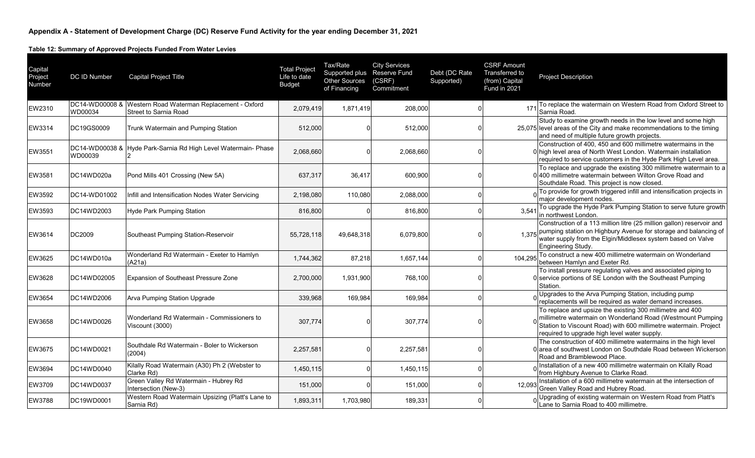**Table 12: Summary of Approved Projects Funded From Water Levies**

| Capital<br>Project<br>Number | DC ID Number              | <b>Capital Project Title</b>                                        | <b>Total Project</b><br>Life to date<br><b>Budget</b> | Tax/Rate<br>Supported plus Reserve Fund<br><b>Other Sources</b><br>of Financing | <b>City Services</b><br>(CSRF)<br>Commitment | Debt (DC Rate<br>Supported) | <b>CSRF Amount</b><br>Transferred to<br>(from) Capital<br>Fund in 2021 | <b>Project Description</b>                                                                                                                                                                                                                  |
|------------------------------|---------------------------|---------------------------------------------------------------------|-------------------------------------------------------|---------------------------------------------------------------------------------|----------------------------------------------|-----------------------------|------------------------------------------------------------------------|---------------------------------------------------------------------------------------------------------------------------------------------------------------------------------------------------------------------------------------------|
| <b>EW2310</b>                | DC14-WD00008 &<br>WD00034 | Western Road Waterman Replacement - Oxford<br>Street to Sarnia Road | 2,079,419                                             | 1,871,419                                                                       | 208,000                                      |                             | 17                                                                     | To replace the watermain on Western Road from Oxford Street to<br>Sarnia Road.                                                                                                                                                              |
| <b>EW3314</b>                | DC19GS0009                | Trunk Watermain and Pumping Station                                 | 512,000                                               |                                                                                 | 512,000                                      |                             |                                                                        | Study to examine growth needs in the low level and some high<br>25,075 level areas of the City and make recommendations to the timing<br>and need of multiple future growth projects.                                                       |
| EW3551                       | WD00039                   | DC14-WD00038 & Hyde Park-Sarnia Rd High Level Watermain- Phase      | 2,068,660                                             |                                                                                 | 2,068,660                                    |                             |                                                                        | Construction of 400, 450 and 600 millimetre watermains in the<br>0 high level area of North West London. Watermain installation<br>required to service customers in the Hyde Park High Level area.                                          |
| EW3581                       | DC14WD020a                | Pond Mills 401 Crossing (New 5A)                                    | 637,317                                               | 36,417                                                                          | 600,900                                      |                             |                                                                        | To replace and upgrade the existing 300 millimetre watermain to a<br>0 400 millimetre watermain between Wilton Grove Road and<br>Southdale Road. This project is now closed.                                                                |
| EW3592                       | DC14-WD01002              | Infill and Intensification Nodes Water Servicing                    | 2,198,080                                             | 110,080                                                                         | 2,088,000                                    |                             |                                                                        | To provide for growth triggered infill and intensification projects in<br>major development nodes.                                                                                                                                          |
| EW3593                       | DC14WD2003                | Hyde Park Pumping Station                                           | 816,800                                               |                                                                                 | 816,800                                      |                             | 3,541                                                                  | To upgrade the Hyde Park Pumping Station to serve future growth<br>in northwest London.                                                                                                                                                     |
| <b>EW3614</b>                | DC2009                    | Southeast Pumping Station-Reservoir                                 | 55,728,118                                            | 49,648,318                                                                      | 6,079,800                                    |                             | 1,375                                                                  | Construction of a 113 million litre (25 million gallon) reservoir and<br>pumping station on Highbury Avenue for storage and balancing of<br>water supply from the Elgin/Middlesex system based on Valve<br>Engineering Study.               |
| <b>EW3625</b>                | DC14WD010a                | Wonderland Rd Watermain - Exeter to Hamlyn<br>(A21a)                | 1,744,362                                             | 87,218                                                                          | 1,657,144                                    |                             | 104,295                                                                | To construct a new 400 millimetre watermain on Wonderland<br>between Hamlyn and Exeter Rd.                                                                                                                                                  |
| <b>EW3628</b>                | DC14WD02005               | Expansion of Southeast Pressure Zone                                | 2,700,000                                             | 1,931,900                                                                       | 768,100                                      |                             |                                                                        | To install pressure regulating valves and associated piping to<br>0 service portions of SE London with the Southeast Pumping<br>Station.                                                                                                    |
| EW3654                       | DC14WD2006                | Arva Pumping Station Upgrade                                        | 339,968                                               | 169,984                                                                         | 169,984                                      |                             |                                                                        | ol Upgrades to the Arva Pumping Station, including pump<br>replacements will be required as water demand increases.                                                                                                                         |
| <b>EW3658</b>                | DC14WD0026                | Wonderland Rd Watermain - Commissioners to<br>Viscount (3000)       | 307,774                                               |                                                                                 | 307,774                                      |                             |                                                                        | To replace and upsize the existing 300 millimetre and 400<br>millimetre watermain on Wonderland Road (Westmount Pumping<br>Station to Viscount Road) with 600 millimetre watermain. Project<br>required to upgrade high level water supply. |
| <b>EW3675</b>                | DC14WD0021                | Southdale Rd Watermain - Boler to Wickerson<br>(2004)               | 2,257,581                                             |                                                                                 | 2,257,581                                    |                             |                                                                        | The construction of 400 millimetre watermains in the high level<br>0 area of southwest London on Southdale Road between Wickerson<br>Road and Bramblewood Place.                                                                            |
| EW3694                       | DC14WD0040                | Kilally Road Watermain (A30) Ph 2 (Webster to<br>Clarke Rd)         | 1,450,115                                             |                                                                                 | 1,450,115                                    |                             |                                                                        | Installation of a new 400 millimetre watermain on Kilally Road<br>from Highbury Avenue to Clarke Road.                                                                                                                                      |
| EW3709                       | DC14WD0037                | Green Valley Rd Watermain - Hubrey Rd<br>Intersection (New-3)       | 151,000                                               |                                                                                 | 151,000                                      |                             | 12,093                                                                 | Installation of a 600 millimetre watermain at the intersection of<br>Green Valley Road and Hubrey Road.                                                                                                                                     |
| <b>EW3788</b>                | DC19WD0001                | Western Road Watermain Upsizing (Platt's Lane to<br>Sarnia Rd)      | 1,893,311                                             | 1,703,980                                                                       | 189,331                                      |                             |                                                                        | Upgrading of existing watermain on Western Road from Platt's<br>Lane to Sarnia Road to 400 millimetre.                                                                                                                                      |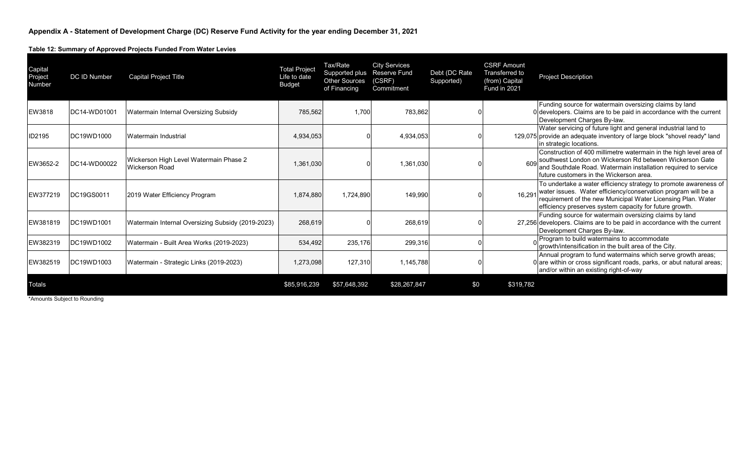**Table 12: Summary of Approved Projects Funded From Water Levies**

| Capital<br>Project<br>Number | <b>DC ID Number</b> | Capital Project Title                                           | <b>Total Project</b><br>Life to date<br><b>Budget</b> | Tax/Rate<br>Supported plus<br><b>Other Sources</b><br>of Financing | <b>City Services</b><br><b>Reserve Fund</b><br>(CSRF)<br>Commitment | Debt (DC Rate<br>Supported) | <b>CSRF Amount</b><br>Transferred to<br>(from) Capital<br>Fund in 2021 | <b>Project Description</b>                                                                                                                                                                                                                                   |
|------------------------------|---------------------|-----------------------------------------------------------------|-------------------------------------------------------|--------------------------------------------------------------------|---------------------------------------------------------------------|-----------------------------|------------------------------------------------------------------------|--------------------------------------------------------------------------------------------------------------------------------------------------------------------------------------------------------------------------------------------------------------|
| <b>EW3818</b>                | DC14-WD01001        | Watermain Internal Oversizing Subsidy                           | 785,562                                               | 1.700                                                              | 783,862                                                             |                             |                                                                        | Funding source for watermain oversizing claims by land<br>0 developers. Claims are to be paid in accordance with the current<br>Development Charges By-law.                                                                                                  |
| ID2195                       | DC19WD1000          | Watermain Industrial                                            | 4,934,053                                             |                                                                    | 4,934,053                                                           |                             |                                                                        | Water servicing of future light and general industrial land to<br>129,075 provide an adequate inventory of large block "shovel ready" land<br>in strategic locations.                                                                                        |
| EW3652-2                     | DC14-WD00022        | Wickerson High Level Watermain Phase 2<br><b>Wickerson Road</b> | 1,361,030                                             |                                                                    | 1,361,030                                                           |                             |                                                                        | Construction of 400 millimetre watermain in the high level area of<br>southwest London on Wickerson Rd between Wickerson Gate<br>and Southdale Road. Watermain installation required to service<br>future customers in the Wickerson area.                   |
| EW377219                     | DC19GS0011          | 2019 Water Efficiency Program                                   | 1,874,880                                             | 1,724,890                                                          | 149,990                                                             |                             | 16.29'                                                                 | To undertake a water efficiency strategy to promote awareness of<br>water issues. Water efficiency/conservation program will be a<br>requirement of the new Municipal Water Licensing Plan. Water<br>efficiency preserves system capacity for future growth. |
| EW381819                     | DC19WD1001          | Watermain Internal Oversizing Subsidy (2019-2023)               | 268,619                                               |                                                                    | 268,619                                                             |                             |                                                                        | Funding source for watermain oversizing claims by land<br>27,256 developers. Claims are to be paid in accordance with the current<br>Development Charges By-law.                                                                                             |
| EW382319                     | DC19WD1002          | Watermain - Built Area Works (2019-2023)                        | 534,492                                               | 235,176                                                            | 299,316                                                             |                             |                                                                        | Program to build watermains to accommodate<br>growth/intensification in the built area of the City.                                                                                                                                                          |
| EW382519                     | DC19WD1003          | Watermain - Strategic Links (2019-2023)                         | 1,273,098                                             | 127.310                                                            | 1,145,788                                                           |                             |                                                                        | Annual program to fund watermains which serve growth areas;<br>0 are within or cross significant roads, parks, or abut natural areas;<br>and/or within an existing right-of-way                                                                              |
| <b>Totals</b>                |                     |                                                                 | \$85,916,239                                          | \$57,648,392                                                       | \$28,267,847                                                        | \$0                         | \$319,782                                                              |                                                                                                                                                                                                                                                              |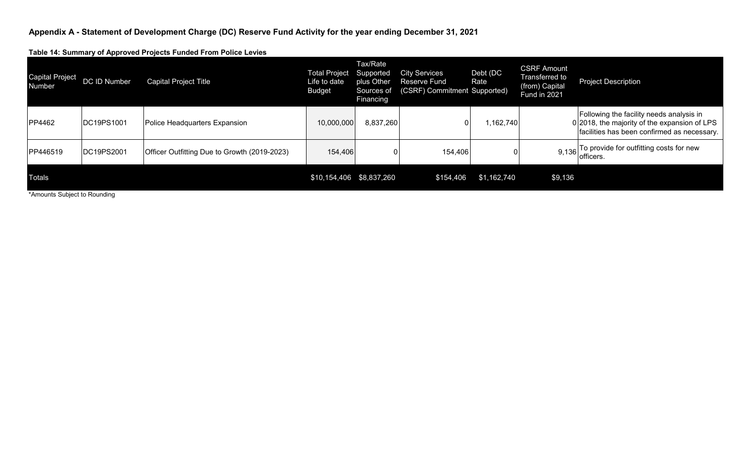**Table 14: Summary of Approved Projects Funded From Police Levies**

| <b>Capital Project</b><br>Number | DC ID Number       | <b>Capital Project Title</b>                 | <b>Total Project</b><br>Life to date<br><b>Budget</b> | Tax/Rate<br>Supported<br>plus Other<br>Sources of<br><b>Financing</b> | <b>City Services</b><br><b>Reserve Fund</b><br>(CSRF) Commitment Supported) | Debt (DC<br>Rate | <b>CSRF Amount</b><br>Transferred to<br>(from) Capital<br>Fund in 2021 | <b>Project Description</b>                                                                                                              |
|----------------------------------|--------------------|----------------------------------------------|-------------------------------------------------------|-----------------------------------------------------------------------|-----------------------------------------------------------------------------|------------------|------------------------------------------------------------------------|-----------------------------------------------------------------------------------------------------------------------------------------|
| PP4462                           | <b>IDC19PS1001</b> | Police Headquarters Expansion                | 10,000,000                                            | 8,837,260                                                             |                                                                             | 1,162,740        |                                                                        | Following the facility needs analysis in<br>0 2018, the majority of the expansion of LPS<br>facilities has been confirmed as necessary. |
| PP446519                         | DC19PS2001         | Officer Outfitting Due to Growth (2019-2023) | 154,406                                               |                                                                       | 154,406                                                                     |                  |                                                                        | 9,136 To provide for outfitting costs for new<br>lofficers.                                                                             |
| Totals                           |                    |                                              | \$10,154,406 \$8,837,260                              |                                                                       | \$154,406                                                                   | \$1,162,740      | \$9,136                                                                |                                                                                                                                         |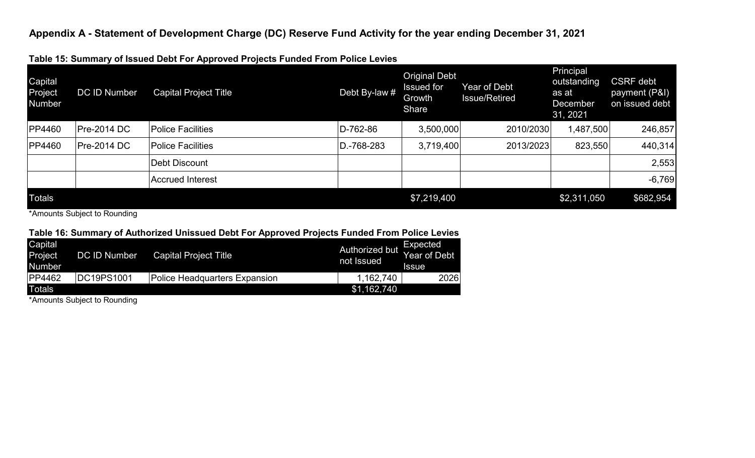| Capital<br>Project<br>Number | <b>DC ID Number</b> | .<br><b>Capital Project Title</b> | Debt By-law # | <b>Original Debt</b><br><b>Issued for</b><br>Growth<br>Share | Year of Debt<br><b>Issue/Retired</b> | Principal<br>outstanding<br>as at<br><b>December</b><br>31, 2021 | <b>CSRF</b> debt<br>payment (P&I)<br>on issued debt |
|------------------------------|---------------------|-----------------------------------|---------------|--------------------------------------------------------------|--------------------------------------|------------------------------------------------------------------|-----------------------------------------------------|
| <b>PP4460</b>                | <b>Pre-2014 DC</b>  | <b>Police Facilities</b>          | D-762-86      | 3,500,000                                                    | 2010/2030                            | ,487,500                                                         | 246,857                                             |
| <b>PP4460</b>                | <b>Pre-2014 DC</b>  | <b>Police Facilities</b>          | D.-768-283    | 3,719,400                                                    | 2013/2023                            | 823,550                                                          | 440,314                                             |
|                              |                     | Debt Discount                     |               |                                                              |                                      |                                                                  | 2,553                                               |
|                              |                     | Accrued Interest                  |               |                                                              |                                      |                                                                  | $-6,769$                                            |
| <b>Totals</b>                |                     |                                   |               | \$7,219,400                                                  |                                      | \$2,311,050                                                      | \$682,954                                           |

**Table 15: Summary of Issued Debt For Approved Projects Funded From Police Levies**

\*Amounts Subject to Rounding

### **Table 16: Summary of Authorized Unissued Debt For Approved Projects Funded From Police Levies**

| Capital<br>Project<br>Number. | <b>DC ID Number</b> | <b>Capital Project Title</b>  | <b>Authorized but</b><br>not Issued | Expected<br><b>Year of Debt</b><br><b>Issue</b> |
|-------------------------------|---------------------|-------------------------------|-------------------------------------|-------------------------------------------------|
| PP4462                        | <b>IDC19PS1001</b>  | Police Headquarters Expansion | 1,162,740                           | 2026                                            |
| <b>Totals</b>                 |                     |                               | \$1,162,740                         |                                                 |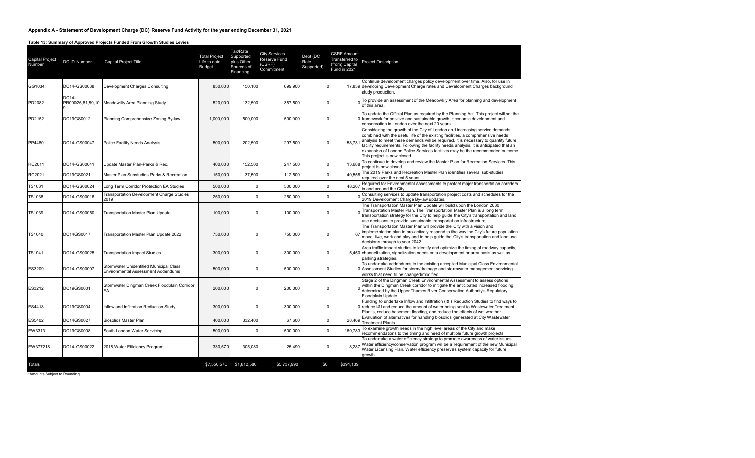#### **Table 13: Summary of Approved Projects Funded From Growth Studies Levies**

| Capital Project<br>Number | DC ID Number | <b>Capital Project Title</b>                                                         | <b>Total Project</b><br>Life to date<br><b>Budget</b> | Tax/Rate<br>Supported<br>plus Other<br>Sources of<br>Financing | <b>City Services</b><br>Reserve Fund<br>(CSRF)<br>Commitment | Debt (DC<br>Rate<br>Supported) | <b>CSRF Amount</b><br>Transferred to<br>(from) Capital<br><b>Fund in 2021</b> | <b>Project Description</b>                                                                                                                                                                                                                                                                                                                                                                                                                                        |
|---------------------------|--------------|--------------------------------------------------------------------------------------|-------------------------------------------------------|----------------------------------------------------------------|--------------------------------------------------------------|--------------------------------|-------------------------------------------------------------------------------|-------------------------------------------------------------------------------------------------------------------------------------------------------------------------------------------------------------------------------------------------------------------------------------------------------------------------------------------------------------------------------------------------------------------------------------------------------------------|
| GG1034                    | DC14-GS00038 | Development Charges Consulting                                                       | 850,000                                               | 150,100                                                        | 699.900                                                      | $\Omega$                       |                                                                               | Continue development charges policy development over time. Also, for use in<br>17,839 developing Development Charge rates and Development Charges background<br>study production.                                                                                                                                                                                                                                                                                 |
| PD2082                    | DC14-        | PR00026,81,89,10   Meadowlilly Area Planning Study                                   | 520,000                                               | 132,500                                                        | 387,500                                                      | $\mathbf 0$                    |                                                                               | To provide an assessment of the Meadowlilly Area for planning and development<br>of this area.                                                                                                                                                                                                                                                                                                                                                                    |
| PD2152                    | DC19GS0012   | Planning Comprehensive Zoning By-law                                                 | 1,000,000                                             | 500,000                                                        | 500,000                                                      | $\mathbf 0$                    |                                                                               | To update the Official Plan as required by the Planning Act. This project will set the<br>0 framework for positive and sustainable growth, economic development and<br>conservation in London over the next 20 years.                                                                                                                                                                                                                                             |
| PP4480                    | DC14-GS00047 | Police Facility Needs Analysis                                                       | 500,000                                               | 202,500                                                        | 297,500                                                      | $\Omega$                       | 58.731                                                                        | Considering the growth of the City of London and increasing service demands<br>combined with the useful life of the existing facilities, a comprehensive needs<br>analysis to meet these demands will be required. It is necessary to quantity future<br>facility requirements. Following the facility needs analysis, it is anticipated that an<br>expansion of London Police Services facilities may be the recommended outcome.<br>This project is now closed. |
| RC2011                    | DC14-GS00041 | Update Master Plan-Parks & Rec.                                                      | 400.000                                               | 152,500                                                        | 247,500                                                      | $\mathbf 0$                    | 13.688                                                                        | To continue to develop and review the Master Plan for Recreation Services. This<br>project is now closed.                                                                                                                                                                                                                                                                                                                                                         |
| RC2021                    | DC19GS0021   | Master Plan Substudies Parks & Recreation                                            | 150,000                                               | 37,500                                                         | 112,500                                                      | $\mathbf 0$                    | 40.558                                                                        | The 2019 Parks and Recreation Master Plan identifies several sub-studies<br>required over the next 5 years.                                                                                                                                                                                                                                                                                                                                                       |
| TS1031                    | DC14-GS00024 | Long Term Corridor Protection EA Studies                                             | 500,000                                               |                                                                | 500,000                                                      | $\mathbf 0$                    | 48,267                                                                        | Required for Environmental Assessments to protect major transportation corridors<br>in and around the City.                                                                                                                                                                                                                                                                                                                                                       |
| <b>TS1038</b>             | DC14-GS00016 | Transportation Development Charge Studies<br>2019                                    | 250,000                                               |                                                                | 250,000                                                      | $\mathbf 0$                    |                                                                               | Consulting services to update transportation project costs and schedules for the<br>2019 Development Charge By-law updates.                                                                                                                                                                                                                                                                                                                                       |
| <b>TS1039</b>             | DC14-GS00050 | Transportation Master Plan Update                                                    | 100,000                                               |                                                                | 100,000                                                      | $\Omega$                       |                                                                               | The Transportation Master Plan Update will build upon the London 2030<br>Transportation Master Plan. The Transportation Master Plan is a long term<br>transportation strategy for the City to help quide the City's transportation and land<br>use decisions to provide sustainable transportation infrastructure.                                                                                                                                                |
| <b>TS1040</b>             | DC14GS0017   | Transportation Master Plan Update 2022                                               | 750,000                                               |                                                                | 750,000                                                      | $\Omega$                       | 67                                                                            | The Transportation Master Plan will provide the City with a vision and<br>implementation plan to pro-actively respond to the way the City's future population<br>move, live, work and play and to help guide the City's transportation and land use<br>decisions through to year 2042.                                                                                                                                                                            |
| TS1041                    | DC14-GS00025 | <b>Transportation Impact Studies</b>                                                 | 300,000                                               |                                                                | 300,000                                                      | $\Omega$                       |                                                                               | Area traffic impact studies to identify and optimize the timing of roadway capacity,<br>5,450 channelization, signalization needs on a development or area basis as well as<br>parking strategies.                                                                                                                                                                                                                                                                |
| ES3209                    | DC14-GS00007 | Stormwater Unidentified Municipal Class<br><b>Environmental Assessment Addendums</b> | 500,000                                               |                                                                | 500,000                                                      | $\Omega$                       |                                                                               | To undertake addendums to the existing accepted Municipal Class Environmental<br>0 Assessment Studies for storm/drainage and stormwater management servicing<br>works that need to be changed/modified.                                                                                                                                                                                                                                                           |
| ES3212                    | DC19GS0001   | Stormwater Dingman Creek Floodplain Corridor<br>EA                                   | 200,000                                               |                                                                | 200,000                                                      | $\Omega$                       |                                                                               | Stage 2 of the Dingman Creek Environmental Assessment to assess options<br>within the Dingman Creek corridor to mitigate the anticipated increased flooding<br>determined by the Upper Thames River Conservation Authority's Regulatory<br>Floodplain Update.                                                                                                                                                                                                     |
| ES4418                    | DC19GS0004   | Inflow and Infiltration Reduction Study                                              | 300,000                                               |                                                                | 300,000                                                      | $\mathbf 0$                    |                                                                               | Funding to undertake Inflow and Infiltration (I&I) Reduction Studies to find ways to<br>0 reduce I&I and reduce the amount of water being sent to Wastewater Treatment<br>Plant's, reduce basement flooding, and reduce the effects of wet weather.                                                                                                                                                                                                               |
| ES5402                    | DC14GS0027   | <b>Biosolids Master Plan</b>                                                         | 400.000                                               | 332.400                                                        | 67.600                                                       | $^{\circ}$                     | 28.469                                                                        | Evaluation of alternatives for handling biosolids generated at City Wastewater<br><b>Treatment Plants.</b>                                                                                                                                                                                                                                                                                                                                                        |
| EW3313                    | DC19GS0008   | South London Water Servicing                                                         | 500,000                                               |                                                                | 500,000                                                      | $\mathbf 0$                    | 169.783                                                                       | To examine growth needs in the high level areas of the City and make<br>recommendations to the timing and need of multiple future growth projects.                                                                                                                                                                                                                                                                                                                |
| EW377218                  | DC14-GS00022 | 2018 Water Efficiency Program                                                        | 330,570                                               | 305,080                                                        | 25,490                                                       | $\Omega$                       | 8.287                                                                         | To undertake a water efficiency strategy to promote awareness of water issues.<br>Water efficiency/conservation program will be a requirement of the new Municipal<br>Water Licensing Plan. Water efficiency preserves system capacity for future<br>arowth.                                                                                                                                                                                                      |
| Totals                    |              |                                                                                      |                                                       | \$7,550,570 \$1,812,580                                        | \$5,737,990                                                  | \$0                            | \$391.139                                                                     |                                                                                                                                                                                                                                                                                                                                                                                                                                                                   |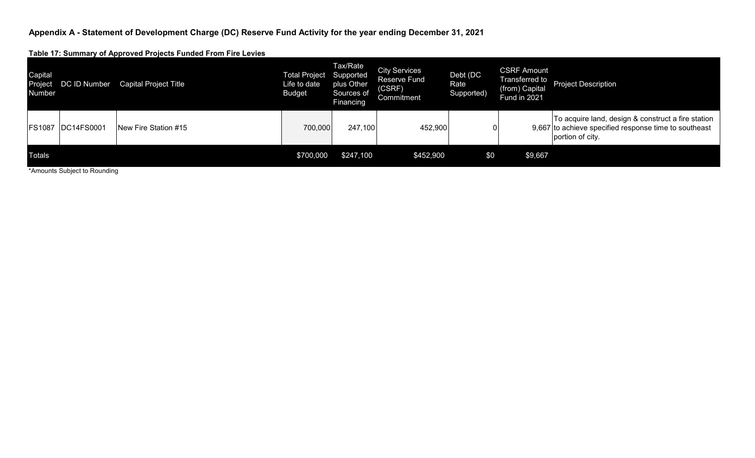**Table 17: Summary of Approved Projects Funded From Fire Levies**

| Capital<br>Project<br>Number | DC ID Number | Capital Project Title | <b>Total Project Supported</b><br>Life to date<br><b>Budget</b> | Tax/Rate<br>plus Other<br>Sources of<br>Financing | <b>City Services</b><br><b>Reserve Fund</b><br>(CSRF)<br>Commitment | Debt (DC<br>Rate<br>Supported) | <b>CSRF Amount</b><br>Transferred to<br>(from) Capital<br>Fund in 2021 | <b>Project Description</b>                                                                                                      |
|------------------------------|--------------|-----------------------|-----------------------------------------------------------------|---------------------------------------------------|---------------------------------------------------------------------|--------------------------------|------------------------------------------------------------------------|---------------------------------------------------------------------------------------------------------------------------------|
| <b>FS1087</b>                | DC14FS0001   | INew Fire Station #15 | 700,000                                                         | 247,100                                           | 452,900                                                             | 0                              |                                                                        | To acquire land, design & construct a fire station<br>9,667 to achieve specified response time to southeast<br>portion of city. |
| <b>Totals</b>                |              |                       | \$700,000                                                       | \$247,100                                         | \$452,900                                                           | \$0                            | \$9,667                                                                |                                                                                                                                 |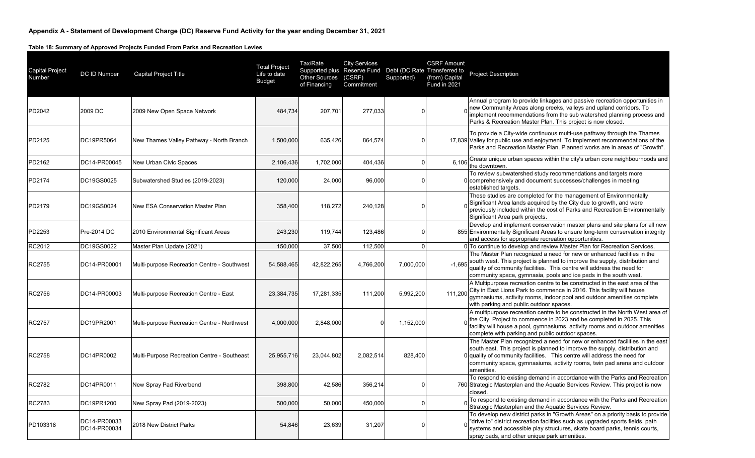**Table 18: Summary of Approved Projects Funded From Parks and Recreation Levies**

| <b>Capital Project</b><br>Number | DC ID Number                 | <b>Capital Project Title</b>                | <b>Total Project</b><br>Life to date<br><b>Budget</b> | Tax/Rate<br>Other Sources (CSRF)<br>of Financing | <b>City Services</b><br>Supported plus Reserve Fund Debt (DC Rate Transferred to<br>Commitment | Supported) | <b>CSRF Amount</b><br>(from) Capital<br><b>Fund in 2021</b> | <b>Project Description</b>                                                                                                                                                                                                                                                                                                       |
|----------------------------------|------------------------------|---------------------------------------------|-------------------------------------------------------|--------------------------------------------------|------------------------------------------------------------------------------------------------|------------|-------------------------------------------------------------|----------------------------------------------------------------------------------------------------------------------------------------------------------------------------------------------------------------------------------------------------------------------------------------------------------------------------------|
| PD2042                           | 2009 DC                      | 2009 New Open Space Network                 | 484,734                                               | 207,701                                          | 277,033                                                                                        |            |                                                             | Annual program to provide linkages and passive recreation opportunities in<br>new Community Areas along creeks, valleys and upland corridors. To<br>implement recommendations from the sub watershed planning process and<br>Parks & Recreation Master Plan. This project is now closed.                                         |
| PD2125                           | DC19PR5064                   | New Thames Valley Pathway - North Branch    | 1,500,000                                             | 635,426                                          | 864,574                                                                                        |            |                                                             | To provide a City-wide continuous multi-use pathway through the Thames<br>17,839 Valley for public use and enjoyment. To implement recommendations of the<br>Parks and Recreation Master Plan. Planned works are in areas of "Growth".                                                                                           |
| PD2162                           | DC14-PR00045                 | New Urban Civic Spaces                      | 2,106,436                                             | 1,702,000                                        | 404,436                                                                                        | n          | 6,106                                                       | Create unique urban spaces within the city's urban core neighbourhoods and<br>the downtown.                                                                                                                                                                                                                                      |
| PD2174                           | DC19GS0025                   | Subwatershed Studies (2019-2023)            | 120,000                                               | 24,000                                           | 96,000                                                                                         | $\Omega$   |                                                             | To review subwatershed study recommendations and targets more<br>0 comprehensively and document successes/challenges in meeting<br>established targets.                                                                                                                                                                          |
| PD2179                           | DC19GS0024                   | New ESA Conservation Master Plan            | 358,400                                               | 118,272                                          | 240,128                                                                                        |            |                                                             | These studies are completed for the management of Environmentally<br>Significant Area lands acquired by the City due to growth, and were<br>previously included within the cost of Parks and Recreation Environmentally<br>Significant Area park projects.                                                                       |
| PD2253                           | Pre-2014 DC                  | 2010 Environmental Significant Areas        | 243,230                                               | 119,744                                          | 123,486                                                                                        | n          |                                                             | Develop and implement conservation master plans and site plans for all new<br>855 Environmentally Significant Areas to ensure long-term conservation integrity<br>and access for appropriate recreation opportunities.                                                                                                           |
| RC2012                           | DC19GS0022                   | Master Plan Update (2021)                   | 150,000                                               | 37,500                                           | 112,500                                                                                        | $\Omega$   |                                                             | 0 To continue to develop and review Master Plan for Recreation Services.                                                                                                                                                                                                                                                         |
| RC2755                           | DC14-PR00001                 | Multi-purpose Recreation Centre - Southwest | 54,588,465                                            | 42,822,265                                       | 4,766,200                                                                                      | 7,000,000  | $-1.695$                                                    | The Master Plan recognized a need for new or enhanced facilities in the<br>south west. This project is planned to improve the supply, distribution and<br>quality of community facilities. This centre will address the need for<br>community space, gymnasia, pools and ice pads in the south west.                             |
| RC2756                           | DC14-PR00003                 | Multi-purpose Recreation Centre - East      | 23,384,735                                            | 17,281,335                                       | 111,200                                                                                        | 5,992,200  | 111,200                                                     | A Multipurpose recreation centre to be constructed in the east area of the<br>City in East Lions Park to commence in 2016. This facility will house<br>gymnasiums, activity rooms, indoor pool and outdoor amenities complete<br>with parking and public outdoor spaces.                                                         |
| RC2757                           | DC19PR2001                   | Multi-purpose Recreation Centre - Northwest | 4,000,000                                             | 2,848,000                                        |                                                                                                | 1,152,000  |                                                             | A multipurpose recreation centre to be constructed in the North West area of<br>the City. Project to commence in 2023 and be completed in 2025. This<br>facility will house a pool, gymnasiums, activity rooms and outdoor amenities<br>complete with parking and public outdoor spaces.                                         |
| RC2758                           | DC14PR0002                   | Multi-Purpose Recreation Centre - Southeast | 25,955,716                                            | 23,044,802                                       | 2,082,514                                                                                      | 828,400    |                                                             | The Master Plan recognized a need for new or enhanced facilities in the east<br>south east. This project is planned to improve the supply, distribution and<br>O quality of community facilities. This centre will address the need for<br>community space, gymnasiums, activity rooms, twin pad arena and outdoor<br>amenities. |
| RC2782                           | DC14PR0011                   | New Spray Pad Riverbend                     | 398,800                                               | 42,586                                           | 356,214                                                                                        |            |                                                             | To respond to existing demand in accordance with the Parks and Recreation<br>760 Strategic Masterplan and the Aquatic Services Review. This project is now<br>closed.                                                                                                                                                            |
| RC2783                           | DC19PR1200                   | New Spray Pad (2019-2023)                   | 500,000                                               | 50,000                                           | 450,000                                                                                        | $\Omega$   |                                                             | To respond to existing demand in accordance with the Parks and Recreation<br>Strategic Masterplan and the Aquatic Services Review.                                                                                                                                                                                               |
| PD103318                         | DC14-PR00033<br>DC14-PR00034 | 2018 New District Parks                     | 54,846                                                | 23,639                                           | 31,207                                                                                         |            |                                                             | To develop new district parks in "Growth Areas" on a priority basis to provide<br>"drive to" district recreation facilities such as upgraded sports fields, path<br>systems and accessible play structures, skate board parks, tennis courts,<br>spray pads, and other unique park amenities.                                    |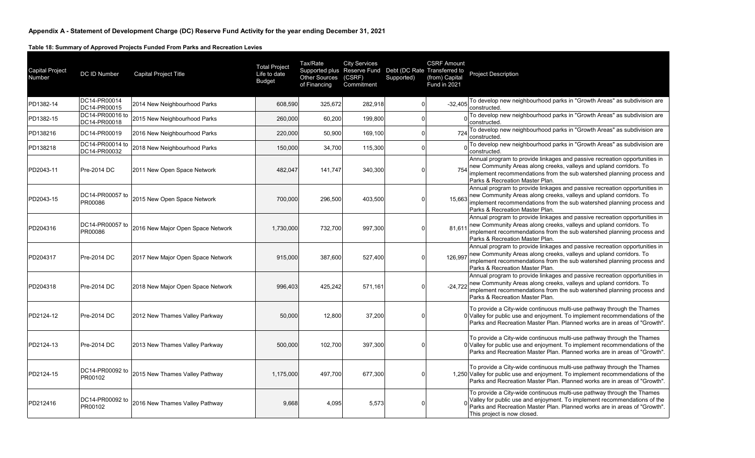**Table 18: Summary of Approved Projects Funded From Parks and Recreation Levies**

| <b>Capital Project</b><br>Number | DC ID Number                    | Capital Project Title             | <b>Total Project</b><br>Life to date<br><b>Budget</b> | Tax/Rate<br><b>Other Sources</b><br>of Financing | <b>City Services</b><br>Supported plus Reserve Fund Debt (DC Rate Transferred to<br>(CSRF)<br>Commitment | Supported) | <b>CSRF Amount</b><br>(from) Capital<br><b>Fund in 2021</b> | <b>Project Description</b>                                                                                                                                                                                                                                     |
|----------------------------------|---------------------------------|-----------------------------------|-------------------------------------------------------|--------------------------------------------------|----------------------------------------------------------------------------------------------------------|------------|-------------------------------------------------------------|----------------------------------------------------------------------------------------------------------------------------------------------------------------------------------------------------------------------------------------------------------------|
| PD1382-14                        | DC14-PR00014<br>DC14-PR00015    | 2014 New Neighbourhood Parks      | 608,590                                               | 325,672                                          | 282,918                                                                                                  |            | $-32,405$                                                   | To develop new neighbourhood parks in "Growth Areas" as subdivision are<br>constructed.                                                                                                                                                                        |
| PD1382-15                        | DC14-PR00016 to<br>DC14-PR00018 | 2015 New Neighbourhood Parks      | 260,000                                               | 60.200                                           | 199,800                                                                                                  |            |                                                             | To develop new neighbourhood parks in "Growth Areas" as subdivision are<br>constructed.                                                                                                                                                                        |
| PD138216                         | DC14-PR00019                    | 2016 New Neighbourhood Parks      | 220,000                                               | 50,900                                           | 169,100                                                                                                  |            | 724                                                         | To develop new neighbourhood parks in "Growth Areas" as subdivision are<br>constructed.                                                                                                                                                                        |
| PD138218                         | DC14-PR00014 to<br>DC14-PR00032 | 2018 New Neighbourhood Parks      | 150,000                                               | 34,700                                           | 115,300                                                                                                  |            |                                                             | To develop new neighbourhood parks in "Growth Areas" as subdivision are<br>constructed.                                                                                                                                                                        |
| PD2043-11                        | Pre-2014 DC                     | 2011 New Open Space Network       | 482,047                                               | 141,747                                          | 340,300                                                                                                  |            | 754                                                         | Annual program to provide linkages and passive recreation opportunities in<br>new Community Areas along creeks, valleys and upland corridors. To<br>implement recommendations from the sub watershed planning process and<br>Parks & Recreation Master Plan.   |
| PD2043-15                        | DC14-PR00057 to<br>PR00086      | 2015 New Open Space Network       | 700,000                                               | 296,500                                          | 403,500                                                                                                  |            | 15,663                                                      | Annual program to provide linkages and passive recreation opportunities in<br>new Community Areas along creeks, valleys and upland corridors. To<br>implement recommendations from the sub watershed planning process and<br>Parks & Recreation Master Plan.   |
| PD204316                         | DC14-PR00057 to<br>PR00086      | 2016 New Major Open Space Network | 1,730,000                                             | 732,700                                          | 997,300                                                                                                  |            | 81,611                                                      | Annual program to provide linkages and passive recreation opportunities in<br>new Community Areas along creeks, valleys and upland corridors. To<br>implement recommendations from the sub watershed planning process and<br>Parks & Recreation Master Plan.   |
| PD204317                         | Pre-2014 DC                     | 2017 New Major Open Space Network | 915.000                                               | 387.600                                          | 527,400                                                                                                  |            | 126,997                                                     | Annual program to provide linkages and passive recreation opportunities in<br>new Community Areas along creeks, valleys and upland corridors. To<br>implement recommendations from the sub watershed planning process and<br>Parks & Recreation Master Plan.   |
| PD204318                         | Pre-2014 DC                     | 2018 New Major Open Space Network | 996,403                                               | 425,242                                          | 571,161                                                                                                  |            | $-24,722$                                                   | Annual program to provide linkages and passive recreation opportunities in<br>new Community Areas along creeks, valleys and upland corridors. To<br>implement recommendations from the sub watershed planning process and<br>Parks & Recreation Master Plan.   |
| PD2124-12                        | Pre-2014 DC                     | 2012 New Thames Valley Parkway    | 50,000                                                | 12,800                                           | 37,200                                                                                                   |            |                                                             | To provide a City-wide continuous multi-use pathway through the Thames<br>0 Valley for public use and enjoyment. To implement recommendations of the<br>Parks and Recreation Master Plan. Planned works are in areas of "Growth".                              |
| PD2124-13                        | Pre-2014 DC                     | 2013 New Thames Valley Parkway    | 500,000                                               | 102,700                                          | 397,300                                                                                                  |            |                                                             | To provide a City-wide continuous multi-use pathway through the Thames<br>0 Valley for public use and enjoyment. To implement recommendations of the<br>Parks and Recreation Master Plan. Planned works are in areas of "Growth".                              |
| PD2124-15                        | DC14-PR00092 to<br>PR00102      | 2015 New Thames Valley Pathway    | 1.175.000                                             | 497,700                                          | 677,300                                                                                                  |            |                                                             | To provide a City-wide continuous multi-use pathway through the Thames<br>1,250 Valley for public use and enjoyment. To implement recommendations of the<br>Parks and Recreation Master Plan. Planned works are in areas of "Growth".                          |
| PD212416                         | DC14-PR00092 to<br>PR00102      | 2016 New Thames Valley Pathway    | 9,668                                                 | 4,095                                            | 5,573                                                                                                    |            |                                                             | To provide a City-wide continuous multi-use pathway through the Thames<br>Valley for public use and enjoyment. To implement recommendations of the<br>Parks and Recreation Master Plan. Planned works are in areas of "Growth".<br>This project is now closed. |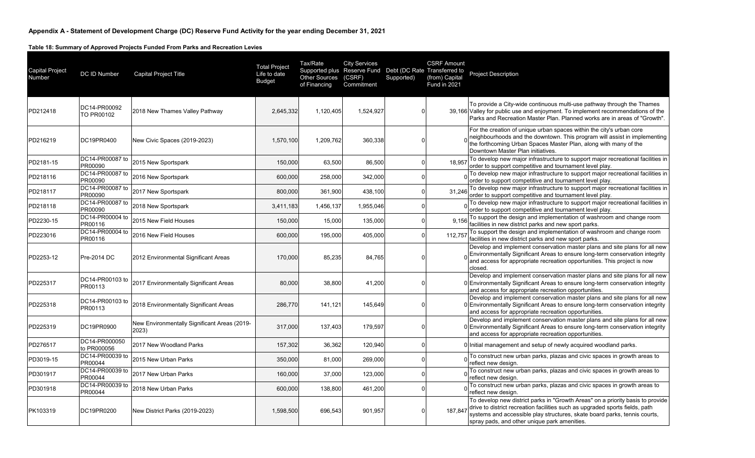**Table 18: Summary of Approved Projects Funded From Parks and Recreation Levies**

| <b>Capital Project</b><br>Number | DC ID Number                 | <b>Capital Project Title</b>                          | <b>Total Project</b><br>Life to date<br><b>Budget</b> | Tax/Rate<br>Other Sources (CSRF)<br>of Financing | <b>City Services</b><br>Supported plus Reserve Fund Debt (DC Rate Transferred to<br>Commitment | Supported) | <b>CSRF Amount</b><br>(from) Capital<br><b>Fund in 2021</b> | <b>Project Description</b>                                                                                                                                                                                                                                                                  |
|----------------------------------|------------------------------|-------------------------------------------------------|-------------------------------------------------------|--------------------------------------------------|------------------------------------------------------------------------------------------------|------------|-------------------------------------------------------------|---------------------------------------------------------------------------------------------------------------------------------------------------------------------------------------------------------------------------------------------------------------------------------------------|
| PD212418                         | DC14-PR00092<br>TO PR00102   | 2018 New Thames Valley Pathway                        | 2,645,332                                             | 1,120,405                                        | 1,524,927                                                                                      |            |                                                             | To provide a City-wide continuous multi-use pathway through the Thames<br>39,166 Valley for public use and enjoyment. To implement recommendations of the<br>Parks and Recreation Master Plan. Planned works are in areas of "Growth".                                                      |
| PD216219                         | DC19PR0400                   | New Civic Spaces (2019-2023)                          | 1,570,100                                             | 1,209,762                                        | 360,338                                                                                        |            |                                                             | For the creation of unique urban spaces within the city's urban core<br>neighbourhoods and the downtown. This program will assist in implementing<br>the forthcoming Urban Spaces Master Plan, along with many of the<br>Downtown Master Plan initiatives.                                  |
| PD2181-15                        | DC14-PR00087 to<br>PR00090   | 2015 New Sportspark                                   | 150,000                                               | 63,500                                           | 86,500                                                                                         |            | 18.957                                                      | To develop new major infrastructure to support major recreational facilities in<br>order to support competitive and tournament level play.                                                                                                                                                  |
| PD218116                         | DC14-PR00087 to<br>PR00090   | 2016 New Sportspark                                   | 600,000                                               | 258,000                                          | 342,000                                                                                        |            |                                                             | To develop new major infrastructure to support major recreational facilities in<br>order to support competitive and tournament level play.                                                                                                                                                  |
| PD218117                         | DC14-PR00087 to<br>PR00090   | 2017 New Sportspark                                   | 800,000                                               | 361,900                                          | 438,100                                                                                        |            | 31,246                                                      | To develop new major infrastructure to support major recreational facilities in<br>order to support competitive and tournament level play.                                                                                                                                                  |
| PD218118                         | DC14-PR00087 to<br>PR00090   | 2018 New Sportspark                                   | 3,411,183                                             | 1,456,137                                        | 1,955,046                                                                                      |            |                                                             | To develop new major infrastructure to support major recreational facilities in<br>order to support competitive and tournament level play.                                                                                                                                                  |
| PD2230-15                        | DC14-PR00004 to<br>PR00116   | 2015 New Field Houses                                 | 150,000                                               | 15,000                                           | 135,000                                                                                        |            | 9,156                                                       | To support the design and implementation of washroom and change room<br>facilities in new district parks and new sport parks.                                                                                                                                                               |
| PD223016                         | DC14-PR00004 to<br>PR00116   | 2016 New Field Houses                                 | 600,000                                               | 195,000                                          | 405,000                                                                                        |            | 112,757                                                     | To support the design and implementation of washroom and change room<br>facilities in new district parks and new sport parks.                                                                                                                                                               |
| PD2253-12                        | Pre-2014 DC                  | 2012 Environmental Significant Areas                  | 170,000                                               | 85,235                                           | 84,765                                                                                         |            |                                                             | Develop and implement conservation master plans and site plans for all new<br>Environmentally Significant Areas to ensure long-term conservation integrity<br>and access for appropriate recreation opportunities. This project is now<br>closed.                                           |
| PD225317                         | DC14-PR00103 to<br>PR00113   | 2017 Environmentally Significant Areas                | 80,000                                                | 38,800                                           | 41,200                                                                                         | C          |                                                             | Develop and implement conservation master plans and site plans for all new<br>0 Environmentally Significant Areas to ensure long-term conservation integrity<br>and access for appropriate recreation opportunities.                                                                        |
| PD225318                         | DC14-PR00103 to<br>PR00113   | 2018 Environmentally Significant Areas                | 286,770                                               | 141,121                                          | 145,649                                                                                        |            |                                                             | Develop and implement conservation master plans and site plans for all new<br>0 Environmentally Significant Areas to ensure long-term conservation integrity<br>and access for appropriate recreation opportunities.                                                                        |
| PD225319                         | DC19PR0900                   | New Environmentally Significant Areas (2019-<br>2023) | 317,000                                               | 137,403                                          | 179,597                                                                                        |            |                                                             | Develop and implement conservation master plans and site plans for all new<br>0 Environmentally Significant Areas to ensure long-term conservation integrity<br>and access for appropriate recreation opportunities.                                                                        |
| PD276517                         | DC14-PR000050<br>to PR000056 | 2017 New Woodland Parks                               | 157,302                                               | 36,362                                           | 120,940                                                                                        |            |                                                             | 0 Initial management and setup of newly acquired woodland parks.                                                                                                                                                                                                                            |
| PD3019-15                        | DC14-PR00039 to<br>PR00044   | 2015 New Urban Parks                                  | 350,000                                               | 81,000                                           | 269,000                                                                                        |            |                                                             | To construct new urban parks, plazas and civic spaces in growth areas to<br>reflect new design.                                                                                                                                                                                             |
| PD301917                         | DC14-PR00039 to<br>PR00044   | 2017 New Urban Parks                                  | 160,000                                               | 37,000                                           | 123,000                                                                                        |            |                                                             | To construct new urban parks, plazas and civic spaces in growth areas to<br>reflect new design.                                                                                                                                                                                             |
| PD301918                         | DC14-PR00039 to<br>PR00044   | 2018 New Urban Parks                                  | 600,000                                               | 138,800                                          | 461,200                                                                                        |            |                                                             | To construct new urban parks, plazas and civic spaces in growth areas to<br>reflect new design.                                                                                                                                                                                             |
| PK103319                         | DC19PR0200                   | New District Parks (2019-2023)                        | 1,598,500                                             | 696,543                                          | 901,957                                                                                        |            | 187.847                                                     | To develop new district parks in "Growth Areas" on a priority basis to provide<br>drive to district recreation facilities such as upgraded sports fields, path<br>systems and accessible play structures, skate board parks, tennis courts,<br>spray pads, and other unique park amenities. |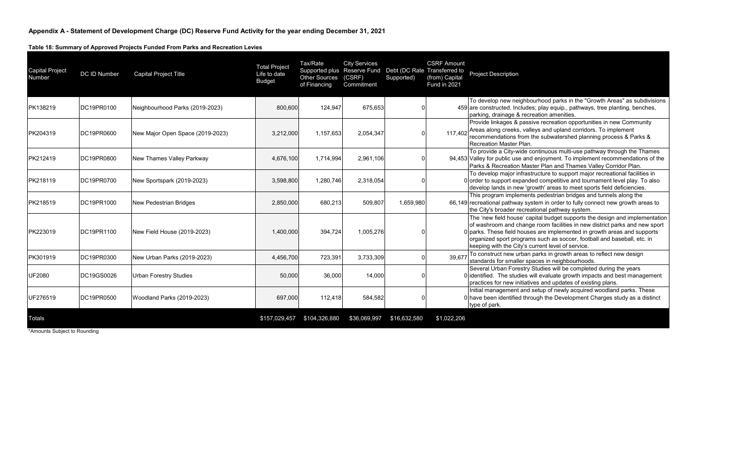**Table 18: Summary of Approved Projects Funded From Parks and Recreation Levies**

| <b>Capital Project</b><br>Number | DC ID Number | <b>Capital Project Title</b>     | <b>Total Project</b><br>Life to date<br><b>Budget</b> | Tax/Rate<br>Other Sources (CSRF)<br>of Financing | <b>City Services</b><br>Supported plus Reserve Fund Debt (DC Rate Transferred to<br>Commitment | Supported)   | <b>CSRF Amount</b><br>(from) Capital<br><b>Fund in 2021</b> | <b>Project Description</b>                                                                                                                                                                                                                                                                                                                                            |
|----------------------------------|--------------|----------------------------------|-------------------------------------------------------|--------------------------------------------------|------------------------------------------------------------------------------------------------|--------------|-------------------------------------------------------------|-----------------------------------------------------------------------------------------------------------------------------------------------------------------------------------------------------------------------------------------------------------------------------------------------------------------------------------------------------------------------|
| PK138219                         | DC19PR0100   | Neighbourhood Parks (2019-2023)  | 800,600                                               | 124.947                                          | 675,653                                                                                        |              |                                                             | To develop new neighbourhood parks in the "Growth Areas" as subdivisions<br>459 are constructed. Includes; play equip., pathways, tree planting, benches,<br>parking, drainage & recreation amenities.                                                                                                                                                                |
| PK204319                         | DC19PR0600   | New Major Open Space (2019-2023) | 3,212,000                                             | 1,157,653                                        | 2,054,347                                                                                      |              | 117.402                                                     | Provide linkages & passive recreation opportunities in new Community<br>Areas along creeks, valleys and upland corridors. To implement<br>recommendations from the subwatershed planning process & Parks &<br>Recreation Master Plan.                                                                                                                                 |
| PK212419                         | DC19PR0800   | New Thames Valley Parkway        | 4,676,100                                             | 1,714,994                                        | 2,961,106                                                                                      |              |                                                             | To provide a City-wide continuous multi-use pathway through the Thames<br>94,453 Valley for public use and enjoyment. To implement recommendations of the<br>Parks & Recreation Master Plan and Thames Valley Corridor Plan.                                                                                                                                          |
| PK218119                         | DC19PR0700   | New Sportspark (2019-2023)       | 3,598,800                                             | 1,280,746                                        | 2,318,054                                                                                      |              |                                                             | To develop major infrastructure to support major recreational facilities in<br>0 order to support expanded competitive and tournament level play. To also<br>develop lands in new 'growth' areas to meet sports field deficiencies.                                                                                                                                   |
| PK218519                         | DC19PR1000   | <b>New Pedestrian Bridges</b>    | 2,850,000                                             | 680,213                                          | 509,807                                                                                        | 1,659,980    |                                                             | This program implements pedestrian bridges and tunnels along the<br>66,149 recreational pathway system in order to fully connect new growth areas to<br>the City's broader recreational pathway system.                                                                                                                                                               |
| PK223019                         | DC19PR1100   | New Field House (2019-2023)      | 1,400,000                                             | 394,724                                          | 1,005,276                                                                                      |              |                                                             | The 'new field house' capital budget supports the design and implementation<br>of washroom and change room facilities in new district parks and new sport<br>0 parks. These field houses are implemented in growth areas and supports<br>organized sport programs such as soccer, football and baseball, etc. in<br>keeping with the City's current level of service. |
| PK301919                         | DC19PR0300   | New Urban Parks (2019-2023)      | 4,456,700                                             | 723,391                                          | 3,733,309                                                                                      |              | 39,677                                                      | To construct new urban parks in growth areas to reflect new design<br>standards for smaller spaces in neighbourhoods.                                                                                                                                                                                                                                                 |
| <b>UF2080</b>                    | DC19GS0026   | <b>Urban Forestry Studies</b>    | 50,000                                                | 36,000                                           | 14,000                                                                                         |              |                                                             | Several Urban Forestry Studies will be completed during the years<br>0 identified. The studies will evaluate growth impacts and best management<br>practices for new initiatives and updates of existing plans.                                                                                                                                                       |
| UF276519                         | DC19PR0500   | Woodland Parks (2019-2023)       | 697,000                                               | 112.418                                          | 584,582                                                                                        |              |                                                             | Initial management and setup of newly acquired woodland parks. These<br>0 have been identified through the Development Charges study as a distinct<br>type of park.                                                                                                                                                                                                   |
| Totals                           |              |                                  | \$157,029,457                                         | \$104,326,880                                    | \$36,069,997                                                                                   | \$16,632,580 | \$1,022,206                                                 |                                                                                                                                                                                                                                                                                                                                                                       |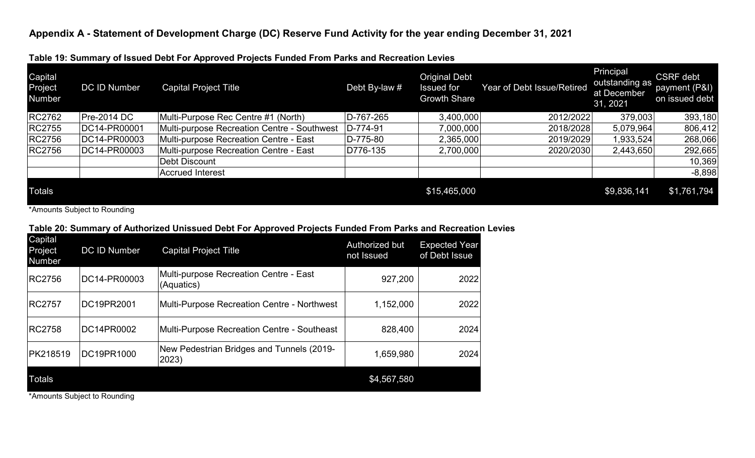| Capital<br>Project<br>Number | <b>DC ID Number</b> | . .<br><b>Capital Project Title</b>         | Debt By-law # | <b>Original Debt</b><br><b>Issued for</b><br><b>Growth Share</b> | Year of Debt Issue/Retired | Principal<br>outstanding as<br>at December<br>31, 2021 | <b>CSRF</b> debt<br>payment (P&I)<br>on issued debt |
|------------------------------|---------------------|---------------------------------------------|---------------|------------------------------------------------------------------|----------------------------|--------------------------------------------------------|-----------------------------------------------------|
| <b>RC2762</b>                | $Pre-2014 DC$       | Multi-Purpose Rec Centre #1 (North)         | D-767-265     | 3,400,000                                                        | 2012/2022                  | 379,003                                                | 393,180                                             |
| <b>RC2755</b>                | DC14-PR00001        | Multi-purpose Recreation Centre - Southwest | D-774-91      | 7,000,000                                                        | 2018/2028                  | 5,079,964                                              | 806,412                                             |
| <b>RC2756</b>                | DC14-PR00003        | Multi-purpose Recreation Centre - East      | D-775-80      | 2,365,000                                                        | 2019/2029                  | ,933,524                                               | 268,066                                             |
| <b>RC2756</b>                | DC14-PR00003        | Multi-purpose Recreation Centre - East      | D776-135      | 2,700,000                                                        | 2020/2030                  | 2,443,650                                              | 292,665                                             |
|                              |                     | Debt Discount                               |               |                                                                  |                            |                                                        | 10,369                                              |
|                              |                     | <b>Accrued Interest</b>                     |               |                                                                  |                            |                                                        | $-8,898$                                            |
| <b>Totals</b>                |                     |                                             |               | \$15,465,000                                                     |                            | \$9,836,141                                            | \$1,761,794                                         |

# **Table 19: Summary of Issued Debt For Approved Projects Funded From Parks and Recreation Levies**

\*Amounts Subject to Rounding

### **Table 20: Summary of Authorized Unissued Debt For Approved Projects Funded From Parks and Recreation Levies**

| Capital<br>Project<br><b>Number</b> | <b>DC ID Number</b> | <b>Capital Project Title</b>                         | Authorized but<br>not Issued | <b>Expected Year</b><br>of Debt Issue |
|-------------------------------------|---------------------|------------------------------------------------------|------------------------------|---------------------------------------|
| <b>RC2756</b>                       | DC14-PR00003        | Multi-purpose Recreation Centre - East<br>(Aquatics) | 927,200                      | 2022                                  |
| <b>RC2757</b>                       | DC19PR2001          | Multi-Purpose Recreation Centre - Northwest          | 1,152,000                    | 2022                                  |
| <b>RC2758</b>                       | DC14PR0002          | Multi-Purpose Recreation Centre - Southeast          | 828,400                      | 2024                                  |
| <b>PK218519</b>                     | DC19PR1000          | New Pedestrian Bridges and Tunnels (2019-<br>2023)   | 1,659,980                    | 2024                                  |
| <b>Totals</b>                       |                     |                                                      | \$4,567,580                  |                                       |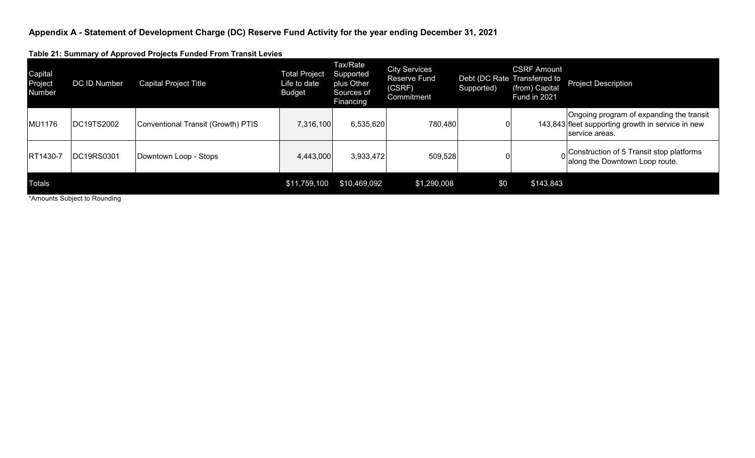**Table 21: Summary of Approved Projects Funded From Transit Levies**

| Capital<br>Project<br>Number | .<br>DC ID Number | <b>Capital Project Title</b>       | <b>Total Project</b><br>Life to date<br><b>Budget</b> | Tax/Rate<br>Supported<br>plus Other<br>Sources of<br>Financing | <b>City Services</b><br><b>Reserve Fund</b><br>(CSRF)<br>Commitment | Supported) | <b>CSRF Amount</b><br>Debt (DC Rate Transferred to<br>(from) Capital<br>Fund in 2021 | <b>Project Description</b>                                                                                      |
|------------------------------|-------------------|------------------------------------|-------------------------------------------------------|----------------------------------------------------------------|---------------------------------------------------------------------|------------|--------------------------------------------------------------------------------------|-----------------------------------------------------------------------------------------------------------------|
| MU1176                       | DC19TS2002        | Conventional Transit (Growth) PTIS | 7,316,100                                             | 6,535,620                                                      | 780,480                                                             |            |                                                                                      | Ongoing program of expanding the transit<br>143,843 fleet supporting growth in service in new<br>service areas. |
| RT1430-7                     | DC19RS0301        | Downtown Loop - Stops              | 4,443,000                                             | 3,933,472                                                      | 509,528                                                             |            |                                                                                      | Construction of 5 Transit stop platforms<br>along the Downtown Loop route.                                      |
| <b>Totals</b>                |                   |                                    | \$11,759,100                                          | \$10,469,092                                                   | \$1,290,008                                                         | \$0        | \$143,843                                                                            |                                                                                                                 |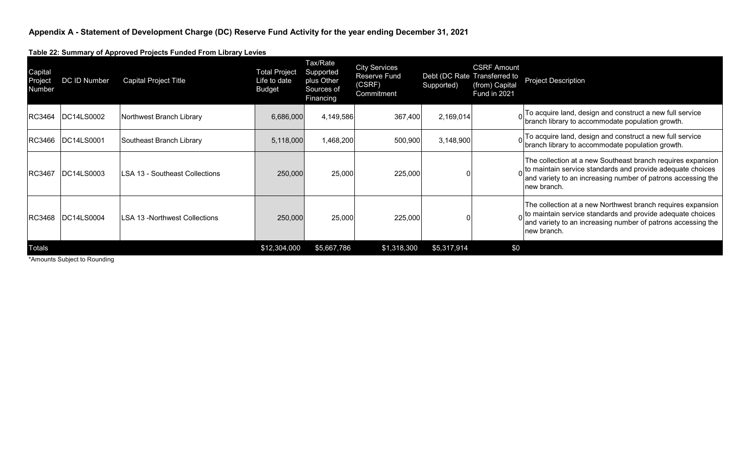**Table 22: Summary of Approved Projects Funded From Library Levies**

| Capital<br>Project<br><b>Number</b> | DC ID Number | <b>Capital Project Title</b>   | <b>Total Project</b><br>Life to date<br><b>Budget</b> | Tax/Rate<br>Supported<br>plus Other<br>Sources of<br>Financing | <b>City Services</b><br><b>Reserve Fund</b><br>(CSRF)<br>Commitment | Debt (DC Rate Transferred to<br>Supported) | <b>CSRF Amount</b><br>(from) Capital<br><b>Fund in 2021</b> | <b>Project Description</b>                                                                                                                                                                                        |
|-------------------------------------|--------------|--------------------------------|-------------------------------------------------------|----------------------------------------------------------------|---------------------------------------------------------------------|--------------------------------------------|-------------------------------------------------------------|-------------------------------------------------------------------------------------------------------------------------------------------------------------------------------------------------------------------|
| <b>RC3464</b>                       | IDC14LS0002  | Northwest Branch Library       | 6,686,000                                             | 4,149,586                                                      | 367,400                                                             | 2,169,014                                  |                                                             | To acquire land, design and construct a new full service<br>branch library to accommodate population growth.                                                                                                      |
| RC3466                              | DC14LS0001   | Southeast Branch Library       | 5,118,000                                             | 1,468,200                                                      | 500,900                                                             | 3,148,900                                  |                                                             | To acquire land, design and construct a new full service<br>branch library to accommodate population growth.                                                                                                      |
| <b>RC3467</b>                       | DC14LS0003   | LSA 13 - Southeast Collections | 250,000                                               | 25,000                                                         | 225,000                                                             |                                            |                                                             | The collection at a new Southeast branch requires expansion<br>$\alpha$ to maintain service standards and provide adequate choices<br>and variety to an increasing number of patrons accessing the<br>new branch. |
| <b>RC3468</b>                       | DC14LS0004   | LSA 13 -Northwest Collections  | 250,000                                               | 25,000                                                         | 225,000                                                             |                                            |                                                             | The collection at a new Northwest branch requires expansion<br>$_0$ to maintain service standards and provide adequate choices<br>and variety to an increasing number of patrons accessing the<br>new branch.     |
| Totals                              |              |                                | \$12,304,000                                          | \$5,667,786                                                    | \$1,318,300                                                         | \$5,317,914                                | \$0                                                         |                                                                                                                                                                                                                   |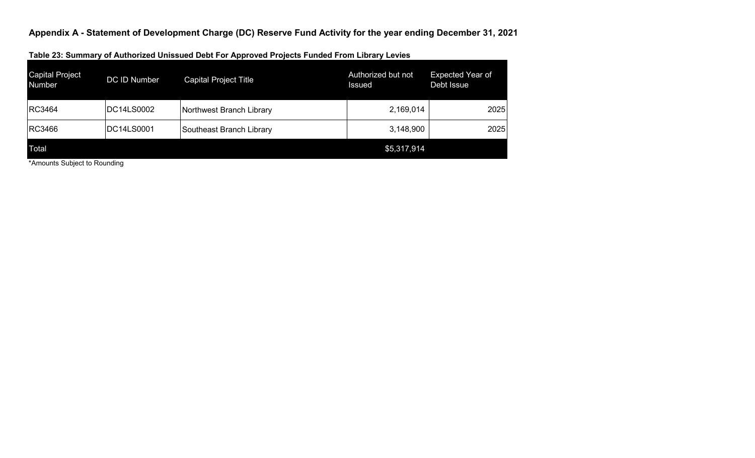| <b>Capital Project</b><br><b>Number</b> | <b>DC ID Number</b> | <b>Capital Project Title</b> | Authorized but not<br>Issued | Expected Year of<br>Debt Issue |
|-----------------------------------------|---------------------|------------------------------|------------------------------|--------------------------------|
| <b>RC3464</b>                           | DC14LS0002          | Northwest Branch Library     | 2,169,014                    | 2025                           |
| <b>RC3466</b>                           | DC14LS0001          | Southeast Branch Library     | 3,148,900                    | 2025                           |
| Total                                   |                     |                              | \$5,317,914                  |                                |

**Table 23: Summary of Authorized Unissued Debt For Approved Projects Funded From Library Levies**